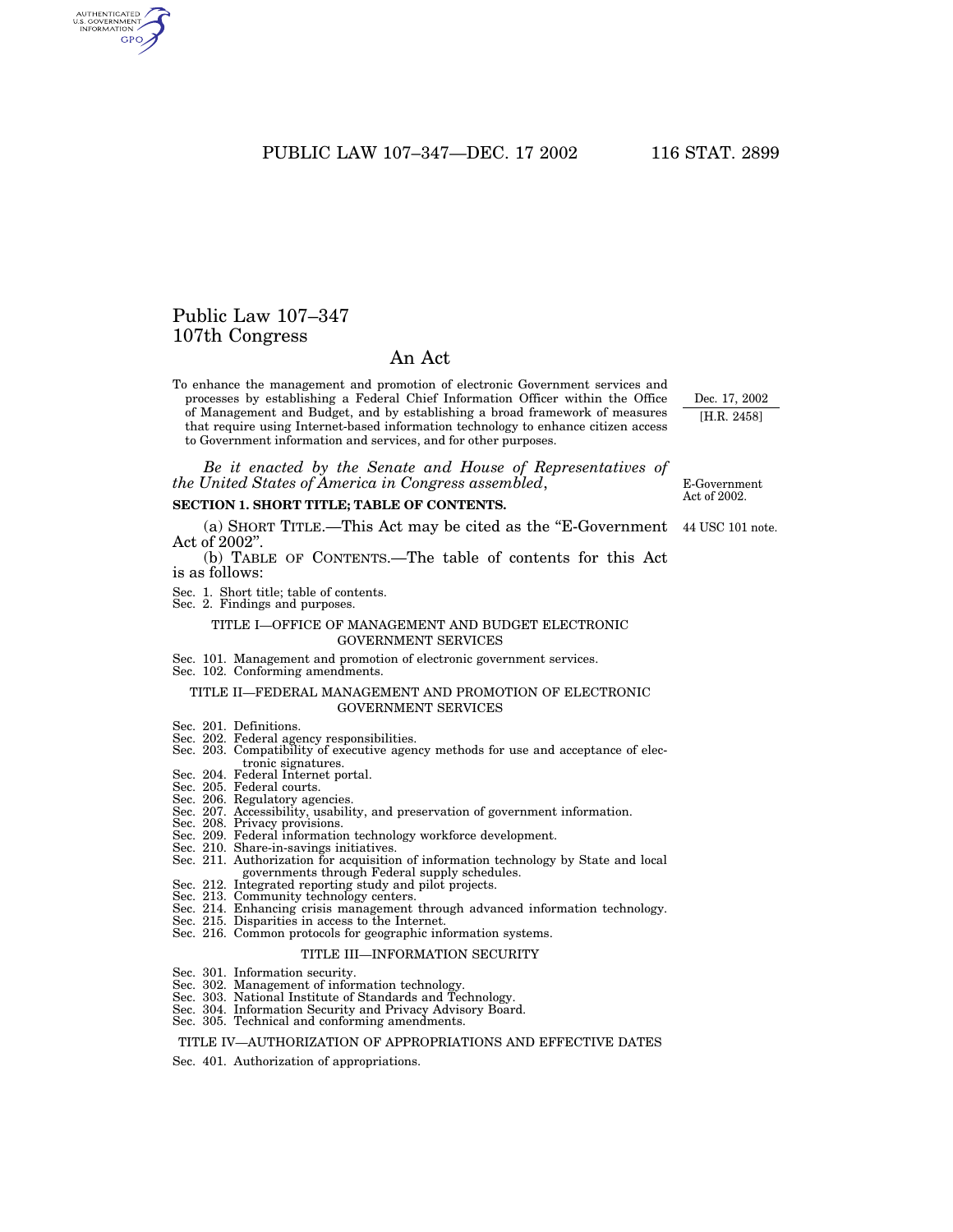PUBLIC LAW 107–347—DEC. 17 2002 116 STAT. 2899

# Public Law 107–347 107th Congress

AUTHENTICATED GPO

# An Act

To enhance the management and promotion of electronic Government services and processes by establishing a Federal Chief Information Officer within the Office of Management and Budget, and by establishing a broad framework of measures that require using Internet-based information technology to enhance citizen access to Government information and services, and for other purposes.

*Be it enacted by the Senate and House of Representatives of the United States of America in Congress assembled*,

### **SECTION 1. SHORT TITLE; TABLE OF CONTENTS.**

(a) SHORT TITLE.—This Act may be cited as the ''E-Government 44 USC 101 note. Act of 2002''.

(b) TABLE OF CONTENTS.—The table of contents for this Act is as follows:

- Sec. 1. Short title; table of contents. Sec. 2. Findings and purposes.
- 

# TITLE I—OFFICE OF MANAGEMENT AND BUDGET ELECTRONIC GOVERNMENT SERVICES

Sec. 101. Management and promotion of electronic government services. Sec. 102. Conforming amendments.

### TITLE II—FEDERAL MANAGEMENT AND PROMOTION OF ELECTRONIC GOVERNMENT SERVICES

- Sec. 201. Definitions.
- Sec. 202. Federal agency responsibilities.
- Sec. 203. Compatibility of executive agency methods for use and acceptance of electronic signatures.
- Sec. 204. Federal Internet portal.
- Sec. 205. Federal courts.
- 
- Sec. 206. Regulatory agencies. Sec. 207. Accessibility, usability, and preservation of government information.
- 
- Sec. 208. Privacy provisions. Sec. 209. Federal information technology workforce development. Sec. 210. Share-in-savings initiatives.
- 
- Sec. 211. Authorization for acquisition of information technology by State and local governments through Federal supply schedules.
- Sec. 212. Integrated reporting study and pilot projects.
- Sec. 213. Community technology centers.
- Sec. 214. Enhancing crisis management through advanced information technology.
- 
- Sec. 215. Disparities in access to the Internet. Sec. 216. Common protocols for geographic information systems.

### TITLE III—INFORMATION SECURITY

- Sec. 301. Information security.
- Sec. 302. Management of information technology. Sec. 303. National Institute of Standards and Technology.
- 
- Sec. 304. Information Security and Privacy Advisory Board. Sec. 305. Technical and conforming amendments.
- 

### TITLE IV—AUTHORIZATION OF APPROPRIATIONS AND EFFECTIVE DATES

Sec. 401. Authorization of appropriations.

E-Government Act of 2002.

[H.R. 2458]

Dec. 17, 2002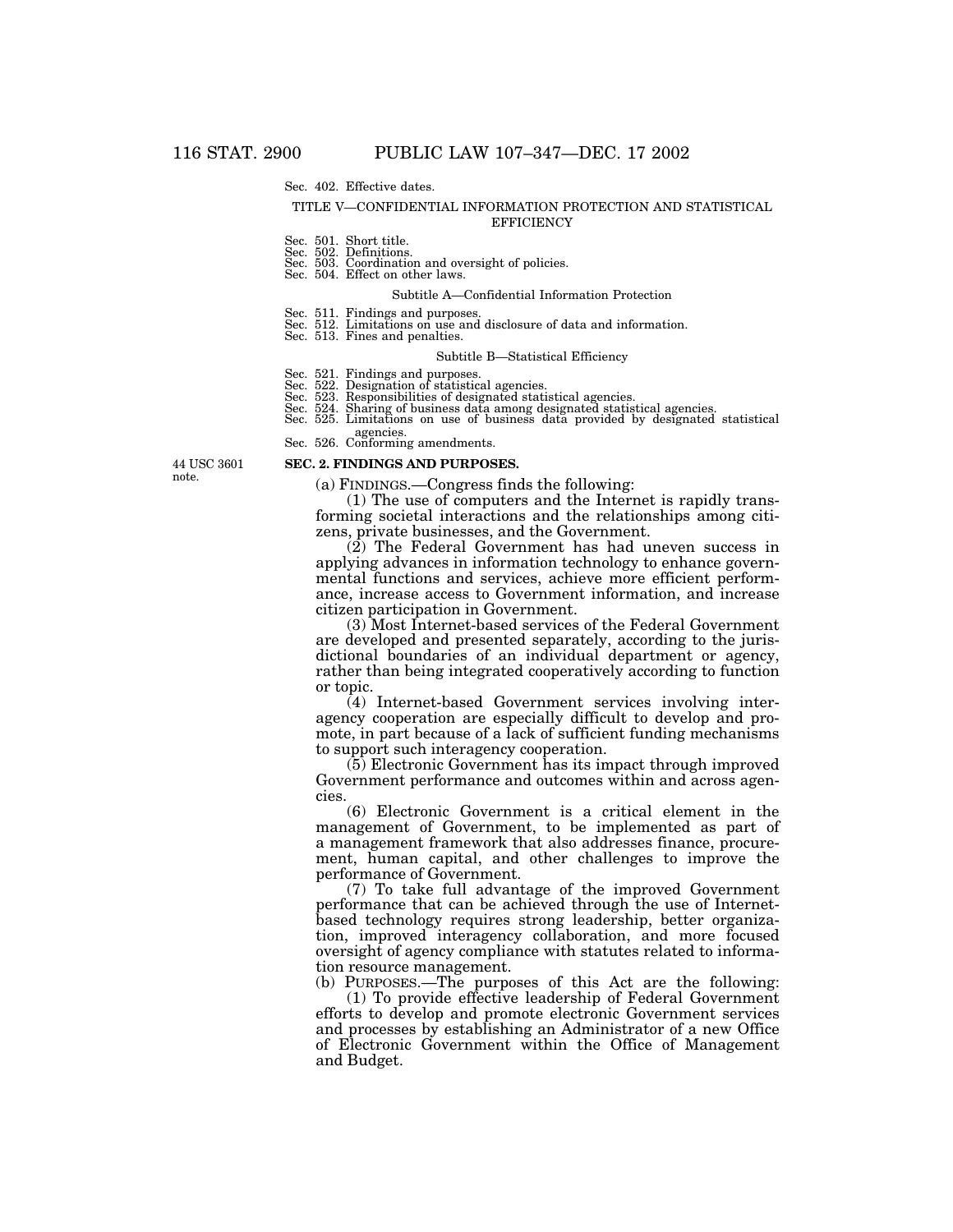### Sec. 402. Effective dates.

### TITLE V—CONFIDENTIAL INFORMATION PROTECTION AND STATISTICAL **EFFICIENCY**

- Sec. 501. Short title.
- Sec. 502. Definitions. Sec. 503. Coordination and oversight of policies.
- Sec. 504. Effect on other laws.

#### Subtitle A—Confidential Information Protection

- Sec. 511. Findings and purposes
- Sec. 512. Limitations on use and disclosure of data and information. Sec. 513. Fines and penalties.
- 

### Subtitle B—Statistical Efficiency

- 
- Sec. 521. Findings and purposes. Sec. 522. Designation of statistical agencies.
- 
- 
- Sec. 523. Responsibilities of designated statistical agencies. Sec. 524. Sharing of business data among designated statistical agencies. Sec. 525. Limitations on use of business data provided by designated statistical agencies. Sec. 526. Conforming amendments.
- 

44 USC 3601 note.

# **SEC. 2. FINDINGS AND PURPOSES.**

(a) FINDINGS.—Congress finds the following:

(1) The use of computers and the Internet is rapidly transforming societal interactions and the relationships among citizens, private businesses, and the Government.

(2) The Federal Government has had uneven success in applying advances in information technology to enhance governmental functions and services, achieve more efficient performance, increase access to Government information, and increase citizen participation in Government.

(3) Most Internet-based services of the Federal Government are developed and presented separately, according to the jurisdictional boundaries of an individual department or agency, rather than being integrated cooperatively according to function or topic.

(4) Internet-based Government services involving interagency cooperation are especially difficult to develop and promote, in part because of a lack of sufficient funding mechanisms to support such interagency cooperation.

(5) Electronic Government has its impact through improved Government performance and outcomes within and across agencies.

(6) Electronic Government is a critical element in the management of Government, to be implemented as part of a management framework that also addresses finance, procurement, human capital, and other challenges to improve the performance of Government.

(7) To take full advantage of the improved Government performance that can be achieved through the use of Internetbased technology requires strong leadership, better organization, improved interagency collaboration, and more focused oversight of agency compliance with statutes related to information resource management.

(b) PURPOSES.—The purposes of this Act are the following: (1) To provide effective leadership of Federal Government efforts to develop and promote electronic Government services and processes by establishing an Administrator of a new Office of Electronic Government within the Office of Management and Budget.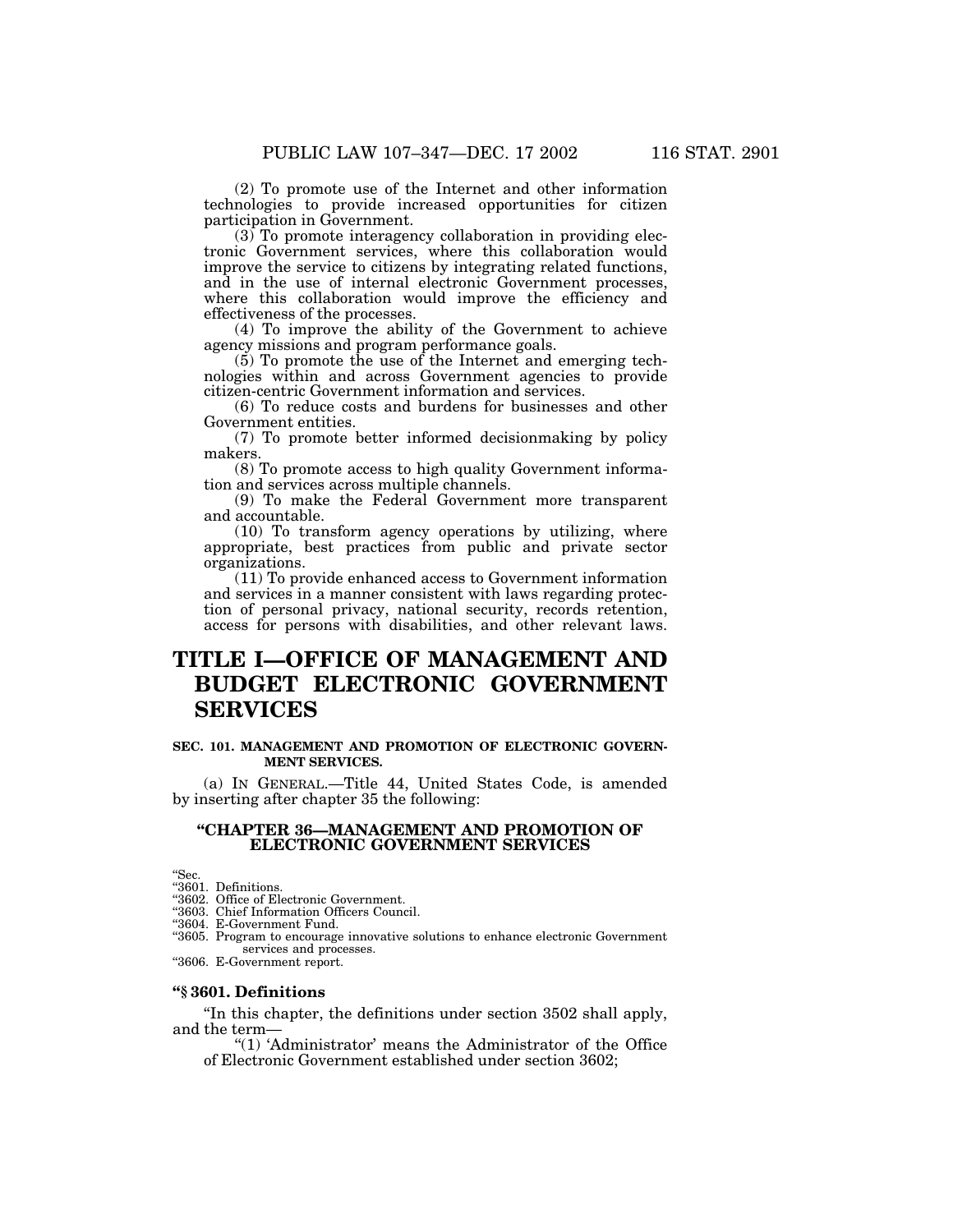(2) To promote use of the Internet and other information technologies to provide increased opportunities for citizen participation in Government.

(3) To promote interagency collaboration in providing electronic Government services, where this collaboration would improve the service to citizens by integrating related functions, and in the use of internal electronic Government processes, where this collaboration would improve the efficiency and effectiveness of the processes.

(4) To improve the ability of the Government to achieve agency missions and program performance goals.

(5) To promote the use of the Internet and emerging technologies within and across Government agencies to provide citizen-centric Government information and services.

(6) To reduce costs and burdens for businesses and other Government entities.

(7) To promote better informed decisionmaking by policy makers.

(8) To promote access to high quality Government information and services across multiple channels.

(9) To make the Federal Government more transparent and accountable.

(10) To transform agency operations by utilizing, where appropriate, best practices from public and private sector organizations.

(11) To provide enhanced access to Government information and services in a manner consistent with laws regarding protection of personal privacy, national security, records retention, access for persons with disabilities, and other relevant laws.

# **TITLE I—OFFICE OF MANAGEMENT AND BUDGET ELECTRONIC GOVERNMENT SERVICES**

# **SEC. 101. MANAGEMENT AND PROMOTION OF ELECTRONIC GOVERN-MENT SERVICES.**

(a) IN GENERAL.—Title 44, United States Code, is amended by inserting after chapter 35 the following:

# **''CHAPTER 36—MANAGEMENT AND PROMOTION OF ELECTRONIC GOVERNMENT SERVICES**

''Sec.

- ''3601. Definitions.
- ''3602. Office of Electronic Government.
- ''3603. Chief Information Officers Council.
- ''3604. E-Government Fund.
- ''3605. Program to encourage innovative solutions to enhance electronic Government services and processes.
- ''3606. E-Government report.

# **''§ 3601. Definitions**

''In this chapter, the definitions under section 3502 shall apply, and the term—

"(1) 'Administrator' means the Administrator of the Office of Electronic Government established under section 3602;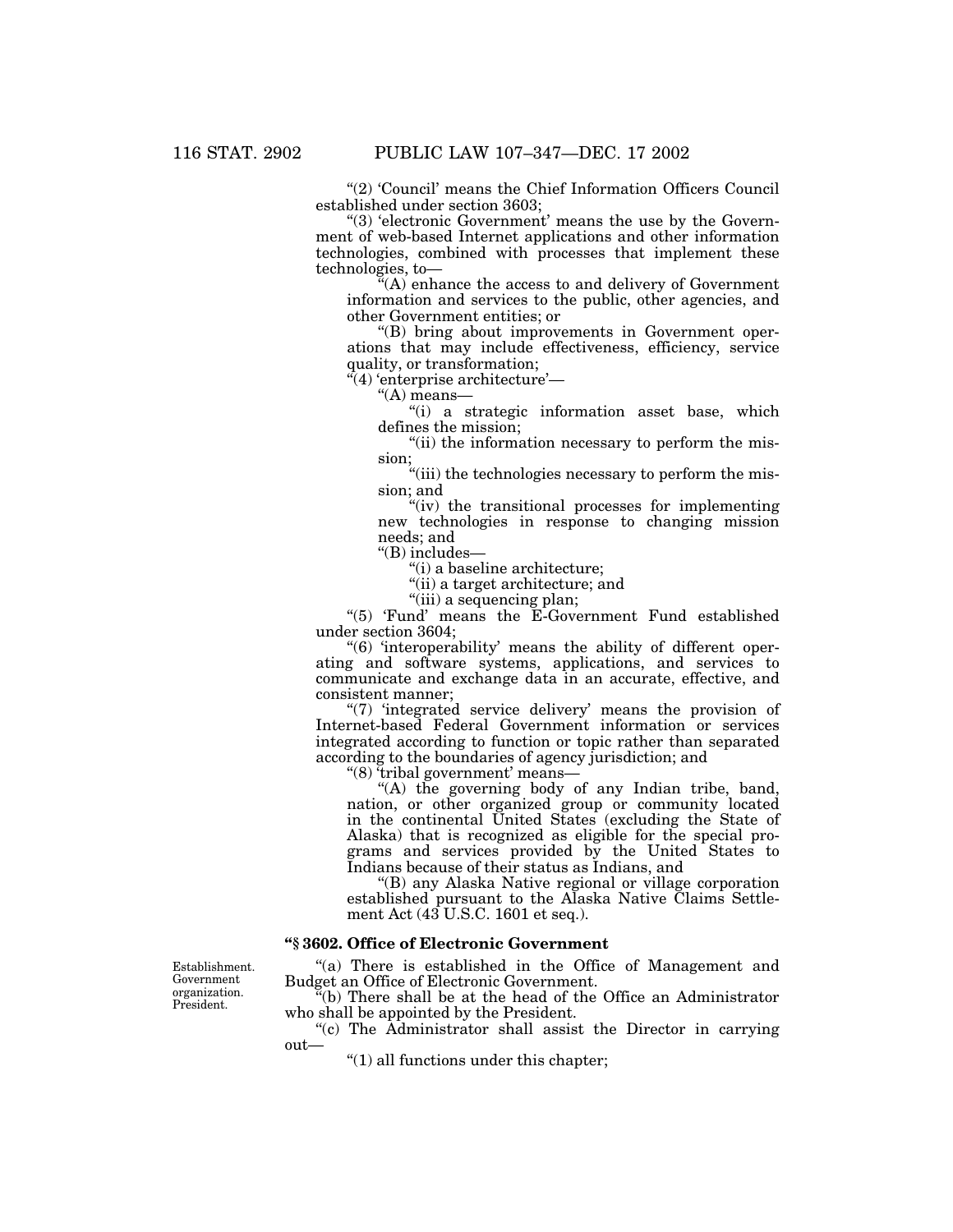"(2) 'Council' means the Chief Information Officers Council established under section 3603;

''(3) 'electronic Government' means the use by the Government of web-based Internet applications and other information technologies, combined with processes that implement these technologies, to—

 $\mathbf{H}^{\mathsf{u}}(A)$  enhance the access to and delivery of Government information and services to the public, other agencies, and other Government entities; or

''(B) bring about improvements in Government operations that may include effectiveness, efficiency, service quality, or transformation;

 $\mathcal{L}(4)$  'enterprise architecture'—

''(A) means—

''(i) a strategic information asset base, which defines the mission;

"(ii) the information necessary to perform the mission;

"(iii) the technologies necessary to perform the mission; and

"(iv) the transitional processes for implementing new technologies in response to changing mission needs; and

''(B) includes—

''(i) a baseline architecture;

"(ii) a target architecture; and

''(iii) a sequencing plan;

"(5) 'Fund' means the E-Government Fund established under section 3604;

"(6) 'interoperability' means the ability of different operating and software systems, applications, and services to communicate and exchange data in an accurate, effective, and consistent manner;

"(7) 'integrated service delivery' means the provision of Internet-based Federal Government information or services integrated according to function or topic rather than separated according to the boundaries of agency jurisdiction; and

''(8) 'tribal government' means—

''(A) the governing body of any Indian tribe, band, nation, or other organized group or community located in the continental United States (excluding the State of Alaska) that is recognized as eligible for the special programs and services provided by the United States to Indians because of their status as Indians, and

''(B) any Alaska Native regional or village corporation established pursuant to the Alaska Native Claims Settlement Act (43 U.S.C. 1601 et seq.).

### **''§ 3602. Office of Electronic Government**

"(a) There is established in the Office of Management and Budget an Office of Electronic Government.

 $\tilde{f}(b)$  There shall be at the head of the Office an Administrator who shall be appointed by the President.

''(c) The Administrator shall assist the Director in carrying out—

 $''(1)$  all functions under this chapter;

President. Establishment. Government organization.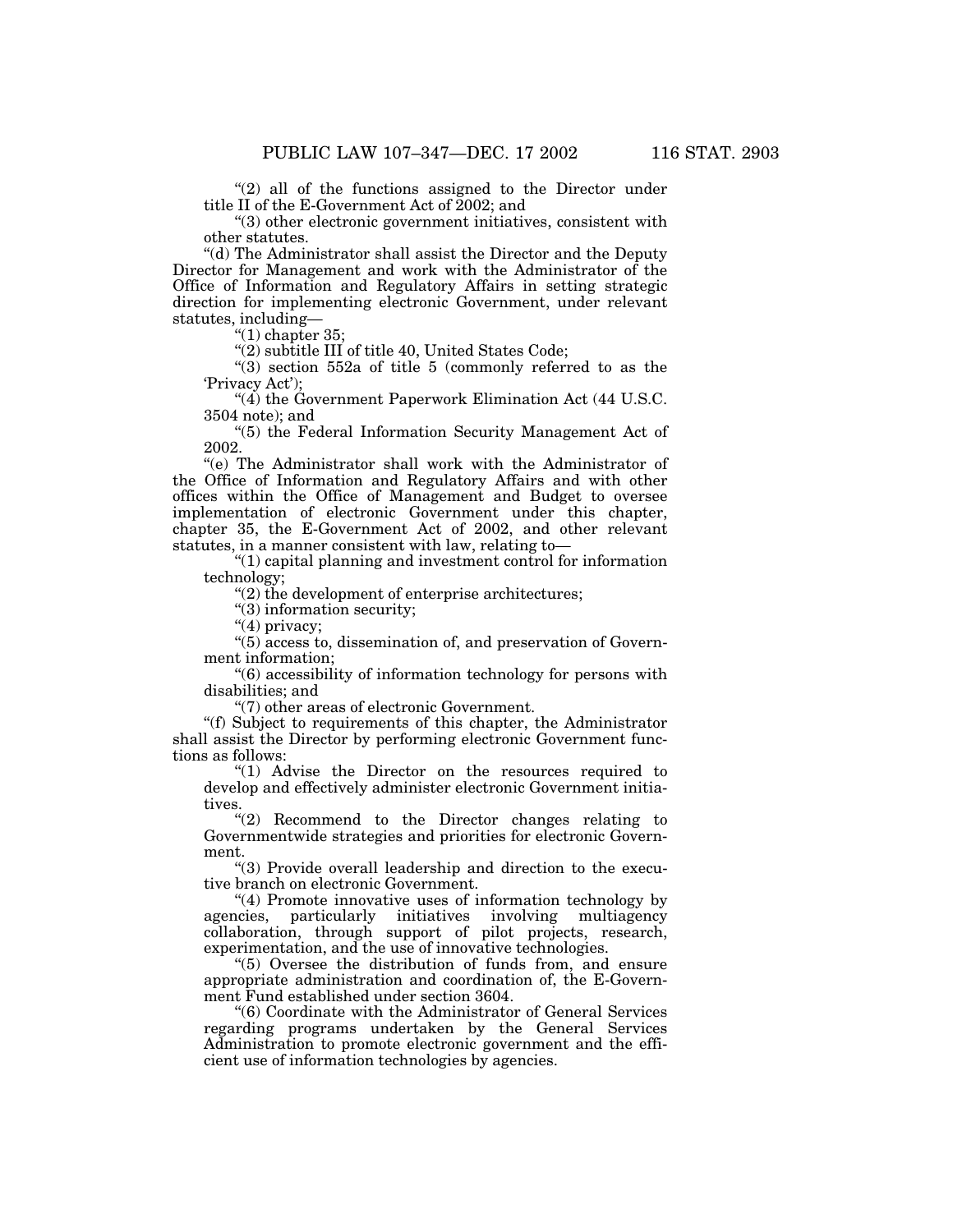" $(2)$  all of the functions assigned to the Director under title II of the E-Government Act of 2002; and

''(3) other electronic government initiatives, consistent with other statutes.

''(d) The Administrator shall assist the Director and the Deputy Director for Management and work with the Administrator of the Office of Information and Regulatory Affairs in setting strategic direction for implementing electronic Government, under relevant statutes, including—

" $(1)$  chapter 35;

"(2) subtitle III of title 40, United States Code;

 $(3)$  section 552a of title 5 (commonly referred to as the 'Privacy Act');

''(4) the Government Paperwork Elimination Act (44 U.S.C. 3504 note); and

''(5) the Federal Information Security Management Act of 2002.

''(e) The Administrator shall work with the Administrator of the Office of Information and Regulatory Affairs and with other offices within the Office of Management and Budget to oversee implementation of electronic Government under this chapter, chapter 35, the E-Government Act of 2002, and other relevant statutes, in a manner consistent with law, relating to—

''(1) capital planning and investment control for information technology;

''(2) the development of enterprise architectures;

''(3) information security;

" $(4)$  privacy;

''(5) access to, dissemination of, and preservation of Government information;

''(6) accessibility of information technology for persons with disabilities; and

''(7) other areas of electronic Government.

''(f) Subject to requirements of this chapter, the Administrator shall assist the Director by performing electronic Government functions as follows:

''(1) Advise the Director on the resources required to develop and effectively administer electronic Government initiatives.

 $(2)$  Recommend to the Director changes relating to Governmentwide strategies and priorities for electronic Government.

''(3) Provide overall leadership and direction to the executive branch on electronic Government.

''(4) Promote innovative uses of information technology by agencies, particularly initiatives involving multiagency collaboration, through support of pilot projects, research, experimentation, and the use of innovative technologies.

''(5) Oversee the distribution of funds from, and ensure appropriate administration and coordination of, the E-Government Fund established under section 3604.

''(6) Coordinate with the Administrator of General Services regarding programs undertaken by the General Services Administration to promote electronic government and the efficient use of information technologies by agencies.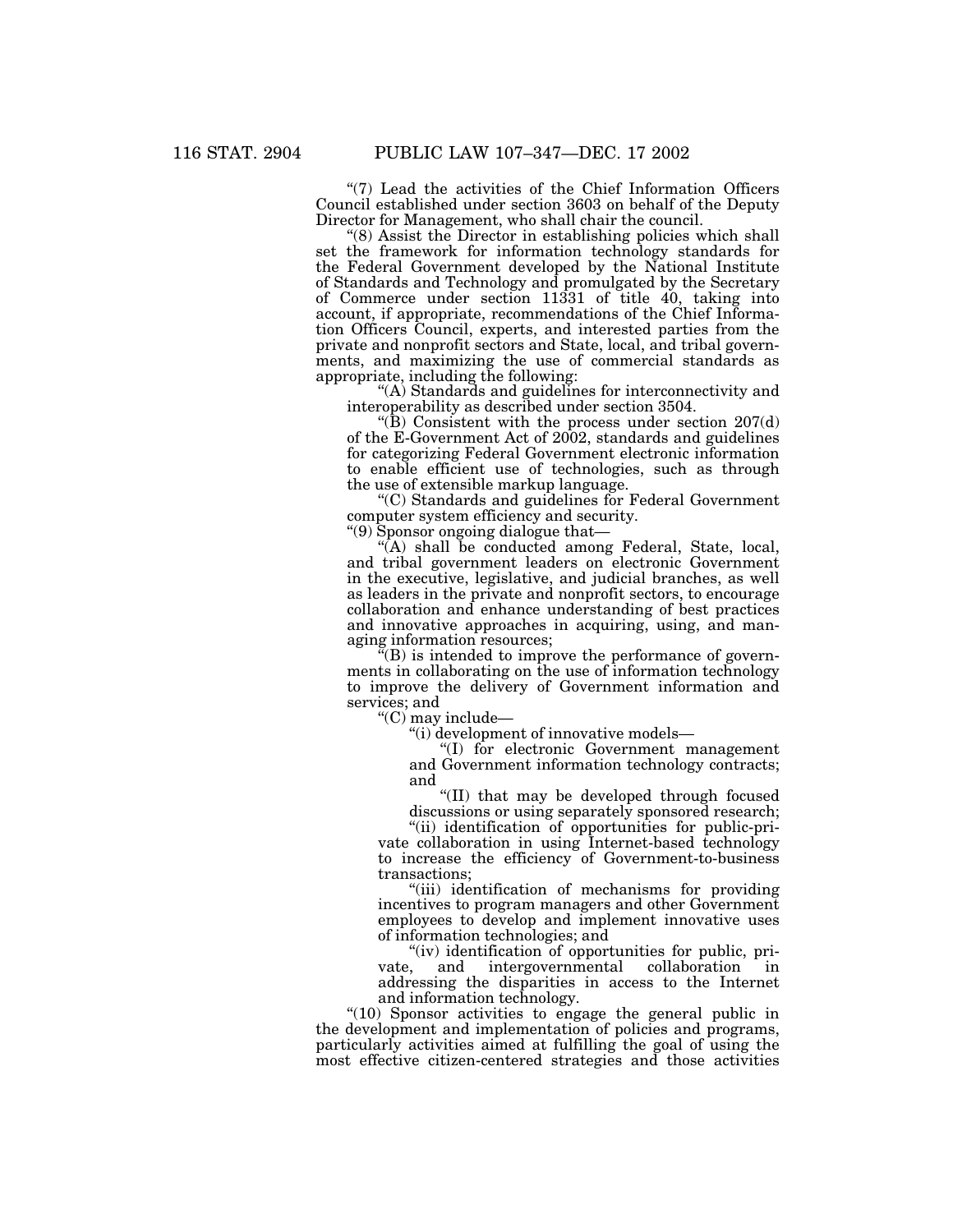''(7) Lead the activities of the Chief Information Officers Council established under section 3603 on behalf of the Deputy

" $(8)$  Assist the Director in establishing policies which shall set the framework for information technology standards for the Federal Government developed by the National Institute of Standards and Technology and promulgated by the Secretary of Commerce under section 11331 of title 40, taking into account, if appropriate, recommendations of the Chief Information Officers Council, experts, and interested parties from the private and nonprofit sectors and State, local, and tribal governments, and maximizing the use of commercial standards as appropriate, including the following:

"(A) Standards and guidelines for interconnectivity and interoperability as described under section 3504.

"(B) Consistent with the process under section  $207(d)$ of the E-Government Act of 2002, standards and guidelines for categorizing Federal Government electronic information to enable efficient use of technologies, such as through the use of extensible markup language.

''(C) Standards and guidelines for Federal Government computer system efficiency and security.

''(9) Sponsor ongoing dialogue that—

"(A) shall be conducted among Federal, State, local, and tribal government leaders on electronic Government in the executive, legislative, and judicial branches, as well as leaders in the private and nonprofit sectors, to encourage collaboration and enhance understanding of best practices and innovative approaches in acquiring, using, and managing information resources;

 $f(B)$  is intended to improve the performance of governments in collaborating on the use of information technology to improve the delivery of Government information and services; and

''(C) may include—

''(i) development of innovative models—

''(I) for electronic Government management and Government information technology contracts; and

''(II) that may be developed through focused discussions or using separately sponsored research;

''(ii) identification of opportunities for public-private collaboration in using Internet-based technology to increase the efficiency of Government-to-business transactions;

''(iii) identification of mechanisms for providing incentives to program managers and other Government employees to develop and implement innovative uses of information technologies; and

"(iv) identification of opportunities for public, private, and intergovernmental collaboration in and intergovernmental collaboration in addressing the disparities in access to the Internet and information technology.

" $(10)$  Sponsor activities to engage the general public in the development and implementation of policies and programs, particularly activities aimed at fulfilling the goal of using the most effective citizen-centered strategies and those activities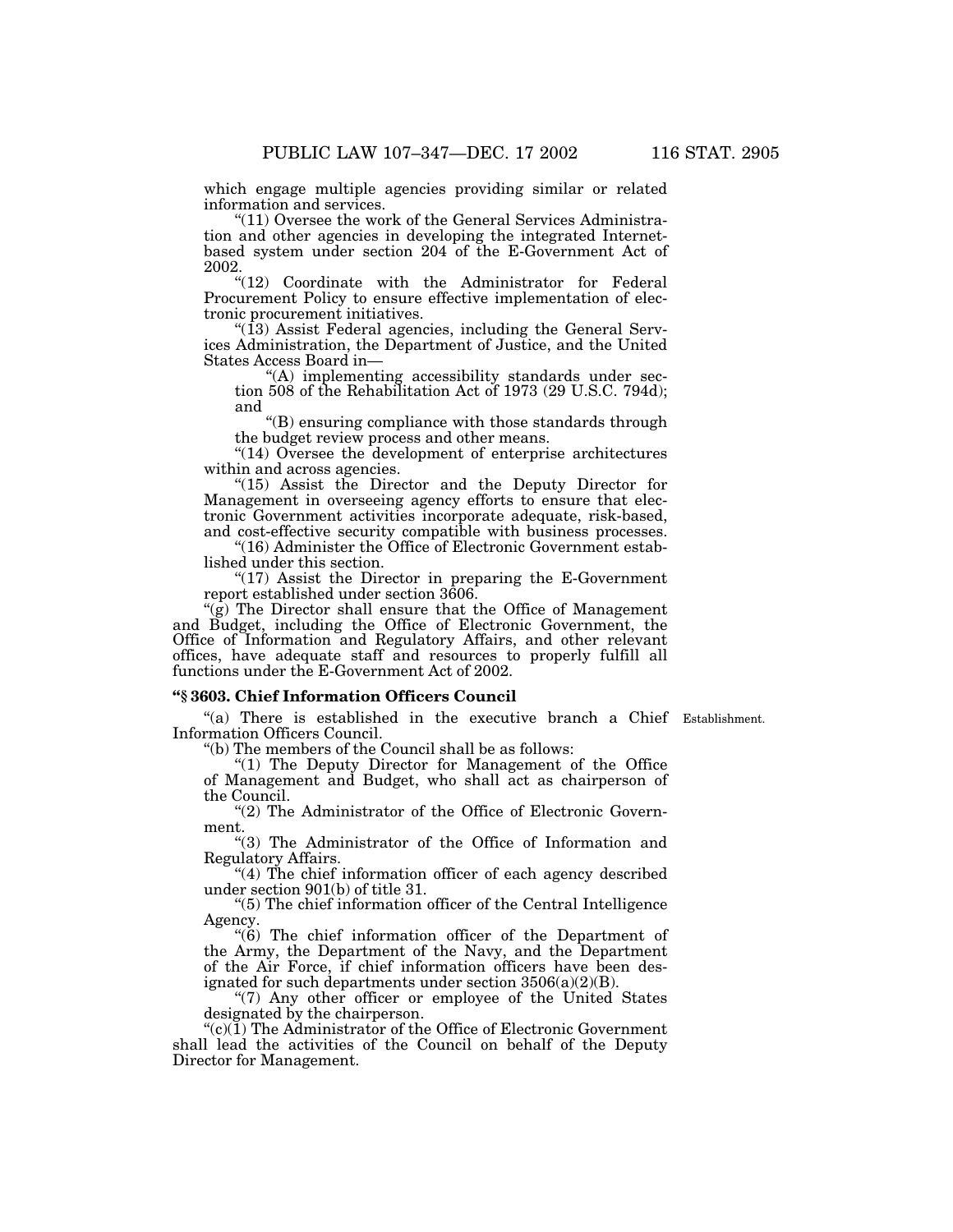which engage multiple agencies providing similar or related

" $(11)$  Oversee the work of the General Services Administration and other agencies in developing the integrated Internetbased system under section 204 of the E-Government Act of 2002.

"(12) Coordinate with the Administrator for Federal Procurement Policy to ensure effective implementation of electronic procurement initiatives.

"(13) Assist Federal agencies, including the General Services Administration, the Department of Justice, and the United States Access Board in—

"(A) implementing accessibility standards under section 508 of the Rehabilitation Act of 1973 (29 U.S.C. 794d); and

''(B) ensuring compliance with those standards through the budget review process and other means.

"(14) Oversee the development of enterprise architectures within and across agencies.

"(15) Assist the Director and the Deputy Director for Management in overseeing agency efforts to ensure that electronic Government activities incorporate adequate, risk-based, and cost-effective security compatible with business processes.

''(16) Administer the Office of Electronic Government established under this section.

" $(17)$  Assist the Director in preparing the E-Government report established under section 3606.

 $\mathcal{L}(g)$  The Director shall ensure that the Office of Management and Budget, including the Office of Electronic Government, the Office of Information and Regulatory Affairs, and other relevant offices, have adequate staff and resources to properly fulfill all functions under the E-Government Act of 2002.

### **''§ 3603. Chief Information Officers Council**

''(a) There is established in the executive branch a Chief Establishment. Information Officers Council.

''(b) The members of the Council shall be as follows:

"(1) The Deputy Director for Management of the Office of Management and Budget, who shall act as chairperson of the Council.

"(2) The Administrator of the Office of Electronic Government.

''(3) The Administrator of the Office of Information and Regulatory Affairs.

"(4) The chief information officer of each agency described under section 901(b) of title 31.

''(5) The chief information officer of the Central Intelligence Agency.

''(6) The chief information officer of the Department of the Army, the Department of the Navy, and the Department of the Air Force, if chief information officers have been designated for such departments under section  $3506(a)(2)(B)$ .

''(7) Any other officer or employee of the United States designated by the chairperson.

 $C<sub>(c)</sub>(1)$  The Administrator of the Office of Electronic Government shall lead the activities of the Council on behalf of the Deputy Director for Management.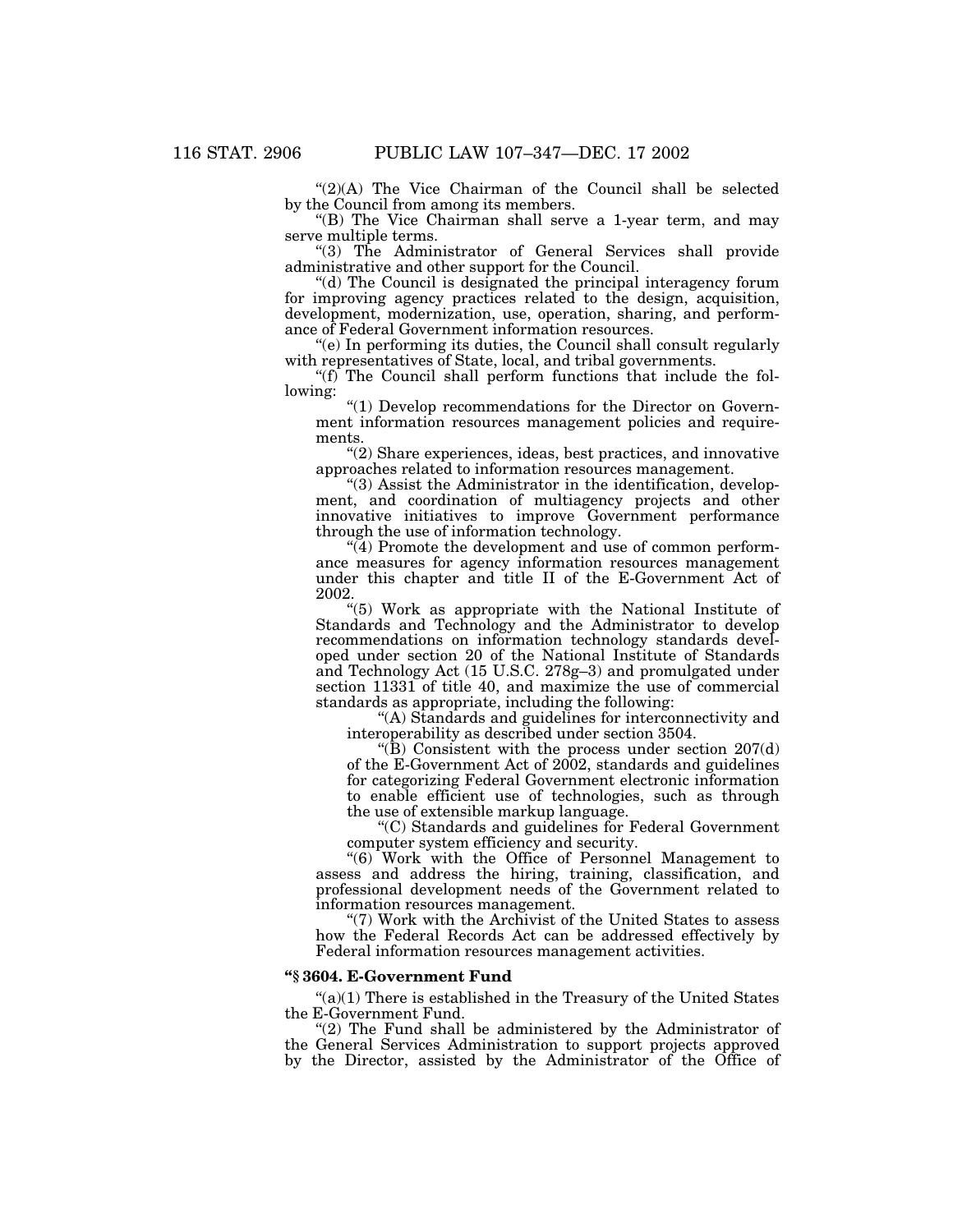" $(2)(A)$  The Vice Chairman of the Council shall be selected by the Council from among its members.

"(B) The Vice Chairman shall serve a 1-year term, and may serve multiple terms.

''(3) The Administrator of General Services shall provide administrative and other support for the Council.

"(d) The Council is designated the principal interagency forum for improving agency practices related to the design, acquisition, development, modernization, use, operation, sharing, and performance of Federal Government information resources.

''(e) In performing its duties, the Council shall consult regularly with representatives of State, local, and tribal governments.

"(f) The Council shall perform functions that include the following:

''(1) Develop recommendations for the Director on Government information resources management policies and requirements.

 $''(2)$  Share experiences, ideas, best practices, and innovative approaches related to information resources management.

''(3) Assist the Administrator in the identification, development, and coordination of multiagency projects and other innovative initiatives to improve Government performance through the use of information technology.

 $\mathcal{A}(4)$  Promote the development and use of common performance measures for agency information resources management under this chapter and title II of the E-Government Act of 2002.

''(5) Work as appropriate with the National Institute of Standards and Technology and the Administrator to develop recommendations on information technology standards developed under section 20 of the National Institute of Standards and Technology Act (15 U.S.C. 278g–3) and promulgated under section 11331 of title 40, and maximize the use of commercial standards as appropriate, including the following:

''(A) Standards and guidelines for interconnectivity and interoperability as described under section 3504.

"(B) Consistent with the process under section  $207(d)$ of the E-Government Act of 2002, standards and guidelines for categorizing Federal Government electronic information to enable efficient use of technologies, such as through the use of extensible markup language.

''(C) Standards and guidelines for Federal Government computer system efficiency and security.

''(6) Work with the Office of Personnel Management to assess and address the hiring, training, classification, and professional development needs of the Government related to information resources management.

"(7) Work with the Archivist of the United States to assess how the Federal Records Act can be addressed effectively by Federal information resources management activities.

# **''§ 3604. E-Government Fund**

" $(a)(1)$  There is established in the Treasury of the United States" the E-Government Fund.

" $(2)$  The Fund shall be administered by the Administrator of the General Services Administration to support projects approved by the Director, assisted by the Administrator of the Office of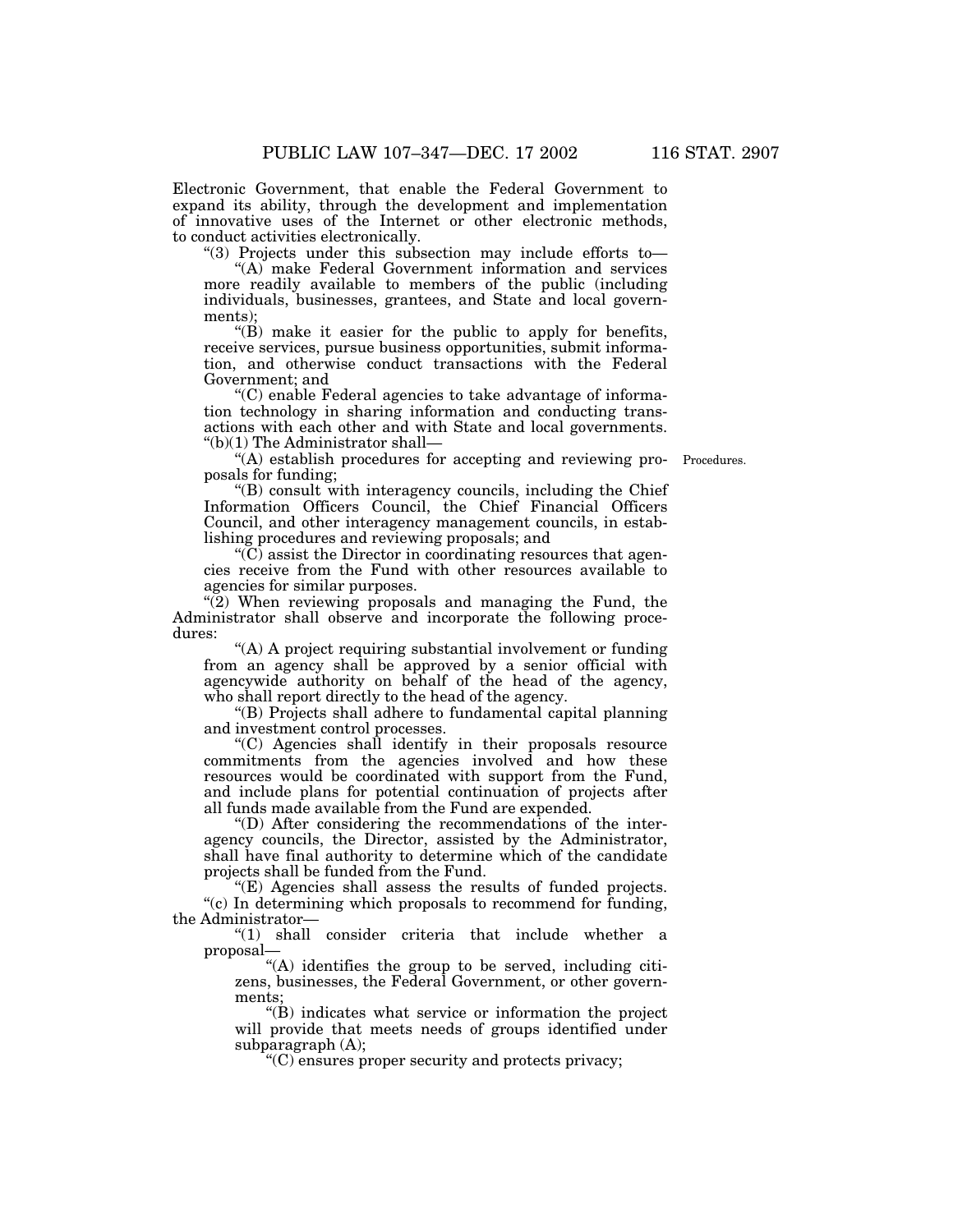Electronic Government, that enable the Federal Government to expand its ability, through the development and implementation

of innovative uses of the Internet or other electronic methods, to conduct activities electronically.

''(3) Projects under this subsection may include efforts to—

"(A) make Federal Government information and services more readily available to members of the public (including individuals, businesses, grantees, and State and local governments);

''(B) make it easier for the public to apply for benefits, receive services, pursue business opportunities, submit information, and otherwise conduct transactions with the Federal Government; and

''(C) enable Federal agencies to take advantage of information technology in sharing information and conducting transactions with each other and with State and local governments. ''(b)(1) The Administrator shall—

''(A) establish procedures for accepting and reviewing pro-Procedures. posals for funding;

''(B) consult with interagency councils, including the Chief Information Officers Council, the Chief Financial Officers Council, and other interagency management councils, in establishing procedures and reviewing proposals; and

 $\widetilde{C}(\widetilde{C})$  assist the Director in coordinating resources that agencies receive from the Fund with other resources available to agencies for similar purposes.

 $\tilde{P}(2)$  When reviewing proposals and managing the Fund, the Administrator shall observe and incorporate the following procedures:

''(A) A project requiring substantial involvement or funding from an agency shall be approved by a senior official with agencywide authority on behalf of the head of the agency, who shall report directly to the head of the agency.

''(B) Projects shall adhere to fundamental capital planning and investment control processes.

''(C) Agencies shall identify in their proposals resource commitments from the agencies involved and how these resources would be coordinated with support from the Fund, and include plans for potential continuation of projects after all funds made available from the Fund are expended.

''(D) After considering the recommendations of the interagency councils, the Director, assisted by the Administrator, shall have final authority to determine which of the candidate projects shall be funded from the Fund.

''(E) Agencies shall assess the results of funded projects. ''(c) In determining which proposals to recommend for funding, the Administrator—

"(1) shall consider criteria that include whether a proposal—

''(A) identifies the group to be served, including citizens, businesses, the Federal Government, or other governments;

''(B) indicates what service or information the project will provide that meets needs of groups identified under subparagraph (A);

 $(C)$  ensures proper security and protects privacy;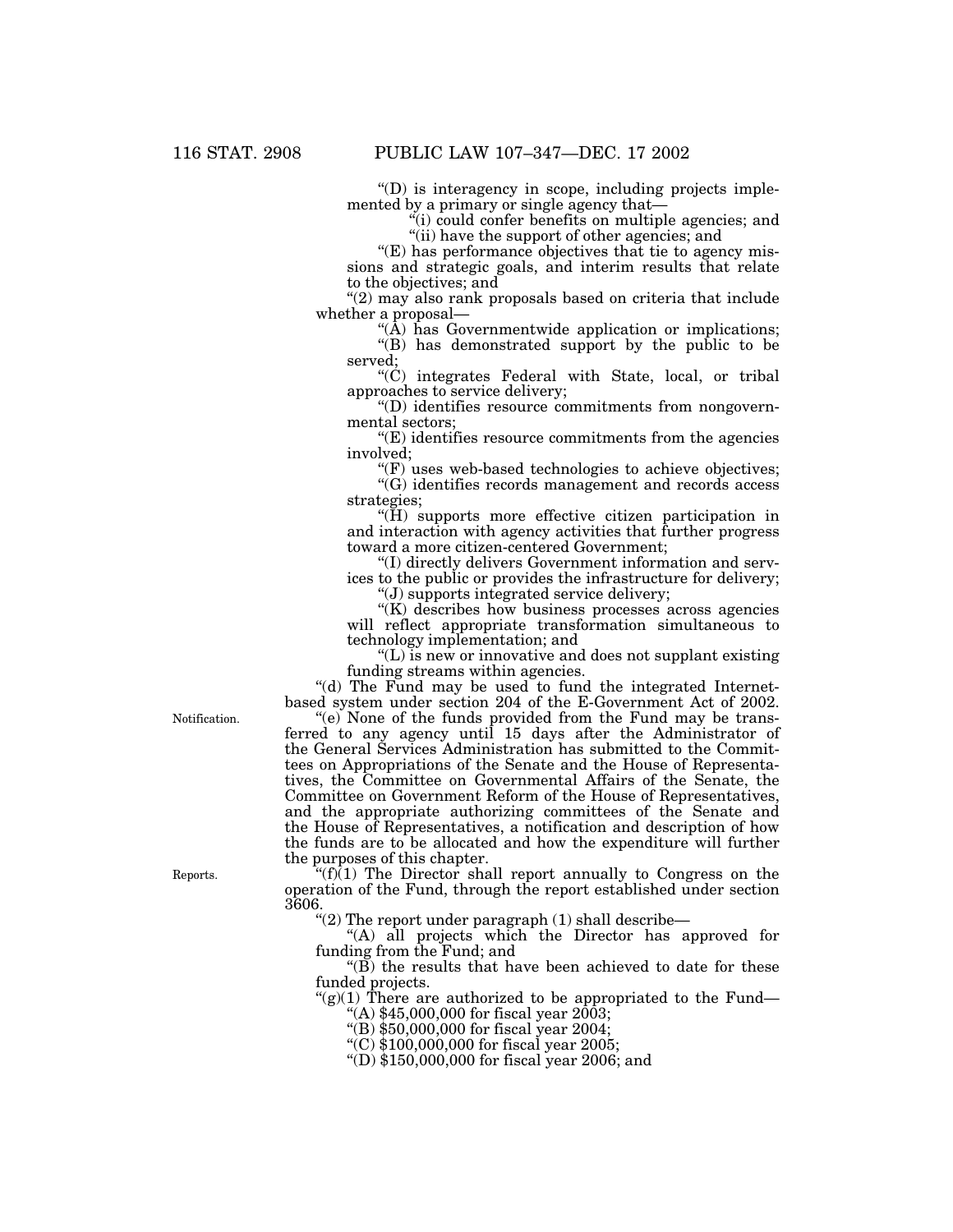''(D) is interagency in scope, including projects implemented by a primary or single agency that—<br>"(i) could confer benefits on multiple agencies; and

''(ii) have the support of other agencies; and

 $E(E)$  has performance objectives that tie to agency missions and strategic goals, and interim results that relate to the objectives; and

"(2) may also rank proposals based on criteria that include whether a proposal—

"(A) has Governmentwide application or implications;

''(B) has demonstrated support by the public to be served;

" $(C)$  integrates Federal with State, local, or tribal approaches to service delivery;

''(D) identifies resource commitments from nongovernmental sectors;

 $E$ ) identifies resource commitments from the agencies involved;

''(F) uses web-based technologies to achieve objectives;  $\mathcal{C}(G)$  identifies records management and records access strategies;

''(H) supports more effective citizen participation in and interaction with agency activities that further progress toward a more citizen-centered Government;

''(I) directly delivers Government information and services to the public or provides the infrastructure for delivery;

''(J) supports integrated service delivery;

 $K(K)$  describes how business processes across agencies will reflect appropriate transformation simultaneous to technology implementation; and

''(L) is new or innovative and does not supplant existing funding streams within agencies.

"(d) The Fund may be used to fund the integrated Internetbased system under section 204 of the E-Government Act of 2002.

''(e) None of the funds provided from the Fund may be transferred to any agency until 15 days after the Administrator of the General Services Administration has submitted to the Committees on Appropriations of the Senate and the House of Representatives, the Committee on Governmental Affairs of the Senate, the Committee on Government Reform of the House of Representatives, and the appropriate authorizing committees of the Senate and the House of Representatives, a notification and description of how the funds are to be allocated and how the expenditure will further the purposes of this chapter.

" $(f(1))$  The Director shall report annually to Congress on the operation of the Fund, through the report established under section 3606.

" $(2)$  The report under paragraph  $(1)$  shall describe—

''(A) all projects which the Director has approved for funding from the Fund; and

" $(\overrightarrow{B})$  the results that have been achieved to date for these funded projects.

" $(g)(1)$  There are authorized to be appropriated to the Fund— "(A)  $$45,000,000$  for fiscal year  $2003$ ;

''(B) \$50,000,000 for fiscal year 2004;

 $C($  \$100,000,000 for fiscal year 2005;

 $\sqrt{\text{D}}$  \$150,000,000 for fiscal year 2006; and

Notification.

Reports.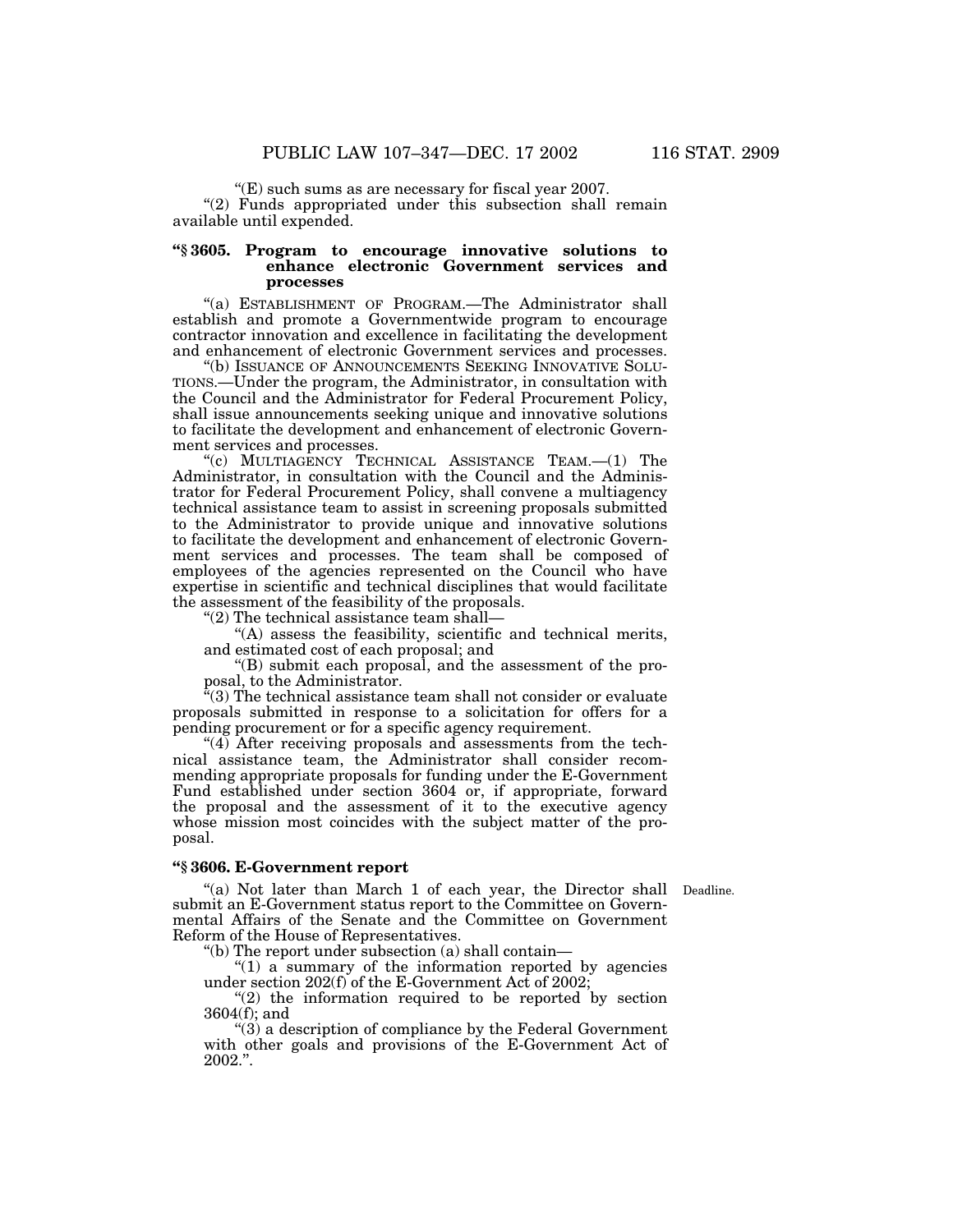$E(E)$  such sums as are necessary for fiscal year 2007.

"(2) Funds appropriated under this subsection shall remain available until expended.

# **''§ 3605. Program to encourage innovative solutions to enhance electronic Government services and processes**

"(a) ESTABLISHMENT OF PROGRAM.—The Administrator shall establish and promote a Governmentwide program to encourage contractor innovation and excellence in facilitating the development and enhancement of electronic Government services and processes.

"(b) ISSUANCE OF ANNOUNCEMENTS SEEKING INNOVATIVE SOLU-TIONS.—Under the program, the Administrator, in consultation with the Council and the Administrator for Federal Procurement Policy, shall issue announcements seeking unique and innovative solutions to facilitate the development and enhancement of electronic Government services and processes.

"(c) MULTIAGENCY TECHNICAL ASSISTANCE TEAM.—(1) The Administrator, in consultation with the Council and the Administrator for Federal Procurement Policy, shall convene a multiagency technical assistance team to assist in screening proposals submitted to the Administrator to provide unique and innovative solutions to facilitate the development and enhancement of electronic Government services and processes. The team shall be composed of employees of the agencies represented on the Council who have expertise in scientific and technical disciplines that would facilitate the assessment of the feasibility of the proposals.

''(2) The technical assistance team shall—

"(A) assess the feasibility, scientific and technical merits, and estimated cost of each proposal; and

''(B) submit each proposal, and the assessment of the proposal, to the Administrator.

''(3) The technical assistance team shall not consider or evaluate proposals submitted in response to a solicitation for offers for a pending procurement or for a specific agency requirement.

" $(4)$  After receiving proposals and assessments from the technical assistance team, the Administrator shall consider recommending appropriate proposals for funding under the E-Government Fund established under section 3604 or, if appropriate, forward the proposal and the assessment of it to the executive agency whose mission most coincides with the subject matter of the proposal.

# **''§ 3606. E-Government report**

"(a) Not later than March 1 of each year, the Director shall Deadline. submit an E-Government status report to the Committee on Governmental Affairs of the Senate and the Committee on Government Reform of the House of Representatives.

''(b) The report under subsection (a) shall contain—

" $(1)$  a summary of the information reported by agencies under section 202(f) of the E-Government Act of 2002;

 $(2)$  the information required to be reported by section 3604(f); and

''(3) a description of compliance by the Federal Government with other goals and provisions of the E-Government Act of 2002.''.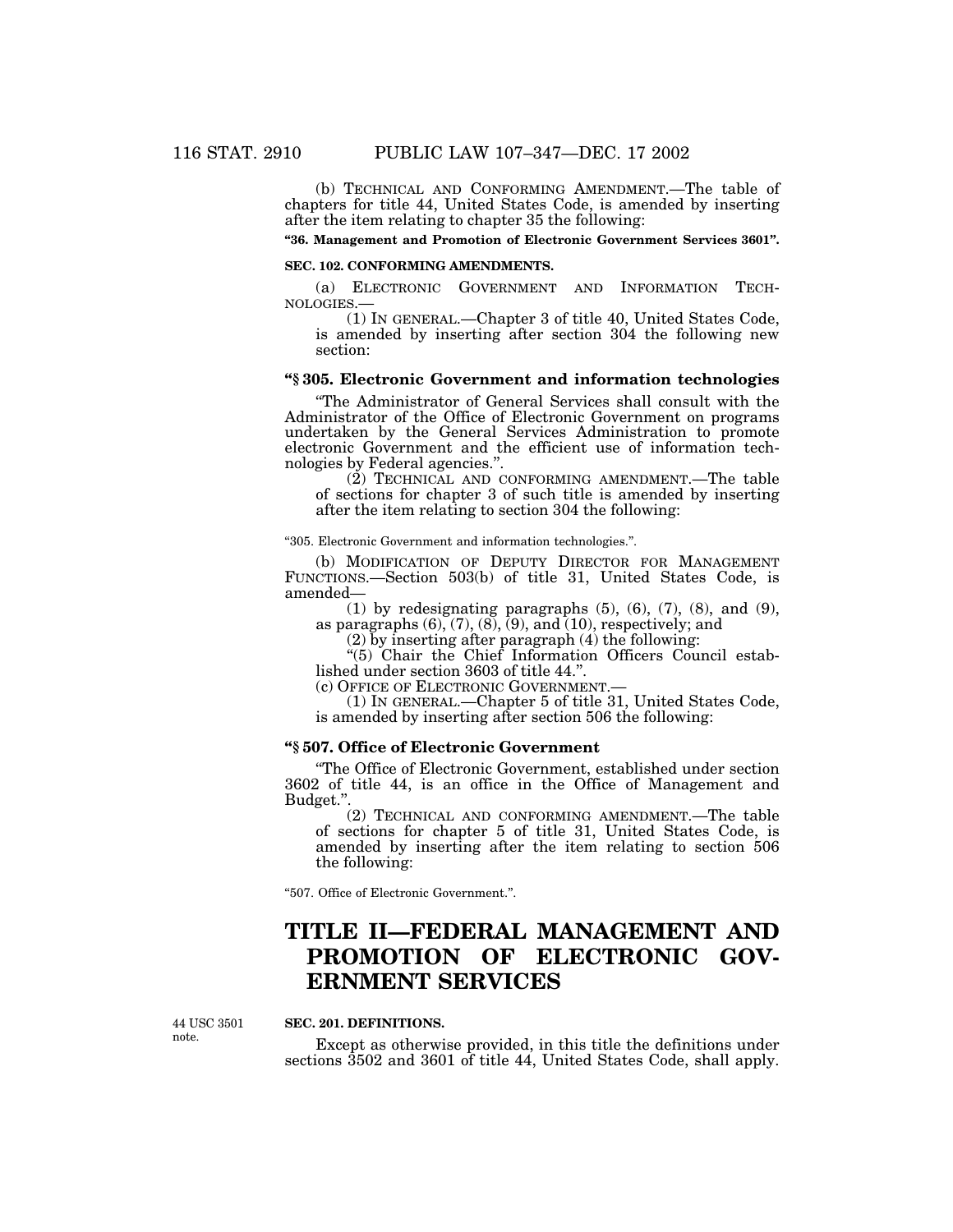(b) TECHNICAL AND CONFORMING AMENDMENT.—The table of chapters for title 44, United States Code, is amended by inserting after the item relating to chapter 35 the following:

**''36. Management and Promotion of Electronic Government Services 3601''.**

#### **SEC. 102. CONFORMING AMENDMENTS.**

(a) ELECTRONIC GOVERNMENT AND INFORMATION TECH- NOLOGIES.—

(1) IN GENERAL.—Chapter 3 of title 40, United States Code, is amended by inserting after section 304 the following new section:

### **''§ 305. Electronic Government and information technologies**

''The Administrator of General Services shall consult with the Administrator of the Office of Electronic Government on programs undertaken by the General Services Administration to promote electronic Government and the efficient use of information technologies by Federal agencies.''.

(2) TECHNICAL AND CONFORMING AMENDMENT.—The table of sections for chapter 3 of such title is amended by inserting after the item relating to section 304 the following:

''305. Electronic Government and information technologies.''.

(b) MODIFICATION OF DEPUTY DIRECTOR FOR MANAGEMENT FUNCTIONS.—Section 503(b) of title 31, United States Code, is amended—

 $(1)$  by redesignating paragraphs  $(5)$ ,  $(6)$ ,  $(7)$ ,  $(8)$ , and  $(9)$ , as paragraphs (6), (7), (8), (9), and (10), respectively; and

(2) by inserting after paragraph (4) the following:

''(5) Chair the Chief Information Officers Council established under section 3603 of title 44.''.

(c) OFFICE OF ELECTRONIC GOVERNMENT.—

(1) IN GENERAL.—Chapter 5 of title 31, United States Code, is amended by inserting after section 506 the following:

### **''§ 507. Office of Electronic Government**

''The Office of Electronic Government, established under section 3602 of title 44, is an office in the Office of Management and Budget.''.

(2) TECHNICAL AND CONFORMING AMENDMENT.—The table of sections for chapter 5 of title 31, United States Code, is amended by inserting after the item relating to section 506 the following:

''507. Office of Electronic Government.''.

# **TITLE II—FEDERAL MANAGEMENT AND PROMOTION OF ELECTRONIC GOV-ERNMENT SERVICES**

44 USC 3501 note.

# **SEC. 201. DEFINITIONS.**

Except as otherwise provided, in this title the definitions under sections 3502 and 3601 of title 44, United States Code, shall apply.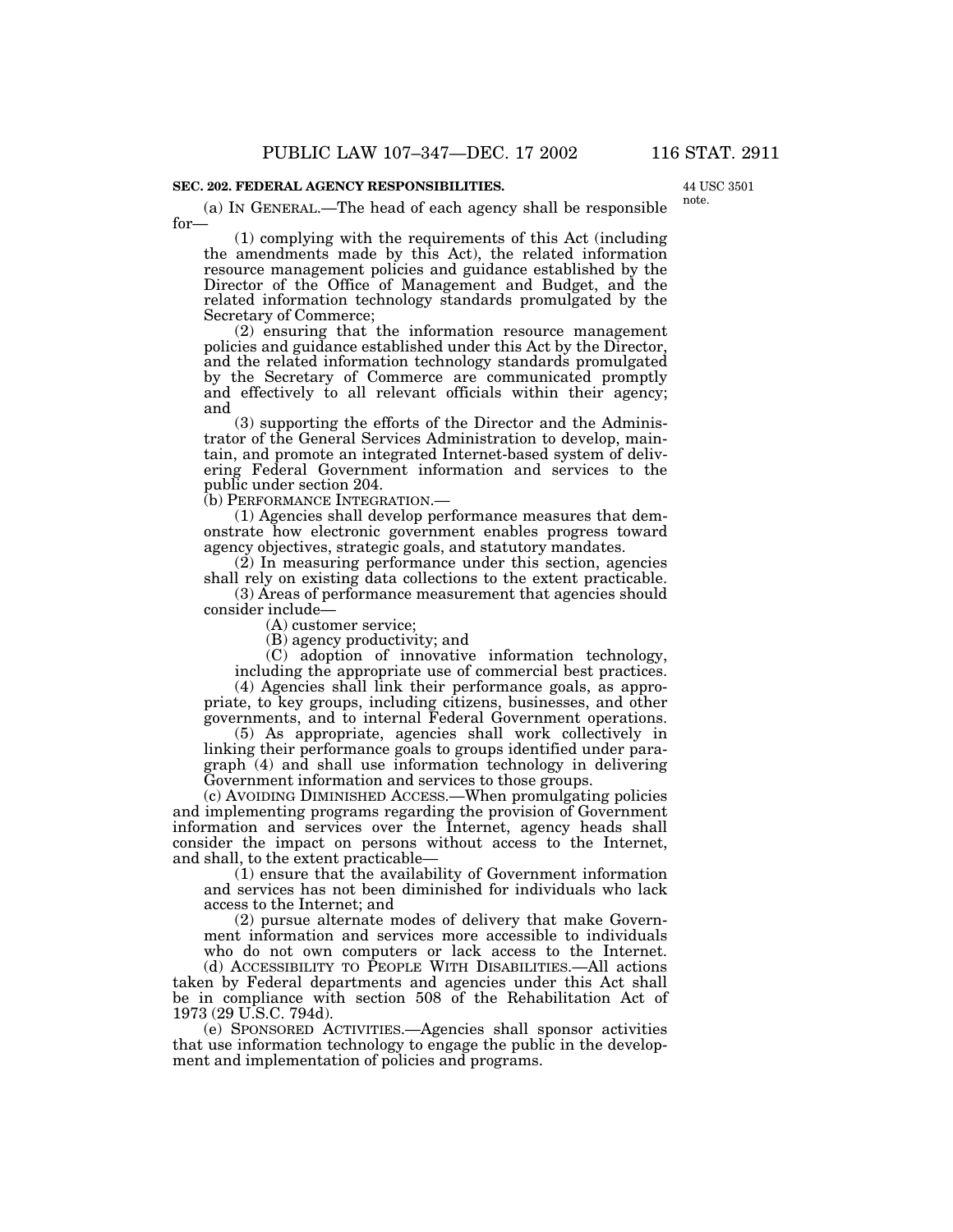### **SEC. 202. FEDERAL AGENCY RESPONSIBILITIES.**

44 USC 3501 note.

(a) IN GENERAL.—The head of each agency shall be responsible

 $f(1)$  complying with the requirements of this Act (including the amendments made by this Act), the related information resource management policies and guidance established by the Director of the Office of Management and Budget, and the related information technology standards promulgated by the Secretary of Commerce;

(2) ensuring that the information resource management policies and guidance established under this Act by the Director, and the related information technology standards promulgated by the Secretary of Commerce are communicated promptly and effectively to all relevant officials within their agency; and

(3) supporting the efforts of the Director and the Administrator of the General Services Administration to develop, maintain, and promote an integrated Internet-based system of delivering Federal Government information and services to the public under section 204.

(b) PERFORMANCE INTEGRATION.—

(1) Agencies shall develop performance measures that demonstrate how electronic government enables progress toward agency objectives, strategic goals, and statutory mandates.

(2) In measuring performance under this section, agencies shall rely on existing data collections to the extent practicable.

(3) Areas of performance measurement that agencies should consider include—

(A) customer service;

(B) agency productivity; and

(C) adoption of innovative information technology, including the appropriate use of commercial best practices. (4) Agencies shall link their performance goals, as appro-

priate, to key groups, including citizens, businesses, and other governments, and to internal Federal Government operations.

(5) As appropriate, agencies shall work collectively in linking their performance goals to groups identified under paragraph (4) and shall use information technology in delivering Government information and services to those groups.

(c) AVOIDING DIMINISHED ACCESS.—When promulgating policies and implementing programs regarding the provision of Government information and services over the Internet, agency heads shall consider the impact on persons without access to the Internet, and shall, to the extent practicable—

(1) ensure that the availability of Government information and services has not been diminished for individuals who lack access to the Internet; and

(2) pursue alternate modes of delivery that make Government information and services more accessible to individuals who do not own computers or lack access to the Internet.

(d) ACCESSIBILITY TO PEOPLE WITH DISABILITIES.—All actions taken by Federal departments and agencies under this Act shall be in compliance with section 508 of the Rehabilitation Act of 1973 (29 U.S.C. 794d).

(e) SPONSORED ACTIVITIES.—Agencies shall sponsor activities that use information technology to engage the public in the development and implementation of policies and programs.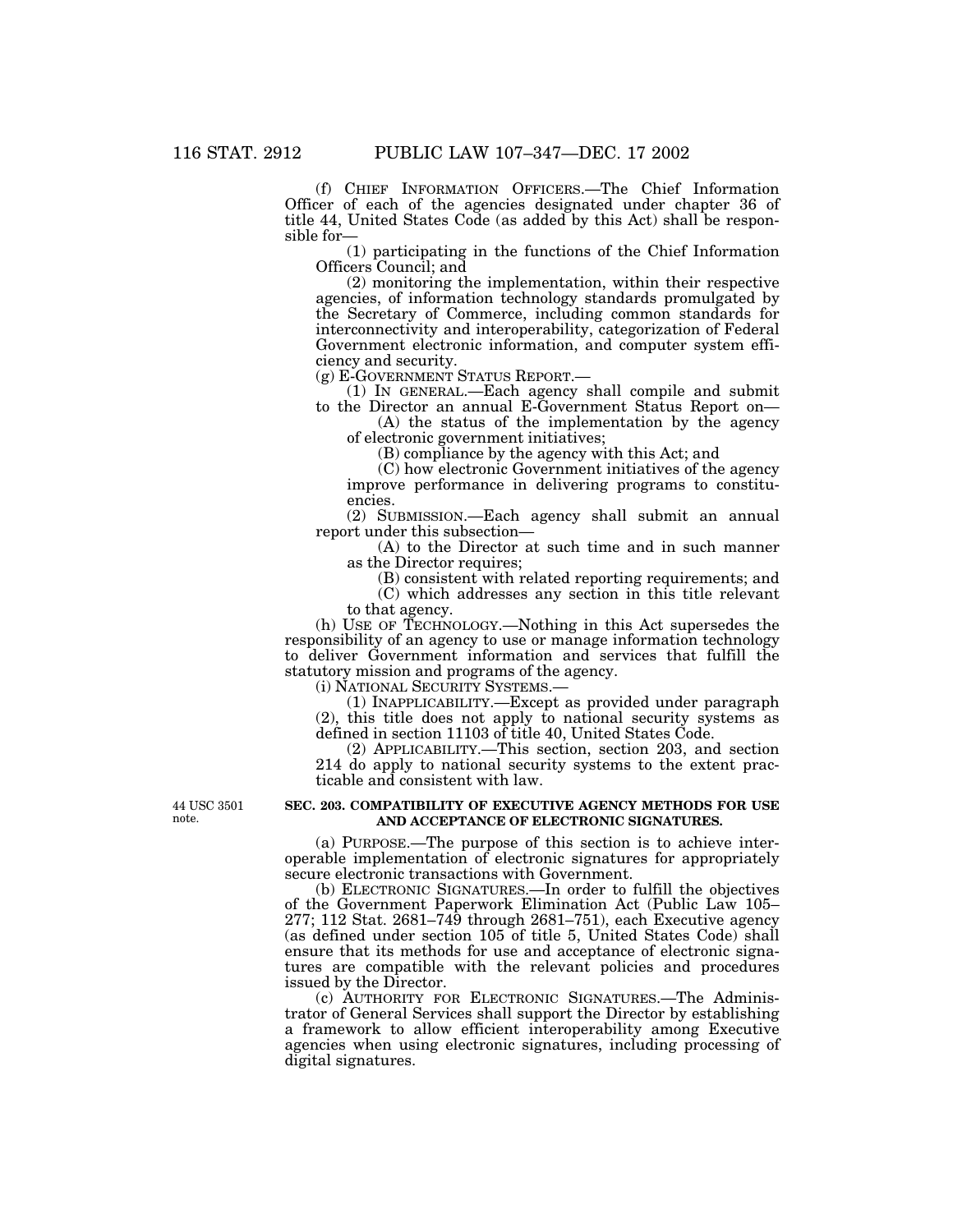(f) CHIEF INFORMATION OFFICERS.—The Chief Information Officer of each of the agencies designated under chapter 36 of title 44, United States Code (as added by this Act) shall be responsible for—

(1) participating in the functions of the Chief Information Officers Council; and

(2) monitoring the implementation, within their respective agencies, of information technology standards promulgated by the Secretary of Commerce, including common standards for interconnectivity and interoperability, categorization of Federal Government electronic information, and computer system efficiency and security.<br>(g) E-GOVERNMENT STATUS REPORT.—

 $(1)$  In GENERAL.—Each agency shall compile and submit to the Director an annual E-Government Status Report on— (A) the status of the implementation by the agency

of electronic government initiatives;

(B) compliance by the agency with this Act; and

(C) how electronic Government initiatives of the agency improve performance in delivering programs to constituencies.

(2) SUBMISSION.—Each agency shall submit an annual report under this subsection—

(A) to the Director at such time and in such manner as the Director requires;

(B) consistent with related reporting requirements; and (C) which addresses any section in this title relevant to that agency.

(h) USE OF TECHNOLOGY.—Nothing in this Act supersedes the responsibility of an agency to use or manage information technology to deliver Government information and services that fulfill the statutory mission and programs of the agency.

(i) NATIONAL SECURITY SYSTEMS.—

(1) INAPPLICABILITY.—Except as provided under paragraph (2), this title does not apply to national security systems as defined in section 11103 of title 40, United States Code.

(2) APPLICABILITY.—This section, section 203, and section 214 do apply to national security systems to the extent practicable and consistent with law.

44 USC 3501 note.

### **SEC. 203. COMPATIBILITY OF EXECUTIVE AGENCY METHODS FOR USE AND ACCEPTANCE OF ELECTRONIC SIGNATURES.**

(a) PURPOSE.—The purpose of this section is to achieve interoperable implementation of electronic signatures for appropriately secure electronic transactions with Government.

(b) ELECTRONIC SIGNATURES.—In order to fulfill the objectives of the Government Paperwork Elimination Act (Public Law 105– 277; 112 Stat. 2681–749 through 2681–751), each Executive agency (as defined under section 105 of title 5, United States Code) shall ensure that its methods for use and acceptance of electronic signatures are compatible with the relevant policies and procedures issued by the Director.

(c) AUTHORITY FOR ELECTRONIC SIGNATURES.—The Administrator of General Services shall support the Director by establishing a framework to allow efficient interoperability among Executive agencies when using electronic signatures, including processing of digital signatures.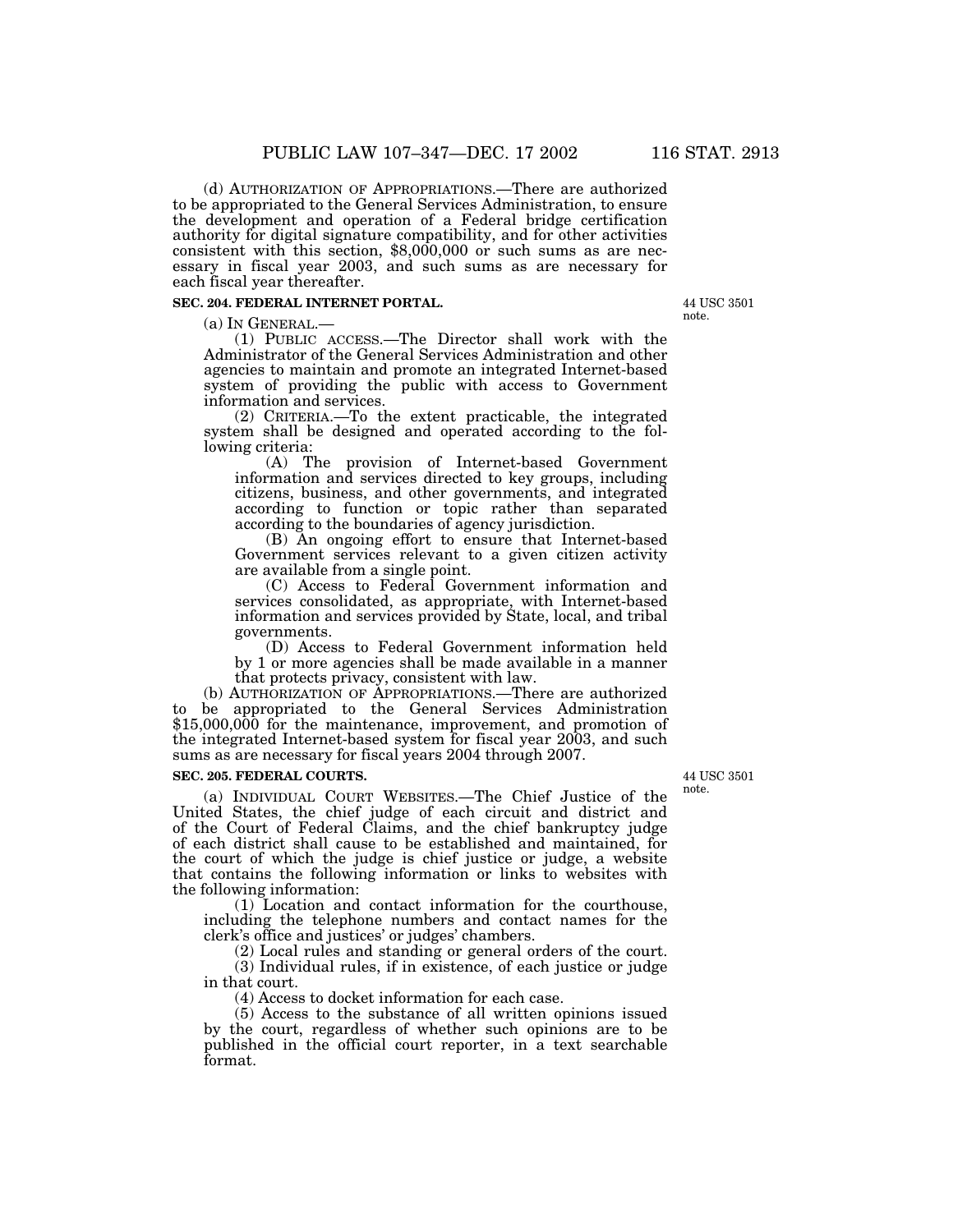(d) AUTHORIZATION OF APPROPRIATIONS.—There are authorized to be appropriated to the General Services Administration, to ensure the development and operation of a Federal bridge certification authority for digital signature compatibility, and for other activities consistent with this section, \$8,000,000 or such sums as are necessary in fiscal year 2003, and such sums as are necessary for each fiscal year thereafter.

# **SEC. 204. FEDERAL INTERNET PORTAL.**

(a) IN GENERAL.— (1) PUBLIC ACCESS.—The Director shall work with the Administrator of the General Services Administration and other agencies to maintain and promote an integrated Internet-based system of providing the public with access to Government information and services.

(2) CRITERIA.—To the extent practicable, the integrated system shall be designed and operated according to the following criteria:

(A) The provision of Internet-based Government information and services directed to key groups, including citizens, business, and other governments, and integrated according to function or topic rather than separated according to the boundaries of agency jurisdiction.

(B) An ongoing effort to ensure that Internet-based Government services relevant to a given citizen activity are available from a single point.

(C) Access to Federal Government information and services consolidated, as appropriate, with Internet-based information and services provided by State, local, and tribal governments.

(D) Access to Federal Government information held by 1 or more agencies shall be made available in a manner that protects privacy, consistent with law.

(b) AUTHORIZATION OF APPROPRIATIONS.—There are authorized to be appropriated to the General Services Administration \$15,000,000 for the maintenance, improvement, and promotion of the integrated Internet-based system for fiscal year 2003, and such sums as are necessary for fiscal years 2004 through 2007.

### **SEC. 205. FEDERAL COURTS.**

(a) INDIVIDUAL COURT WEBSITES.—The Chief Justice of the United States, the chief judge of each circuit and district and of the Court of Federal Claims, and the chief bankruptcy judge of each district shall cause to be established and maintained, for the court of which the judge is chief justice or judge, a website that contains the following information or links to websites with the following information:

(1) Location and contact information for the courthouse, including the telephone numbers and contact names for the clerk's office and justices' or judges' chambers.

(2) Local rules and standing or general orders of the court.

(3) Individual rules, if in existence, of each justice or judge in that court.

(4) Access to docket information for each case.

(5) Access to the substance of all written opinions issued by the court, regardless of whether such opinions are to be published in the official court reporter, in a text searchable format.

44 USC 3501 note.

44 USC 3501 note.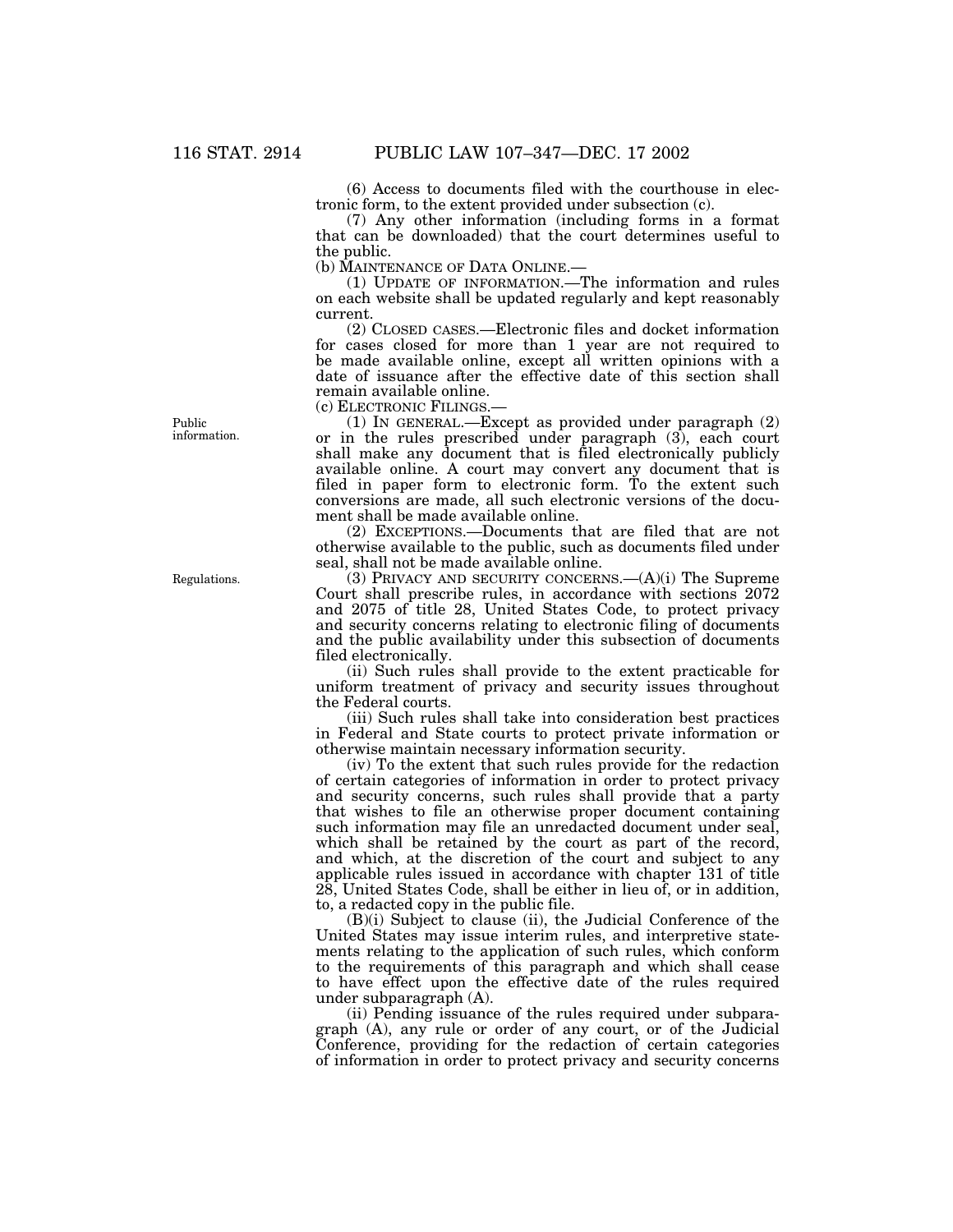(6) Access to documents filed with the courthouse in electronic form, to the extent provided under subsection (c).

(7) Any other information (including forms in a format that can be downloaded) that the court determines useful to the public.<br>(b) MAINTENANCE OF DATA ONLINE.-

 $(1)$  UPDATE OF INFORMATION.—The information and rules on each website shall be updated regularly and kept reasonably current.

(2) CLOSED CASES.—Electronic files and docket information for cases closed for more than 1 year are not required to be made available online, except all written opinions with a date of issuance after the effective date of this section shall remain available online.<br>(c) ELECTRONIC FILINGS.

(1) IN GENERAL.—Except as provided under paragraph  $(2)$ or in the rules prescribed under paragraph (3), each court shall make any document that is filed electronically publicly available online. A court may convert any document that is filed in paper form to electronic form. To the extent such conversions are made, all such electronic versions of the document shall be made available online.

(2) EXCEPTIONS.—Documents that are filed that are not otherwise available to the public, such as documents filed under seal, shall not be made available online.

(3) PRIVACY AND SECURITY CONCERNS.—(A)(i) The Supreme Court shall prescribe rules, in accordance with sections 2072 and 2075 of title 28, United States Code, to protect privacy and security concerns relating to electronic filing of documents and the public availability under this subsection of documents filed electronically.

(ii) Such rules shall provide to the extent practicable for uniform treatment of privacy and security issues throughout the Federal courts.

(iii) Such rules shall take into consideration best practices in Federal and State courts to protect private information or otherwise maintain necessary information security.

(iv) To the extent that such rules provide for the redaction of certain categories of information in order to protect privacy and security concerns, such rules shall provide that a party that wishes to file an otherwise proper document containing such information may file an unredacted document under seal, which shall be retained by the court as part of the record, and which, at the discretion of the court and subject to any applicable rules issued in accordance with chapter 131 of title 28, United States Code, shall be either in lieu of, or in addition, to, a redacted copy in the public file.

(B)(i) Subject to clause (ii), the Judicial Conference of the United States may issue interim rules, and interpretive statements relating to the application of such rules, which conform to the requirements of this paragraph and which shall cease to have effect upon the effective date of the rules required under subparagraph (A).

(ii) Pending issuance of the rules required under subparagraph (A), any rule or order of any court, or of the Judicial Conference, providing for the redaction of certain categories of information in order to protect privacy and security concerns

Public information.

Regulations.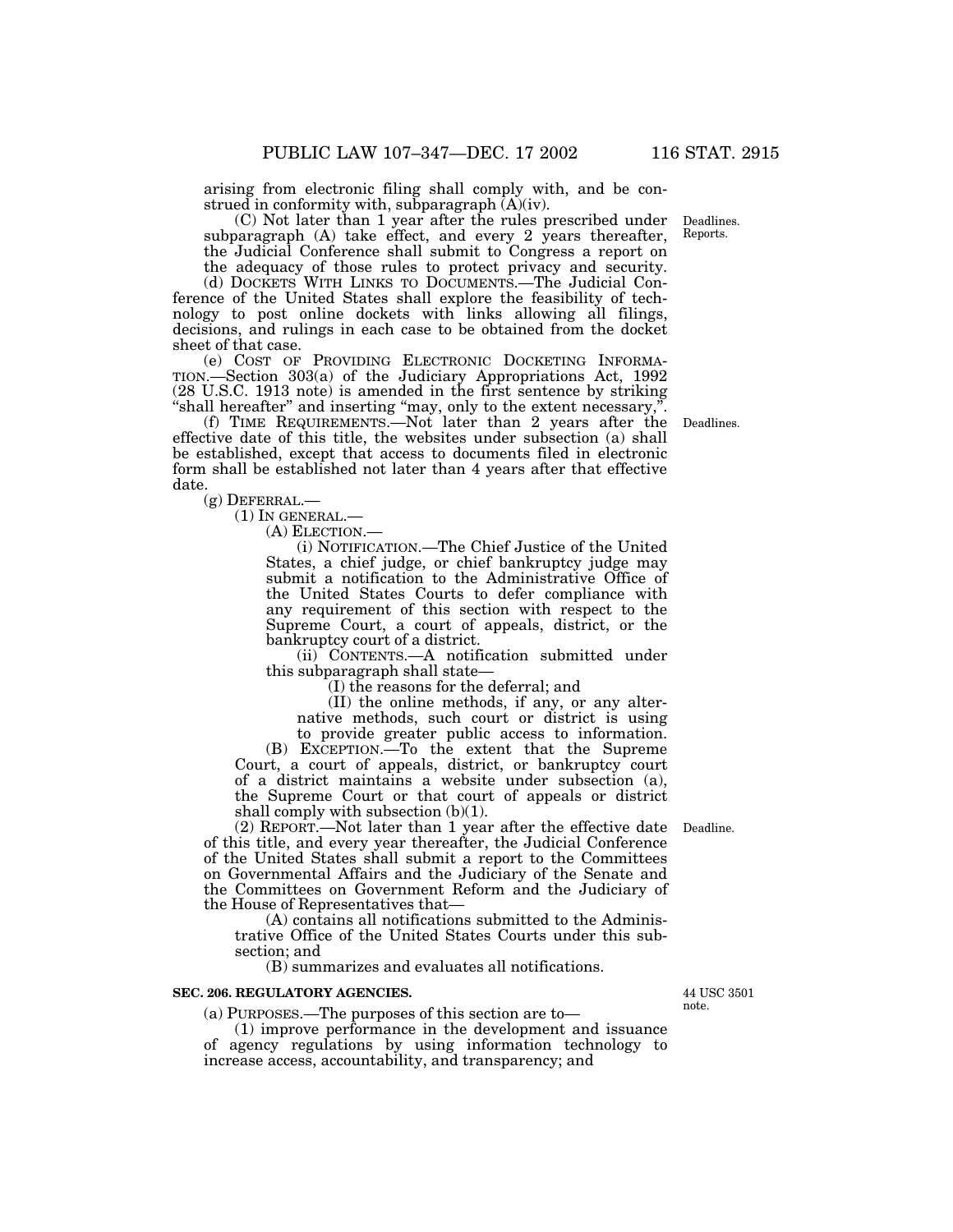arising from electronic filing shall comply with, and be construed in conformity with, subparagraph  $\overline{A}(iv)$ .

(C) Not later than 1 year after the rules prescribed under subparagraph (A) take effect, and every 2 years thereafter, the Judicial Conference shall submit to Congress a report on the adequacy of those rules to protect privacy and security.

(d) DOCKETS WITH LINKS TO DOCUMENTS.—The Judicial Conference of the United States shall explore the feasibility of technology to post online dockets with links allowing all filings, decisions, and rulings in each case to be obtained from the docket sheet of that case.<br>
(e) COST OF PROVIDING ELECTRONIC DOCKETING INFORMA-

TION.—Section 303(a) of the Judiciary Appropriations Act, 1992 (28 U.S.C. 1913 note) is amended in the first sentence by striking ''shall hereafter'' and inserting ''may, only to the extent necessary,''. (f) TIME REQUIREMENTS.—Not later than 2 years after the

effective date of this title, the websites under subsection (a) shall be established, except that access to documents filed in electronic form shall be established not later than 4 years after that effective date.

(g) DEFERRAL.—

(1) IN GENERAL.—

(A) ELECTION.—

(i) NOTIFICATION.—The Chief Justice of the United States, a chief judge, or chief bankruptcy judge may submit a notification to the Administrative Office of the United States Courts to defer compliance with any requirement of this section with respect to the Supreme Court, a court of appeals, district, or the bankruptcy court of a district.

(ii) CONTENTS.—A notification submitted under this subparagraph shall state—

(I) the reasons for the deferral; and

(II) the online methods, if any, or any alternative methods, such court or district is using to provide greater public access to information.

(B) EXCEPTION.—To the extent that the Supreme Court, a court of appeals, district, or bankruptcy court of a district maintains a website under subsection (a), the Supreme Court or that court of appeals or district shall comply with subsection  $(b)(1)$ .

(2) REPORT.—Not later than 1 year after the effective date Deadline. of this title, and every year thereafter, the Judicial Conference of the United States shall submit a report to the Committees on Governmental Affairs and the Judiciary of the Senate and the Committees on Government Reform and the Judiciary of the House of Representatives that—

(A) contains all notifications submitted to the Administrative Office of the United States Courts under this subsection; and

(B) summarizes and evaluates all notifications.

# **SEC. 206. REGULATORY AGENCIES.**

(a) PURPOSES.—The purposes of this section are to—

(1) improve performance in the development and issuance of agency regulations by using information technology to increase access, accountability, and transparency; and

44 USC 3501 note.

Deadlines.

Deadlines. Reports.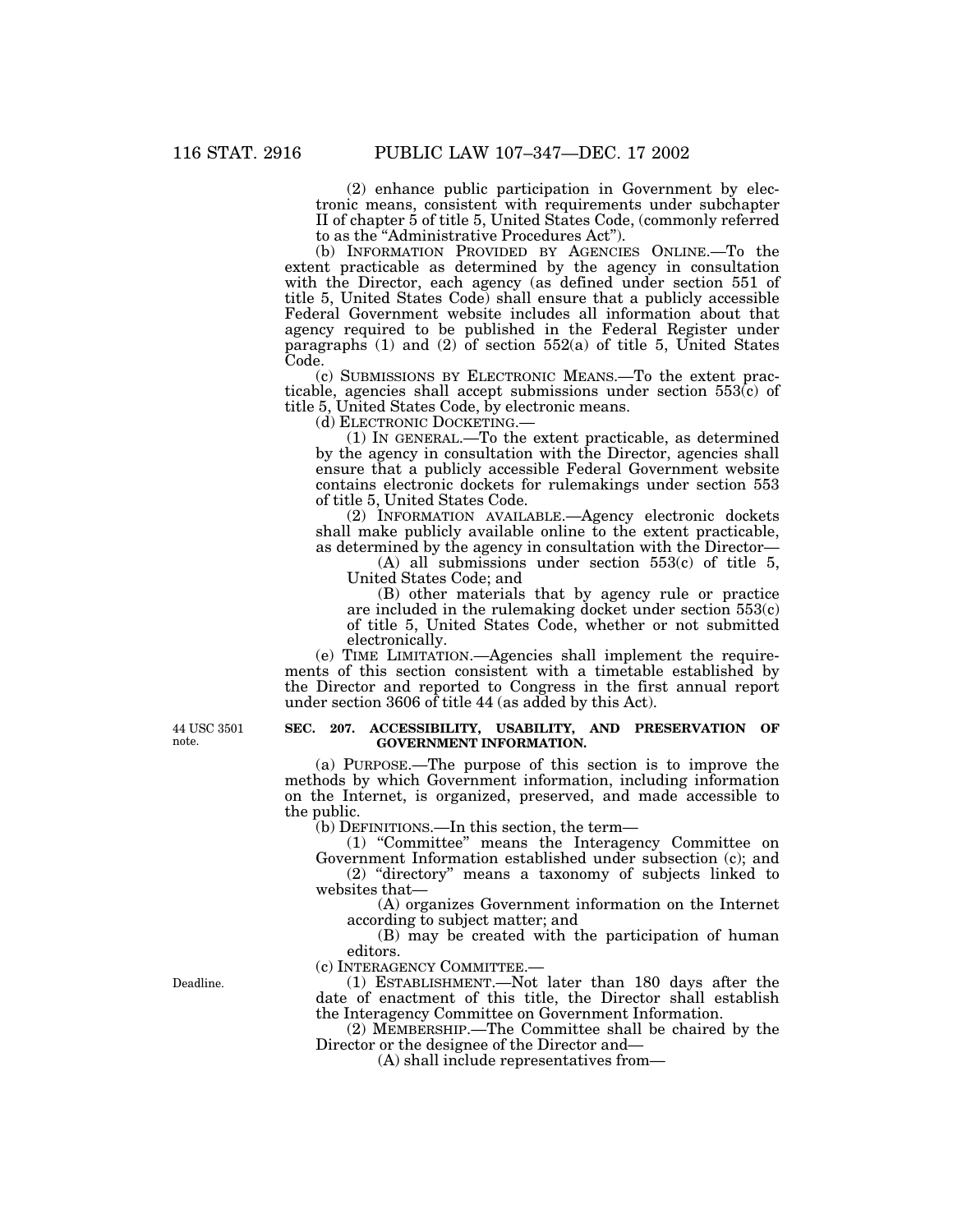(2) enhance public participation in Government by electronic means, consistent with requirements under subchapter II of chapter 5 of title 5, United States Code, (commonly referred to as the ''Administrative Procedures Act'').

(b) INFORMATION PROVIDED BY AGENCIES ONLINE.—To the extent practicable as determined by the agency in consultation with the Director, each agency (as defined under section 551 of title 5, United States Code) shall ensure that a publicly accessible Federal Government website includes all information about that agency required to be published in the Federal Register under paragraphs  $(1)$  and  $(2)$  of section  $552(a)$  of title 5, United States Code.

(c) SUBMISSIONS BY ELECTRONIC MEANS.—To the extent practicable, agencies shall accept submissions under section  $553(c)$  of title 5, United States Code, by electronic means.<br>(d) ELECTRONIC DOCKETING.—

 $(1)$  In GENERAL.—To the extent practicable, as determined by the agency in consultation with the Director, agencies shall ensure that a publicly accessible Federal Government website contains electronic dockets for rulemakings under section 553 of title 5, United States Code.

(2) INFORMATION AVAILABLE.—Agency electronic dockets shall make publicly available online to the extent practicable, as determined by the agency in consultation with the Director—

 $(A)$  all submissions under section 553 $(c)$  of title 5, United States Code; and

(B) other materials that by agency rule or practice are included in the rulemaking docket under section 553(c) of title 5, United States Code, whether or not submitted electronically.

(e) TIME LIMITATION.—Agencies shall implement the requirements of this section consistent with a timetable established by the Director and reported to Congress in the first annual report under section 3606 of title 44 (as added by this Act).

44 USC 3501 note.

### **SEC. 207. ACCESSIBILITY, USABILITY, AND PRESERVATION OF GOVERNMENT INFORMATION.**

(a) PURPOSE.—The purpose of this section is to improve the methods by which Government information, including information on the Internet, is organized, preserved, and made accessible to the public.

(b) DEFINITIONS.—In this section, the term—

(1) ''Committee'' means the Interagency Committee on Government Information established under subsection (c); and

(2) ''directory'' means a taxonomy of subjects linked to websites that—

(A) organizes Government information on the Internet according to subject matter; and

(B) may be created with the participation of human

editors.<br>(c) INTERAGENCY COMMITTEE.—

(1) ESTABLISHMENT.—Not later than  $180$  days after the date of enactment of this title, the Director shall establish the Interagency Committee on Government Information.

(2) MEMBERSHIP.—The Committee shall be chaired by the Director or the designee of the Director and—<br>(A) shall include representatives from—

Deadline.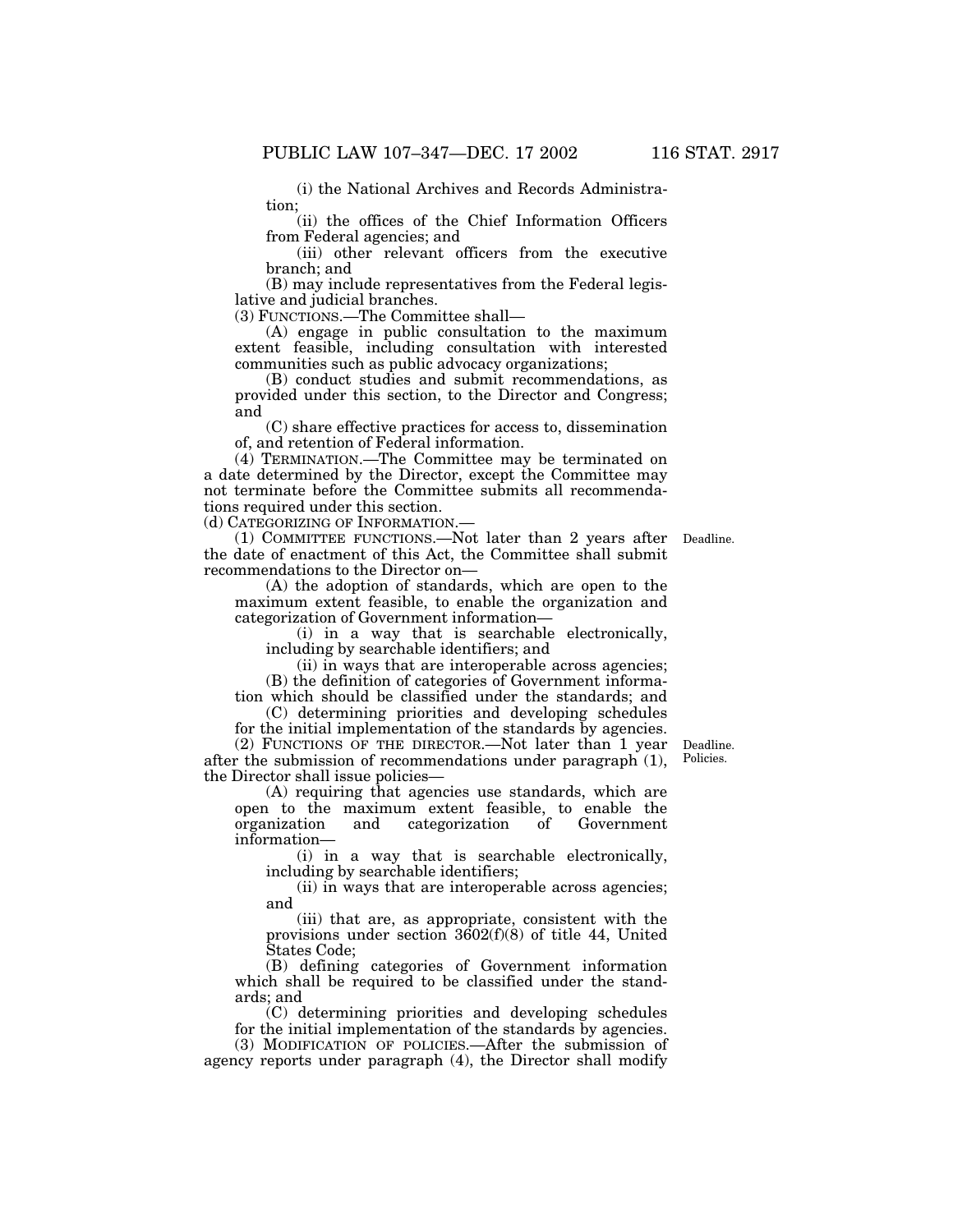(i) the National Archives and Records Administration;

(ii) the offices of the Chief Information Officers from Federal agencies; and

(iii) other relevant officers from the executive branch; and

(B) may include representatives from the Federal legislative and judicial branches.

(3) FUNCTIONS.—The Committee shall—

(A) engage in public consultation to the maximum extent feasible, including consultation with interested communities such as public advocacy organizations;

(B) conduct studies and submit recommendations, as provided under this section, to the Director and Congress; and

(C) share effective practices for access to, dissemination of, and retention of Federal information.

(4) TERMINATION.—The Committee may be terminated on a date determined by the Director, except the Committee may not terminate before the Committee submits all recommendations required under this section.

(d) CATEGORIZING OF INFORMATION.—

(1) COMMITTEE FUNCTIONS.—Not later than 2 years after the date of enactment of this Act, the Committee shall submit recommendations to the Director on—

(A) the adoption of standards, which are open to the maximum extent feasible, to enable the organization and categorization of Government information—

(i) in a way that is searchable electronically, including by searchable identifiers; and

(ii) in ways that are interoperable across agencies; (B) the definition of categories of Government information which should be classified under the standards; and

(C) determining priorities and developing schedules for the initial implementation of the standards by agencies.

(2) FUNCTIONS OF THE DIRECTOR.—Not later than 1 year after the submission of recommendations under paragraph (1), the Director shall issue policies—

(A) requiring that agencies use standards, which are open to the maximum extent feasible, to enable the organization and categorization of Government information—

(i) in a way that is searchable electronically, including by searchable identifiers;

(ii) in ways that are interoperable across agencies; and

(iii) that are, as appropriate, consistent with the provisions under section 3602(f)(8) of title 44, United States Code;

(B) defining categories of Government information which shall be required to be classified under the standards; and

(C) determining priorities and developing schedules for the initial implementation of the standards by agencies.

(3) MODIFICATION OF POLICIES.—After the submission of agency reports under paragraph (4), the Director shall modify

Deadline. Policies.

Deadline.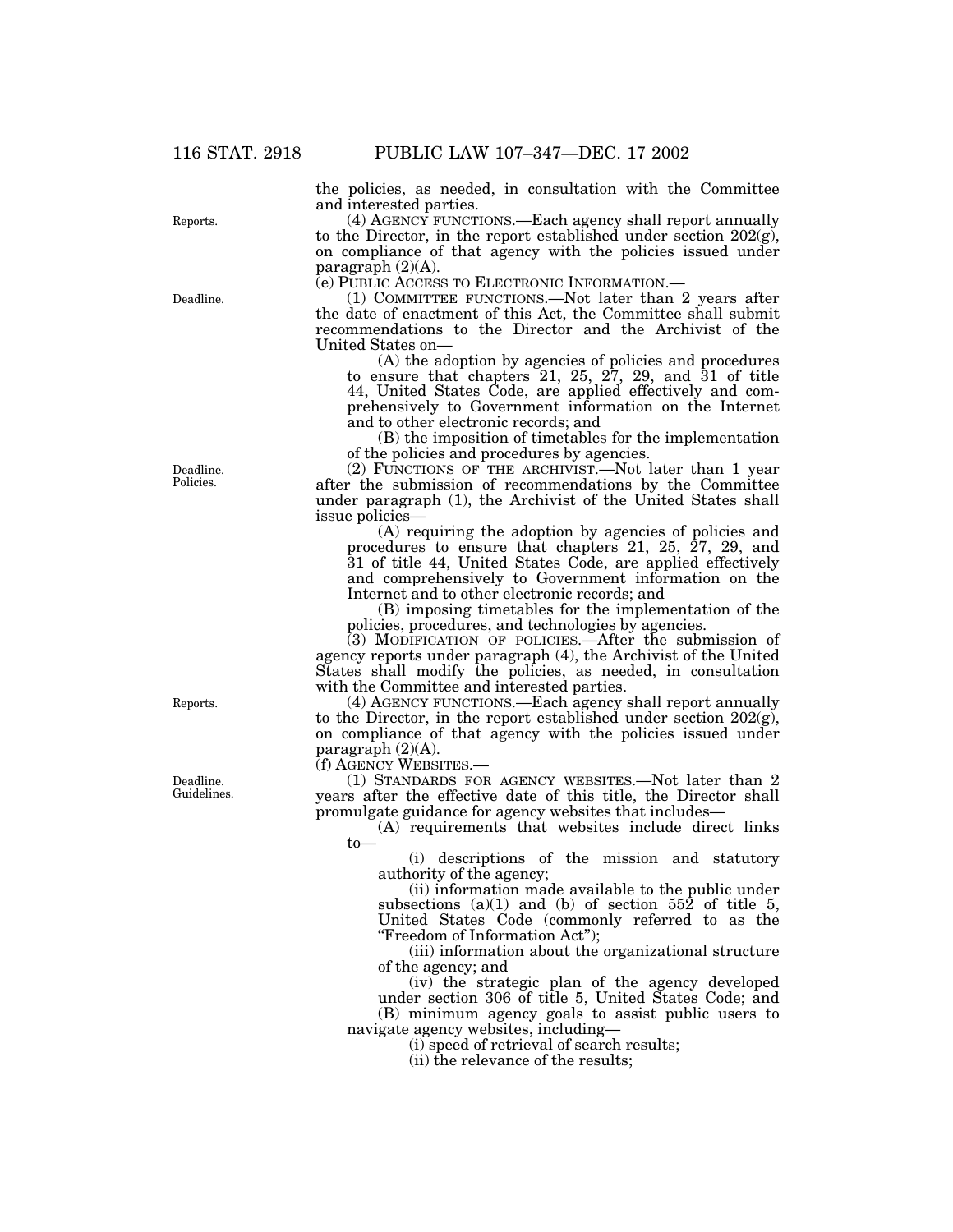the policies, as needed, in consultation with the Committee and interested parties.

(4) AGENCY FUNCTIONS.—Each agency shall report annually to the Director, in the report established under section 202(g), on compliance of that agency with the policies issued under paragraph (2)(A).<br>(e) PUBLIC ACCESS TO ELECTRONIC INFORMATION.—

 $(1)$  COMMITTEE FUNCTIONS.—Not later than 2 years after the date of enactment of this Act, the Committee shall submit recommendations to the Director and the Archivist of the

 $(A)$  the adoption by agencies of policies and procedures to ensure that chapters 21, 25, 27, 29, and 31 of title 44, United States Code, are applied effectively and comprehensively to Government information on the Internet and to other electronic records; and

(B) the imposition of timetables for the implementation of the policies and procedures by agencies.

(2) FUNCTIONS OF THE ARCHIVIST.—Not later than 1 year after the submission of recommendations by the Committee under paragraph (1), the Archivist of the United States shall issue policies—

(A) requiring the adoption by agencies of policies and procedures to ensure that chapters 21, 25, 27, 29, and 31 of title 44, United States Code, are applied effectively and comprehensively to Government information on the Internet and to other electronic records; and

(B) imposing timetables for the implementation of the policies, procedures, and technologies by agencies.

(3) MODIFICATION OF POLICIES.—After the submission of agency reports under paragraph (4), the Archivist of the United States shall modify the policies, as needed, in consultation with the Committee and interested parties.

(4) AGENCY FUNCTIONS.—Each agency shall report annually to the Director, in the report established under section 202(g), on compliance of that agency with the policies issued under paragraph (2)(A).

(f) AGENCY WEBSITES.—

(1) STANDARDS FOR AGENCY WEBSITES.—Not later than 2 years after the effective date of this title, the Director shall promulgate guidance for agency websites that includes—

(A) requirements that websites include direct links to—

(i) descriptions of the mission and statutory authority of the agency;

(ii) information made available to the public under subsections (a)(1) and (b) of section  $55\overline{2}$  of title 5, United States Code (commonly referred to as the ''Freedom of Information Act'');

(iii) information about the organizational structure of the agency; and

(iv) the strategic plan of the agency developed under section 306 of title 5, United States Code; and (B) minimum agency goals to assist public users to

navigate agency websites, including—

(i) speed of retrieval of search results;

(ii) the relevance of the results;

Reports.

Deadline.

Deadline. Policies.

Reports.

Deadline. Guidelines.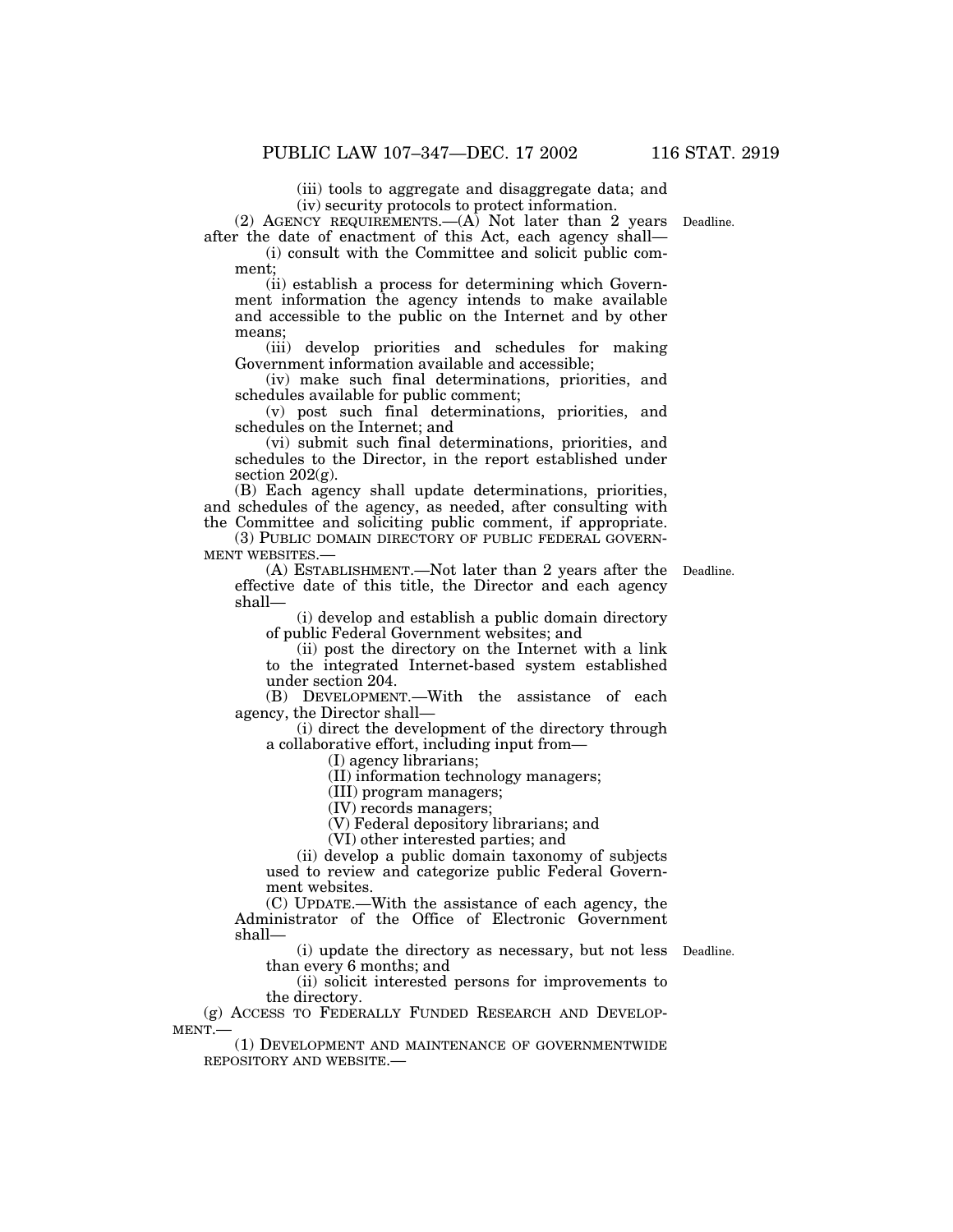(iii) tools to aggregate and disaggregate data; and (iv) security protocols to protect information.

(2) AGENCY REQUIREMENTS.  $-(A)$  Not later than 2 years Deadline. after the date of enactment of this Act, each agency shall—

(i) consult with the Committee and solicit public comment;

(ii) establish a process for determining which Government information the agency intends to make available and accessible to the public on the Internet and by other means;

(iii) develop priorities and schedules for making Government information available and accessible;

(iv) make such final determinations, priorities, and schedules available for public comment;

(v) post such final determinations, priorities, and schedules on the Internet; and

(vi) submit such final determinations, priorities, and schedules to the Director, in the report established under section  $202(g)$ .

(B) Each agency shall update determinations, priorities, and schedules of the agency, as needed, after consulting with

the Committee and soliciting public comment, if appropriate. (3) PUBLIC DOMAIN DIRECTORY OF PUBLIC FEDERAL GOVERN-MENT WEBSITES.—

(A) ESTABLISHMENT.—Not later than 2 years after the Deadline. effective date of this title, the Director and each agency shall—

(i) develop and establish a public domain directory of public Federal Government websites; and

(ii) post the directory on the Internet with a link to the integrated Internet-based system established under section 204.

(B) DEVELOPMENT.—With the assistance of each agency, the Director shall—

(i) direct the development of the directory through a collaborative effort, including input from—

(I) agency librarians;

(II) information technology managers;

(III) program managers;

(IV) records managers;

(V) Federal depository librarians; and

(VI) other interested parties; and

(ii) develop a public domain taxonomy of subjects used to review and categorize public Federal Government websites.

(C) UPDATE.—With the assistance of each agency, the Administrator of the Office of Electronic Government shall—

(i) update the directory as necessary, but not less Deadline. than every 6 months; and

(ii) solicit interested persons for improvements to the directory.

(g) ACCESS TO FEDERALLY FUNDED RESEARCH AND DEVELOP-MENT.—

(1) DEVELOPMENT AND MAINTENANCE OF GOVERNMENTWIDE REPOSITORY AND WEBSITE.—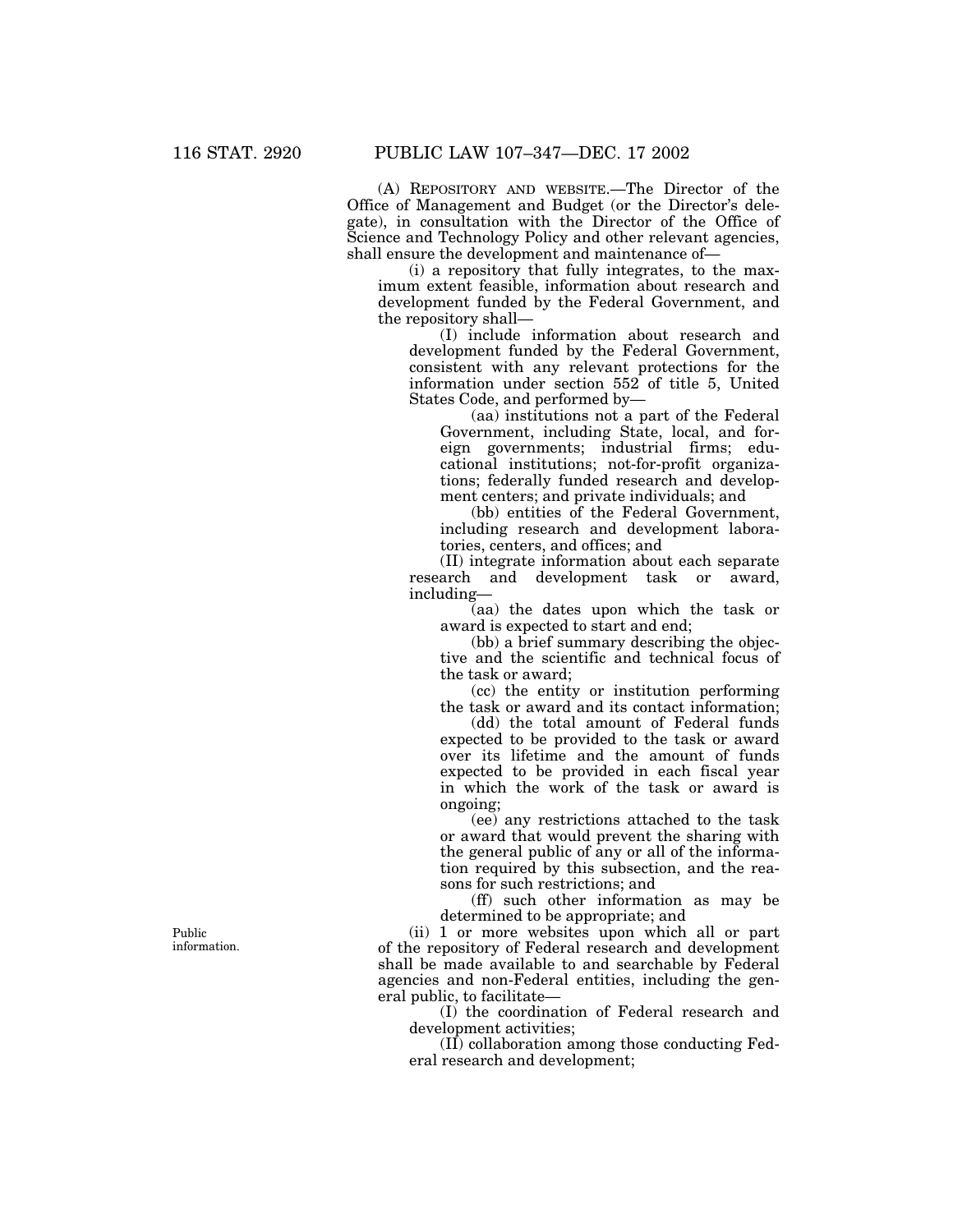(A) REPOSITORY AND WEBSITE.—The Director of the Office of Management and Budget (or the Director's delegate), in consultation with the Director of the Office of Science and Technology Policy and other relevant agencies, shall ensure the development and maintenance of—

(i) a repository that fully integrates, to the maximum extent feasible, information about research and development funded by the Federal Government, and the repository shall—

(I) include information about research and development funded by the Federal Government, consistent with any relevant protections for the information under section 552 of title 5, United States Code, and performed by—

(aa) institutions not a part of the Federal Government, including State, local, and foreign governments; industrial firms; educational institutions; not-for-profit organizations; federally funded research and development centers; and private individuals; and

(bb) entities of the Federal Government, including research and development laboratories, centers, and offices; and

(II) integrate information about each separate research and development task or award, including—

(aa) the dates upon which the task or award is expected to start and end;

(bb) a brief summary describing the objective and the scientific and technical focus of the task or award;

(cc) the entity or institution performing the task or award and its contact information;

(dd) the total amount of Federal funds expected to be provided to the task or award over its lifetime and the amount of funds expected to be provided in each fiscal year in which the work of the task or award is ongoing;

(ee) any restrictions attached to the task or award that would prevent the sharing with the general public of any or all of the information required by this subsection, and the reasons for such restrictions; and

(ff) such other information as may be determined to be appropriate; and

(ii) 1 or more websites upon which all or part of the repository of Federal research and development shall be made available to and searchable by Federal agencies and non-Federal entities, including the general public, to facilitate—

(I) the coordination of Federal research and development activities;

(II) collaboration among those conducting Federal research and development;

Public information.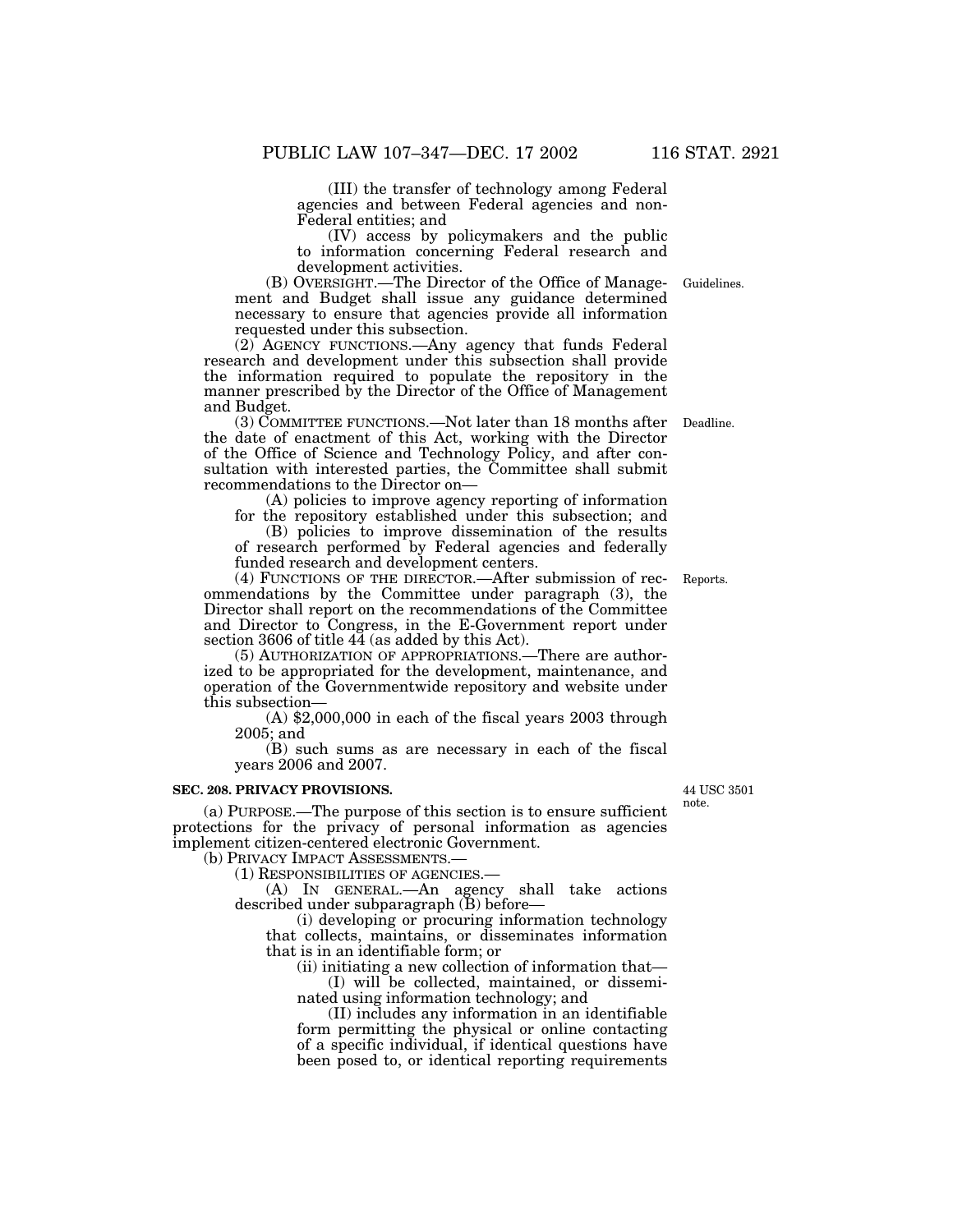(III) the transfer of technology among Federal agencies and between Federal agencies and non-Federal entities; and

(IV) access by policymakers and the public to information concerning Federal research and development activities.

(B) OVERSIGHT.—The Director of the Office of Management and Budget shall issue any guidance determined necessary to ensure that agencies provide all information requested under this subsection.

(2) AGENCY FUNCTIONS.—Any agency that funds Federal research and development under this subsection shall provide the information required to populate the repository in the manner prescribed by the Director of the Office of Management and Budget.

(3) COMMITTEE FUNCTIONS.—Not later than 18 months after the date of enactment of this Act, working with the Director of the Office of Science and Technology Policy, and after consultation with interested parties, the Committee shall submit recommendations to the Director on—

 $(A)$  policies to improve agency reporting of information

for the repository established under this subsection; and (B) policies to improve dissemination of the results of research performed by Federal agencies and federally funded research and development centers.

(4) FUNCTIONS OF THE DIRECTOR.—After submission of recommendations by the Committee under paragraph (3), the Director shall report on the recommendations of the Committee and Director to Congress, in the E-Government report under section 3606 of title  $4\overline{4}$  (as added by this Act).

(5) AUTHORIZATION OF APPROPRIATIONS.—There are authorized to be appropriated for the development, maintenance, and operation of the Governmentwide repository and website under this subsection—

(A) \$2,000,000 in each of the fiscal years 2003 through 2005; and

(B) such sums as are necessary in each of the fiscal years 2006 and 2007.

# **SEC. 208. PRIVACY PROVISIONS.**

(a) PURPOSE.—The purpose of this section is to ensure sufficient protections for the privacy of personal information as agencies implement citizen-centered electronic Government.

(b) PRIVACY IMPACT ASSESSMENTS.—

(1) RESPONSIBILITIES OF AGENCIES.—

(A) IN GENERAL.—An agency shall take actions described under subparagraph (B) before-

(i) developing or procuring information technology that collects, maintains, or disseminates information that is in an identifiable form; or

(ii) initiating a new collection of information that— (I) will be collected, maintained, or disseminated using information technology; and

(II) includes any information in an identifiable form permitting the physical or online contacting of a specific individual, if identical questions have been posed to, or identical reporting requirements

44 USC 3501 note.

Deadline.

Reports.

Guidelines.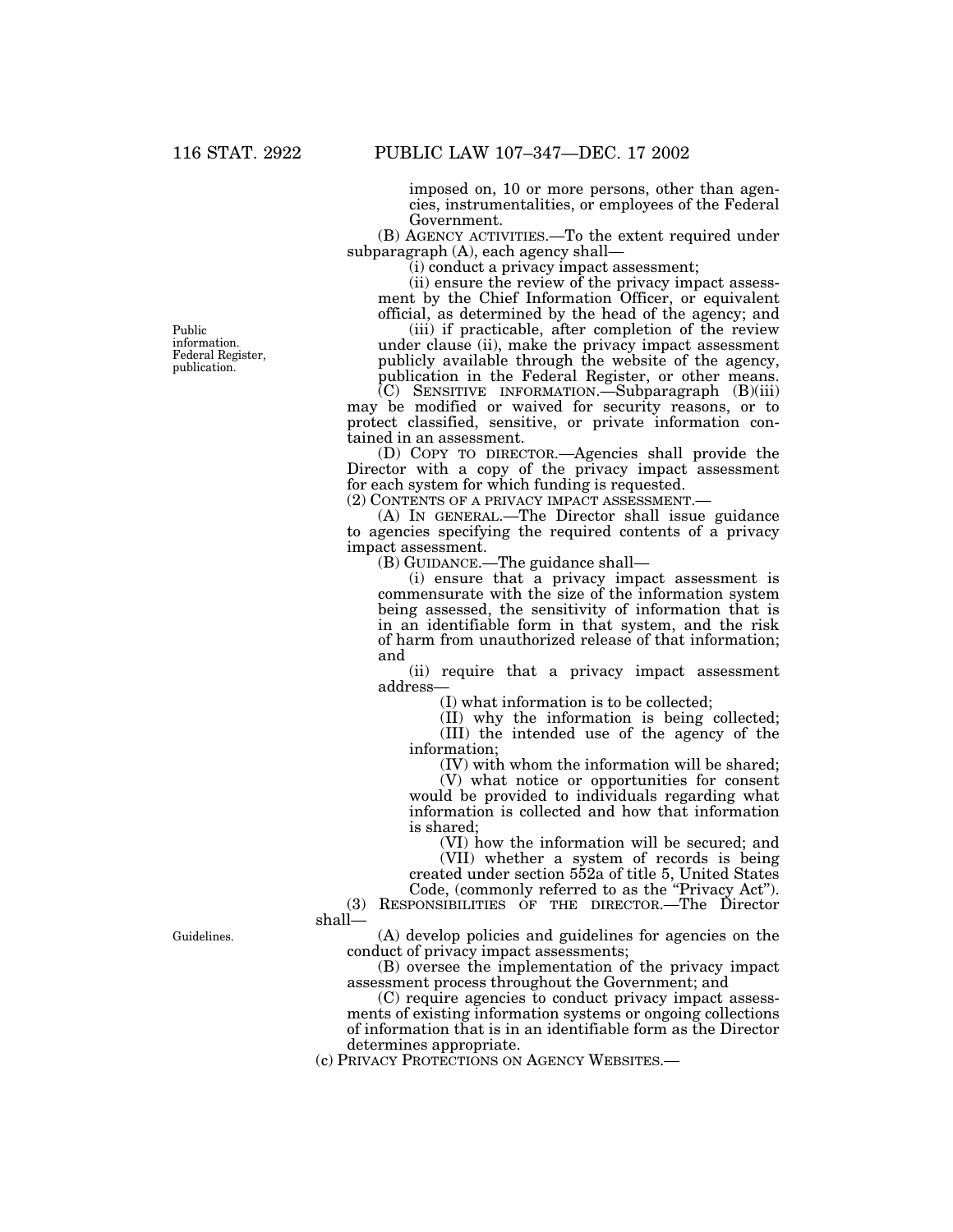imposed on, 10 or more persons, other than agencies, instrumentalities, or employees of the Federal Government.

(B) AGENCY ACTIVITIES.—To the extent required under

 $\tilde{a}$ ), conduct a privacy impact assessment;

(ii) ensure the review of the privacy impact assessment by the Chief Information Officer, or equivalent official, as determined by the head of the agency; and

(iii) if practicable, after completion of the review under clause (ii), make the privacy impact assessment publicly available through the website of the agency, publication in the Federal Register, or other means.

(C) SENSITIVE INFORMATION.—Subparagraph (B)(iii) may be modified or waived for security reasons, or to protect classified, sensitive, or private information contained in an assessment.

(D) COPY TO DIRECTOR.—Agencies shall provide the Director with a copy of the privacy impact assessment for each system for which funding is requested.

(2) CONTENTS OF A PRIVACY IMPACT ASSESSMENT.—

(A) IN GENERAL.—The Director shall issue guidance to agencies specifying the required contents of a privacy impact assessment.

(B) GUIDANCE.—The guidance shall—

(i) ensure that a privacy impact assessment is commensurate with the size of the information system being assessed, the sensitivity of information that is in an identifiable form in that system, and the risk of harm from unauthorized release of that information; and

(ii) require that a privacy impact assessment address—

(I) what information is to be collected;

(II) why the information is being collected; (III) the intended use of the agency of the information;

(IV) with whom the information will be shared;

(V) what notice or opportunities for consent would be provided to individuals regarding what information is collected and how that information is shared;

(VI) how the information will be secured; and (VII) whether a system of records is being

created under section 552a of title 5, United States Code, (commonly referred to as the "Privacy Act").

(3) RESPONSIBILITIES OF THE DIRECTOR.—The Director shall—

(A) develop policies and guidelines for agencies on the conduct of privacy impact assessments;

(B) oversee the implementation of the privacy impact assessment process throughout the Government; and

(C) require agencies to conduct privacy impact assessments of existing information systems or ongoing collections of information that is in an identifiable form as the Director determines appropriate.

(c) PRIVACY PROTECTIONS ON AGENCY WEBSITES.—

Public information. Federal Register, publication.

Guidelines.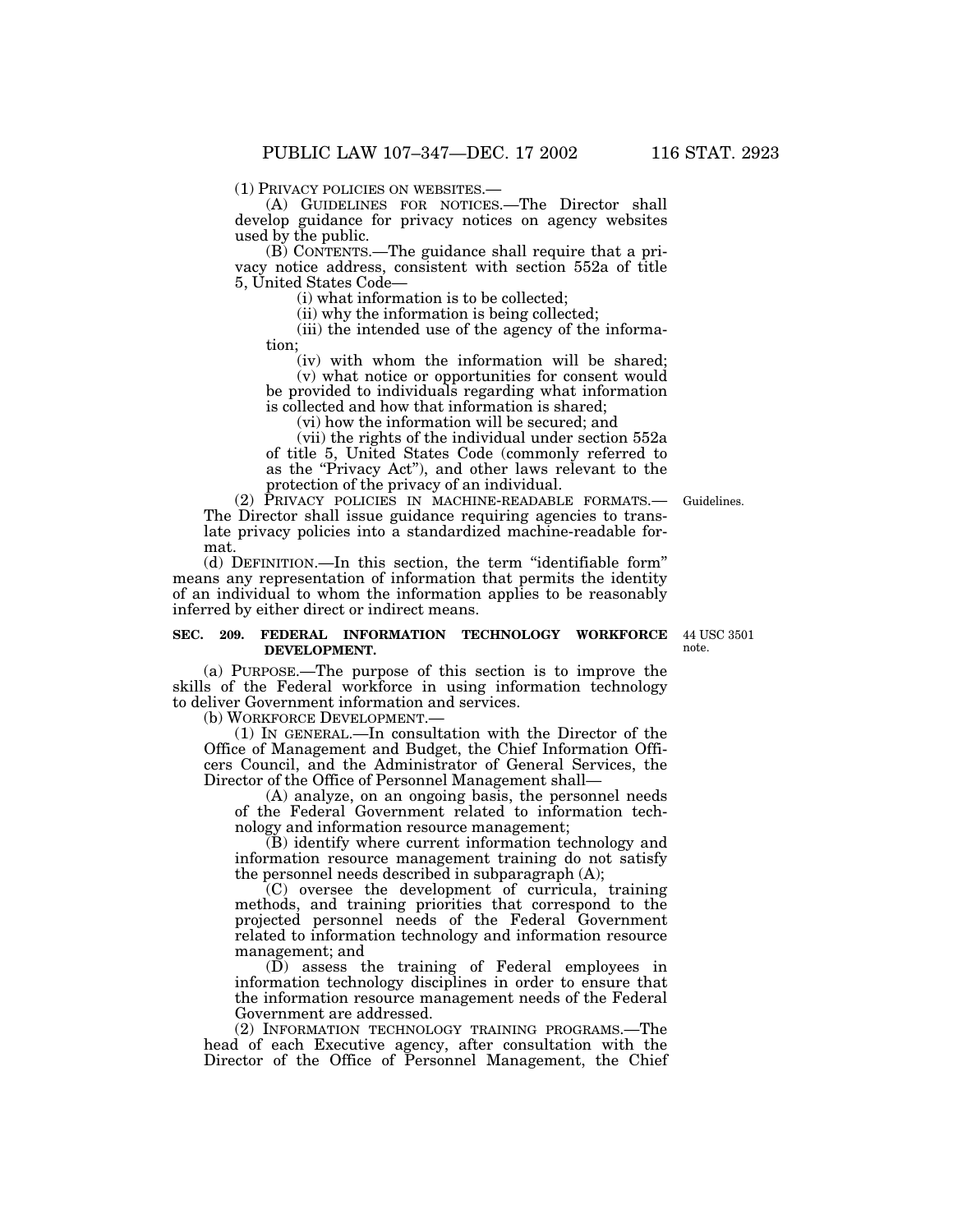(1) PRIVACY POLICIES ON WEBSITES.— (A) GUIDELINES FOR NOTICES.—The Director shall develop guidance for privacy notices on agency websites used by the public.

(B) CONTENTS.—The guidance shall require that a privacy notice address, consistent with section 552a of title

 $(i)$  what information is to be collected;

(ii) why the information is being collected;

(iii) the intended use of the agency of the information;

(iv) with whom the information will be shared; (v) what notice or opportunities for consent would

be provided to individuals regarding what information is collected and how that information is shared;

(vi) how the information will be secured; and

(vii) the rights of the individual under section 552a of title 5, United States Code (commonly referred to as the "Privacy Act"), and other laws relevant to the protection of the privacy of an individual.

Guidelines.

(2) PRIVACY POLICIES IN MACHINE-READABLE FORMATS.— The Director shall issue guidance requiring agencies to translate privacy policies into a standardized machine-readable format.

(d) DEFINITION.—In this section, the term ''identifiable form'' means any representation of information that permits the identity of an individual to whom the information applies to be reasonably inferred by either direct or indirect means.

### **SEC. 209. FEDERAL INFORMATION TECHNOLOGY WORKFORCE DEVELOPMENT.**

44 USC 3501 note.

(a) PURPOSE.—The purpose of this section is to improve the skills of the Federal workforce in using information technology to deliver Government information and services.<br>(b) WORKFORCE DEVELOPMENT.—

 $(1)$  In GENERAL.—In consultation with the Director of the Office of Management and Budget, the Chief Information Officers Council, and the Administrator of General Services, the Director of the Office of Personnel Management shall—

(A) analyze, on an ongoing basis, the personnel needs of the Federal Government related to information technology and information resource management;

(B) identify where current information technology and information resource management training do not satisfy the personnel needs described in subparagraph (A);

(C) oversee the development of curricula, training methods, and training priorities that correspond to the projected personnel needs of the Federal Government related to information technology and information resource management; and

(D) assess the training of Federal employees in information technology disciplines in order to ensure that the information resource management needs of the Federal Government are addressed.

(2) INFORMATION TECHNOLOGY TRAINING PROGRAMS.—The head of each Executive agency, after consultation with the Director of the Office of Personnel Management, the Chief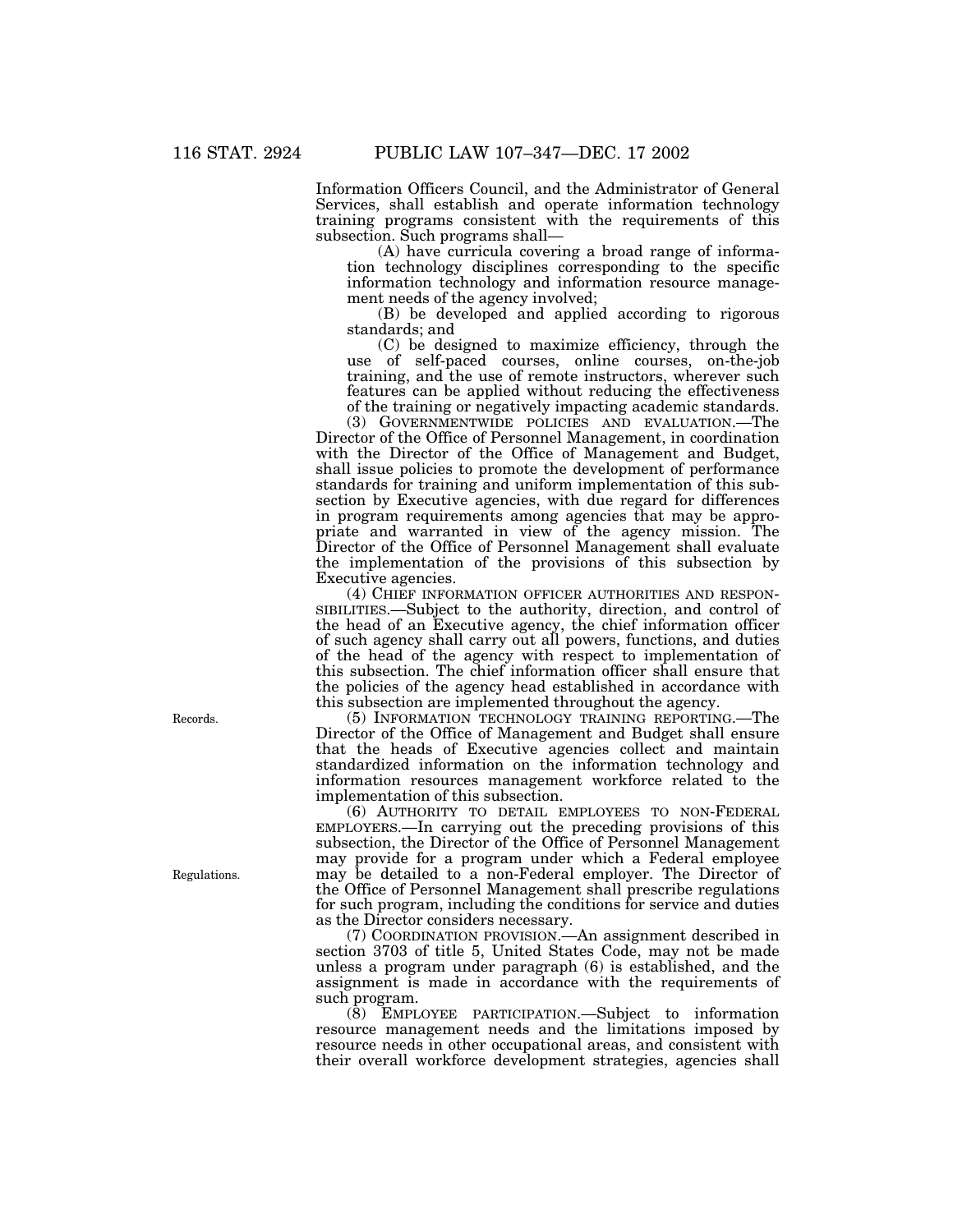Information Officers Council, and the Administrator of General Services, shall establish and operate information technology training programs consistent with the requirements of this subsection. Such programs shall—

(A) have curricula covering a broad range of information technology disciplines corresponding to the specific information technology and information resource management needs of the agency involved;

(B) be developed and applied according to rigorous standards; and

(C) be designed to maximize efficiency, through the use of self-paced courses, online courses, on-the-job training, and the use of remote instructors, wherever such features can be applied without reducing the effectiveness of the training or negatively impacting academic standards.

(3) GOVERNMENTWIDE POLICIES AND EVALUATION.—The Director of the Office of Personnel Management, in coordination with the Director of the Office of Management and Budget, shall issue policies to promote the development of performance standards for training and uniform implementation of this subsection by Executive agencies, with due regard for differences in program requirements among agencies that may be appropriate and warranted in view of the agency mission. The Director of the Office of Personnel Management shall evaluate the implementation of the provisions of this subsection by Executive agencies.

(4) CHIEF INFORMATION OFFICER AUTHORITIES AND RESPON-SIBILITIES.—Subject to the authority, direction, and control of the head of an Executive agency, the chief information officer of such agency shall carry out all powers, functions, and duties of the head of the agency with respect to implementation of this subsection. The chief information officer shall ensure that the policies of the agency head established in accordance with this subsection are implemented throughout the agency.

(5) INFORMATION TECHNOLOGY TRAINING REPORTING.—The Director of the Office of Management and Budget shall ensure that the heads of Executive agencies collect and maintain standardized information on the information technology and information resources management workforce related to the implementation of this subsection.

(6) AUTHORITY TO DETAIL EMPLOYEES TO NON-FEDERAL EMPLOYERS.—In carrying out the preceding provisions of this subsection, the Director of the Office of Personnel Management may provide for a program under which a Federal employee may be detailed to a non-Federal employer. The Director of the Office of Personnel Management shall prescribe regulations for such program, including the conditions for service and duties as the Director considers necessary.

(7) COORDINATION PROVISION.—An assignment described in section 3703 of title 5, United States Code, may not be made unless a program under paragraph (6) is established, and the assignment is made in accordance with the requirements of such program.

(8) EMPLOYEE PARTICIPATION.—Subject to information resource management needs and the limitations imposed by resource needs in other occupational areas, and consistent with their overall workforce development strategies, agencies shall

Records.

Regulations.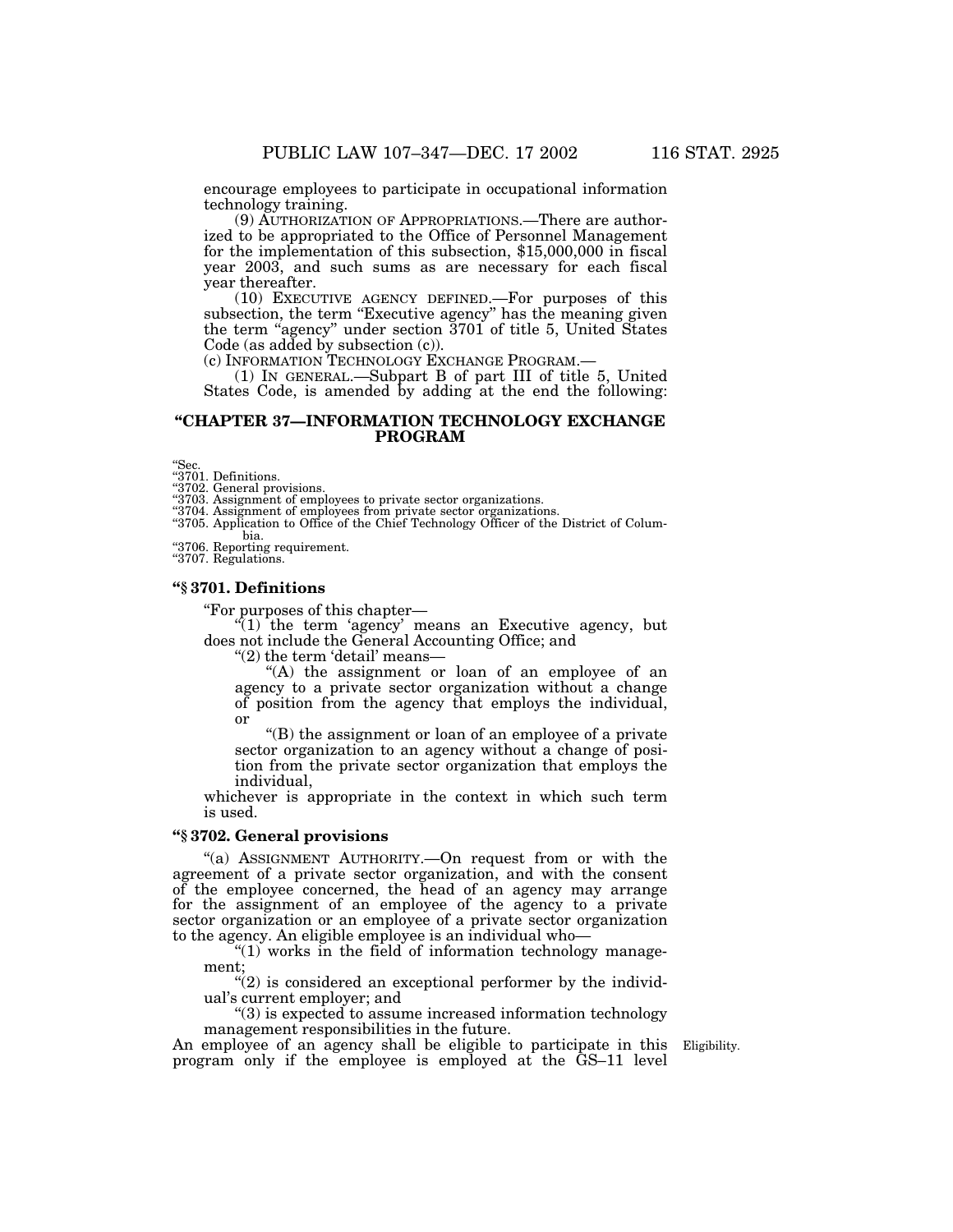encourage employees to participate in occupational information technology training.

(9) AUTHORIZATION OF APPROPRIATIONS.—There are authorized to be appropriated to the Office of Personnel Management for the implementation of this subsection, \$15,000,000 in fiscal year 2003, and such sums as are necessary for each fiscal year thereafter.

(10) EXECUTIVE AGENCY DEFINED.—For purposes of this subsection, the term "Executive agency" has the meaning given the term ''agency'' under section 3701 of title 5, United States Code (as added by subsection (c)).

(c) INFORMATION TECHNOLOGY EXCHANGE PROGRAM.— (1) IN GENERAL.—Subpart B of part III of title 5, United States Code, is amended by adding at the end the following:

# **''CHAPTER 37—INFORMATION TECHNOLOGY EXCHANGE PROGRAM**

''Sec.

''3701. Definitions. ''3702. General provisions. ''3703. Assignment of employees to private sector organizations.

''3704. Assignment of employees from private sector organizations. ''3705. Application to Office of the Chief Technology Officer of the District of Colum-

bia. ''3706. Reporting requirement. ''3707. Regulations.

# **''§ 3701. Definitions**

''For purposes of this chapter—

 $\sqrt{\ }$ (1) the term 'agency' means an Executive agency, but does not include the General Accounting Office; and

"(2) the term 'detail' means-

"(A) the assignment or loan of an employee of an agency to a private sector organization without a change of position from the agency that employs the individual, or

''(B) the assignment or loan of an employee of a private sector organization to an agency without a change of position from the private sector organization that employs the individual,

whichever is appropriate in the context in which such term is used.

## **''§ 3702. General provisions**

''(a) ASSIGNMENT AUTHORITY.—On request from or with the agreement of a private sector organization, and with the consent of the employee concerned, the head of an agency may arrange for the assignment of an employee of the agency to a private sector organization or an employee of a private sector organization to the agency. An eligible employee is an individual who—

 $''(1)$  works in the field of information technology management;<br>"(2) is considered an exceptional performer by the individ-

ual's current employer; and

''(3) is expected to assume increased information technology management responsibilities in the future.

An employee of an agency shall be eligible to participate in this program only if the employee is employed at the GS–11 level

Eligibility.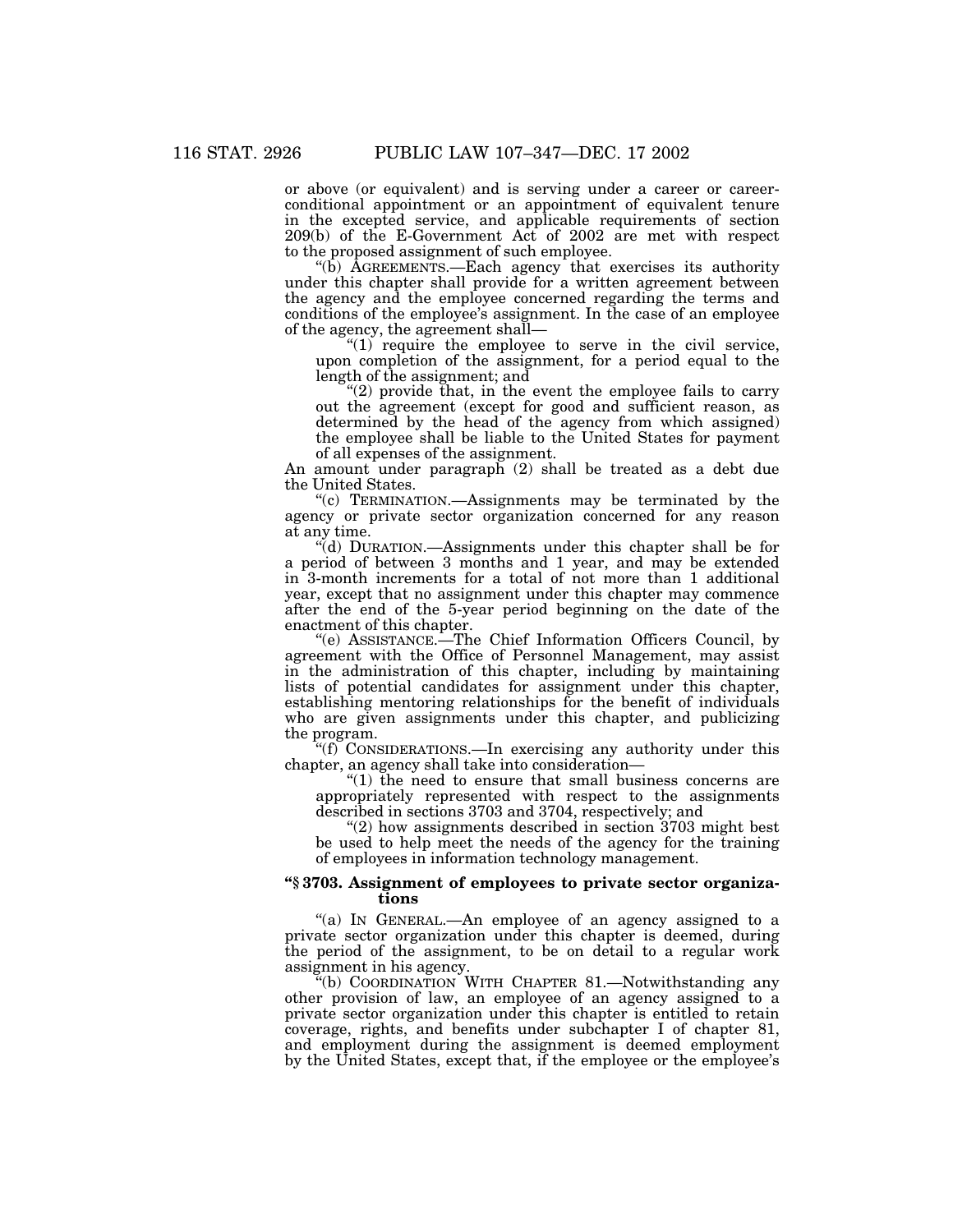or above (or equivalent) and is serving under a career or careerconditional appointment or an appointment of equivalent tenure in the excepted service, and applicable requirements of section 209(b) of the E-Government Act of 2002 are met with respect to the proposed assignment of such employee.

 $\angle$ <sup>"(b)</sup> AGREEMENTS.—Each agency that exercises its authority under this chapter shall provide for a written agreement between the agency and the employee concerned regarding the terms and conditions of the employee's assignment. In the case of an employee

" $(1)$  require the employee to serve in the civil service, upon completion of the assignment, for a period equal to the

 $\degree$ (2) provide that, in the event the employee fails to carry out the agreement (except for good and sufficient reason, as determined by the head of the agency from which assigned) the employee shall be liable to the United States for payment of all expenses of the assignment.

An amount under paragraph  $(2)$  shall be treated as a debt due the United States.

 $t$ <sup>''(c)</sup> TERMINATION.—Assignments may be terminated by the agency or private sector organization concerned for any reason at any time.

''(d) DURATION.—Assignments under this chapter shall be for a period of between 3 months and 1 year, and may be extended in 3-month increments for a total of not more than 1 additional year, except that no assignment under this chapter may commence after the end of the 5-year period beginning on the date of the enactment of this chapter.

''(e) ASSISTANCE.—The Chief Information Officers Council, by agreement with the Office of Personnel Management, may assist in the administration of this chapter, including by maintaining lists of potential candidates for assignment under this chapter, establishing mentoring relationships for the benefit of individuals who are given assignments under this chapter, and publicizing the program.

''(f) CONSIDERATIONS.—In exercising any authority under this chapter, an agency shall take into consideration—

" $(1)$  the need to ensure that small business concerns are appropriately represented with respect to the assignments described in sections 3703 and 3704, respectively; and

" $(2)$  how assignments described in section  $3703$  might best be used to help meet the needs of the agency for the training of employees in information technology management.

### **''§ 3703. Assignment of employees to private sector organizations**

''(a) IN GENERAL.—An employee of an agency assigned to a private sector organization under this chapter is deemed, during the period of the assignment, to be on detail to a regular work

assignment in his agency.<br>"(b) COORDINATION WITH CHAPTER 81.—Notwithstanding any other provision of law, an employee of an agency assigned to a private sector organization under this chapter is entitled to retain coverage, rights, and benefits under subchapter I of chapter 81, and employment during the assignment is deemed employment by the United States, except that, if the employee or the employee's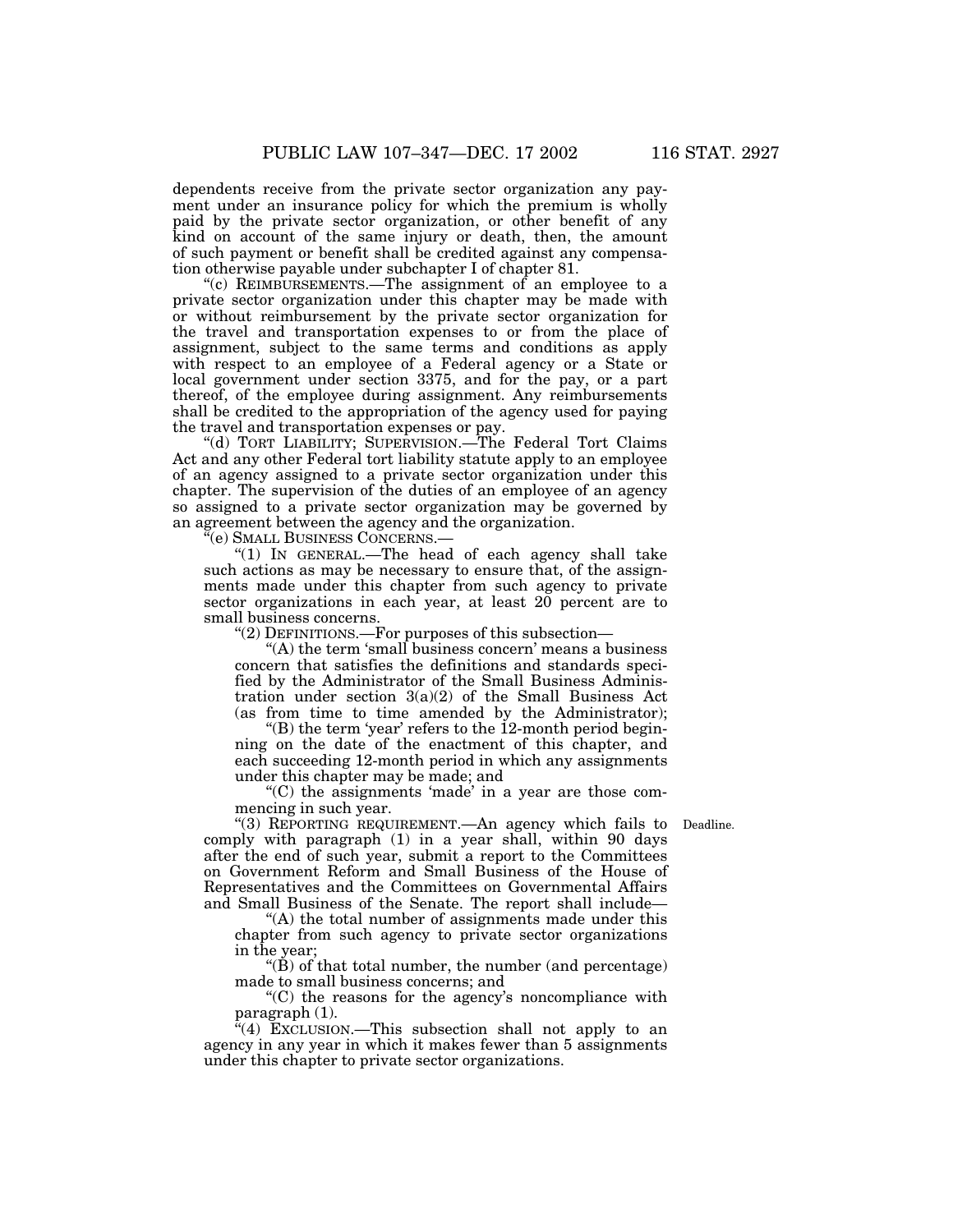dependents receive from the private sector organization any payment under an insurance policy for which the premium is wholly paid by the private sector organization, or other benefit of any kind on account of the same injury or death, then, the amount of such payment or benefit shall be credited against any compensation otherwise payable under subchapter I of chapter 81.

''(c) REIMBURSEMENTS.—The assignment of an employee to a private sector organization under this chapter may be made with or without reimbursement by the private sector organization for the travel and transportation expenses to or from the place of assignment, subject to the same terms and conditions as apply with respect to an employee of a Federal agency or a State or local government under section 3375, and for the pay, or a part thereof, of the employee during assignment. Any reimbursements shall be credited to the appropriation of the agency used for paying the travel and transportation expenses or pay.

''(d) TORT LIABILITY; SUPERVISION.—The Federal Tort Claims Act and any other Federal tort liability statute apply to an employee of an agency assigned to a private sector organization under this chapter. The supervision of the duties of an employee of an agency so assigned to a private sector organization may be governed by an agreement between the agency and the organization.

''(e) SMALL BUSINESS CONCERNS.—

" $(1)$  IN GENERAL.—The head of each agency shall take such actions as may be necessary to ensure that, of the assignments made under this chapter from such agency to private sector organizations in each year, at least 20 percent are to small business concerns.

"(2) DEFINITIONS.—For purposes of this subsection—

"(A) the term 'small business concern' means a business concern that satisfies the definitions and standards specified by the Administrator of the Small Business Administration under section 3(a)(2) of the Small Business Act (as from time to time amended by the Administrator);

"(B) the term 'year' refers to the  $12$ -month period beginning on the date of the enactment of this chapter, and each succeeding 12-month period in which any assignments under this chapter may be made; and

 $C$ ) the assignments 'made' in a year are those commencing in such year.

"(3) REPORTING REQUIREMENT.—An agency which fails to Deadline. comply with paragraph (1) in a year shall, within 90 days after the end of such year, submit a report to the Committees on Government Reform and Small Business of the House of Representatives and the Committees on Governmental Affairs and Small Business of the Senate. The report shall include—

''(A) the total number of assignments made under this chapter from such agency to private sector organizations in the year;

" $(B)$  of that total number, the number (and percentage) made to small business concerns; and

''(C) the reasons for the agency's noncompliance with paragraph (1).

 $\sqrt{4}$  EXCLUSION.—This subsection shall not apply to an agency in any year in which it makes fewer than 5 assignments under this chapter to private sector organizations.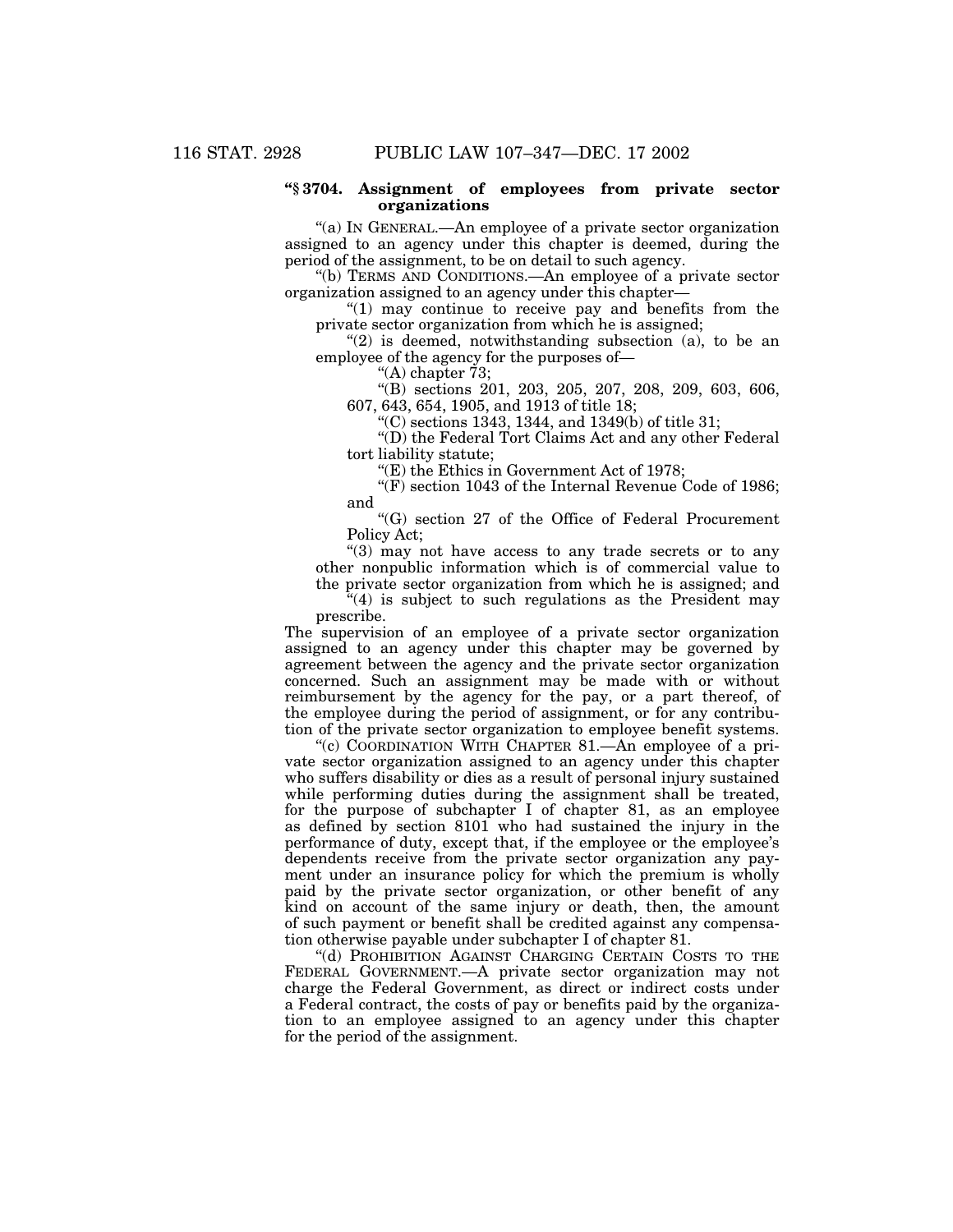# **''§ 3704. Assignment of employees from private sector organizations**

"(a) In GENERAL.—An employee of a private sector organization assigned to an agency under this chapter is deemed, during the period of the assignment, to be on detail to such agency.

''(b) TERMS AND CONDITIONS.—An employee of a private sector organization assigned to an agency under this chapter—

" $(1)$  may continue to receive pay and benefits from the private sector organization from which he is assigned;

" $(2)$  is deemed, notwithstanding subsection  $(a)$ , to be an employee of the agency for the purposes of—

"(A) chapter  $73$ ;

''(B) sections 201, 203, 205, 207, 208, 209, 603, 606, 607, 643, 654, 1905, and 1913 of title 18;

 $(C)$  sections 1343, 1344, and 1349(b) of title 31;

''(D) the Federal Tort Claims Act and any other Federal tort liability statute;

"(E) the Ethics in Government Act of 1978;

" $(F)$  section 1043 of the Internal Revenue Code of 1986; and

''(G) section 27 of the Office of Federal Procurement Policy Act;

"(3) may not have access to any trade secrets or to any other nonpublic information which is of commercial value to the private sector organization from which he is assigned; and

 $'(4)$  is subject to such regulations as the President may prescribe.

The supervision of an employee of a private sector organization assigned to an agency under this chapter may be governed by agreement between the agency and the private sector organization concerned. Such an assignment may be made with or without reimbursement by the agency for the pay, or a part thereof, of the employee during the period of assignment, or for any contribution of the private sector organization to employee benefit systems.

"(c) COORDINATION WITH CHAPTER 81.—An employee of a private sector organization assigned to an agency under this chapter who suffers disability or dies as a result of personal injury sustained while performing duties during the assignment shall be treated, for the purpose of subchapter I of chapter 81, as an employee as defined by section 8101 who had sustained the injury in the performance of duty, except that, if the employee or the employee's dependents receive from the private sector organization any payment under an insurance policy for which the premium is wholly paid by the private sector organization, or other benefit of any kind on account of the same injury or death, then, the amount of such payment or benefit shall be credited against any compensation otherwise payable under subchapter I of chapter 81.

''(d) PROHIBITION AGAINST CHARGING CERTAIN COSTS TO THE FEDERAL GOVERNMENT.—A private sector organization may not charge the Federal Government, as direct or indirect costs under a Federal contract, the costs of pay or benefits paid by the organization to an employee assigned to an agency under this chapter for the period of the assignment.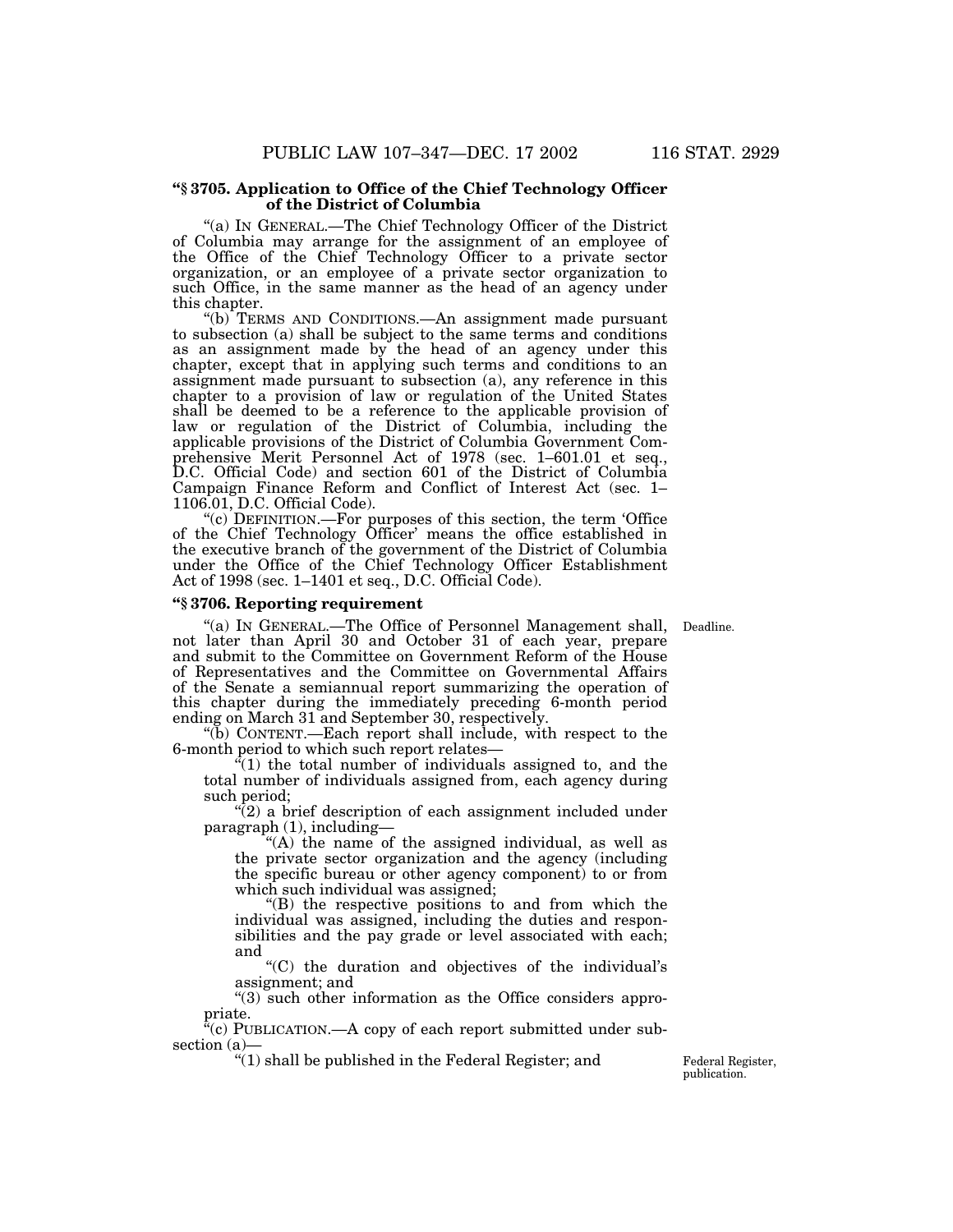''(a) IN GENERAL.—The Chief Technology Officer of the District of Columbia may arrange for the assignment of an employee of the Office of the Chief Technology Officer to a private sector organization, or an employee of a private sector organization to such Office, in the same manner as the head of an agency under this chapter.

"(b) TERMS AND CONDITIONS.—An assignment made pursuant to subsection (a) shall be subject to the same terms and conditions as an assignment made by the head of an agency under this chapter, except that in applying such terms and conditions to an assignment made pursuant to subsection (a), any reference in this chapter to a provision of law or regulation of the United States shall be deemed to be a reference to the applicable provision of law or regulation of the District of Columbia, including the applicable provisions of the District of Columbia Government Comprehensive Merit Personnel Act of 1978 (sec. 1–601.01 et seq., D.C. Official Code) and section 601 of the District of Columbia Campaign Finance Reform and Conflict of Interest Act (sec. 1– 1106.01, D.C. Official Code). ''(c) DEFINITION.—For purposes of this section, the term 'Office

of the Chief Technology Officer' means the office established in the executive branch of the government of the District of Columbia under the Office of the Chief Technology Officer Establishment Act of 1998 (sec. 1–1401 et seq., D.C. Official Code).

### **''§ 3706. Reporting requirement**

''(a) IN GENERAL.—The Office of Personnel Management shall, "(a) IN GENERAL.—The Office of Personnel Management shall, Deadline.<br>not later than April 30 and October 31 of each year, prepare and submit to the Committee on Government Reform of the House of Representatives and the Committee on Governmental Affairs of the Senate a semiannual report summarizing the operation of this chapter during the immediately preceding 6-month period ending on March 31 and September 30, respectively.

"(b) CONTENT.—Each report shall include, with respect to the 6-month period to which such report relates—

 $\epsilon$ <sup>(1)</sup> the total number of individuals assigned to, and the total number of individuals assigned from, each agency during such period;

 $\sqrt{\hat{c}}$ ) a brief description of each assignment included under paragraph (1), including—

''(A) the name of the assigned individual, as well as the private sector organization and the agency (including the specific bureau or other agency component) to or from which such individual was assigned;

''(B) the respective positions to and from which the individual was assigned, including the duties and responsibilities and the pay grade or level associated with each; and

''(C) the duration and objectives of the individual's assignment; and

''(3) such other information as the Office considers appropriate.

''(c) PUBLICATION.—A copy of each report submitted under subsection (a)—

 $''(1)$  shall be published in the Federal Register; and Federal Register,

publication.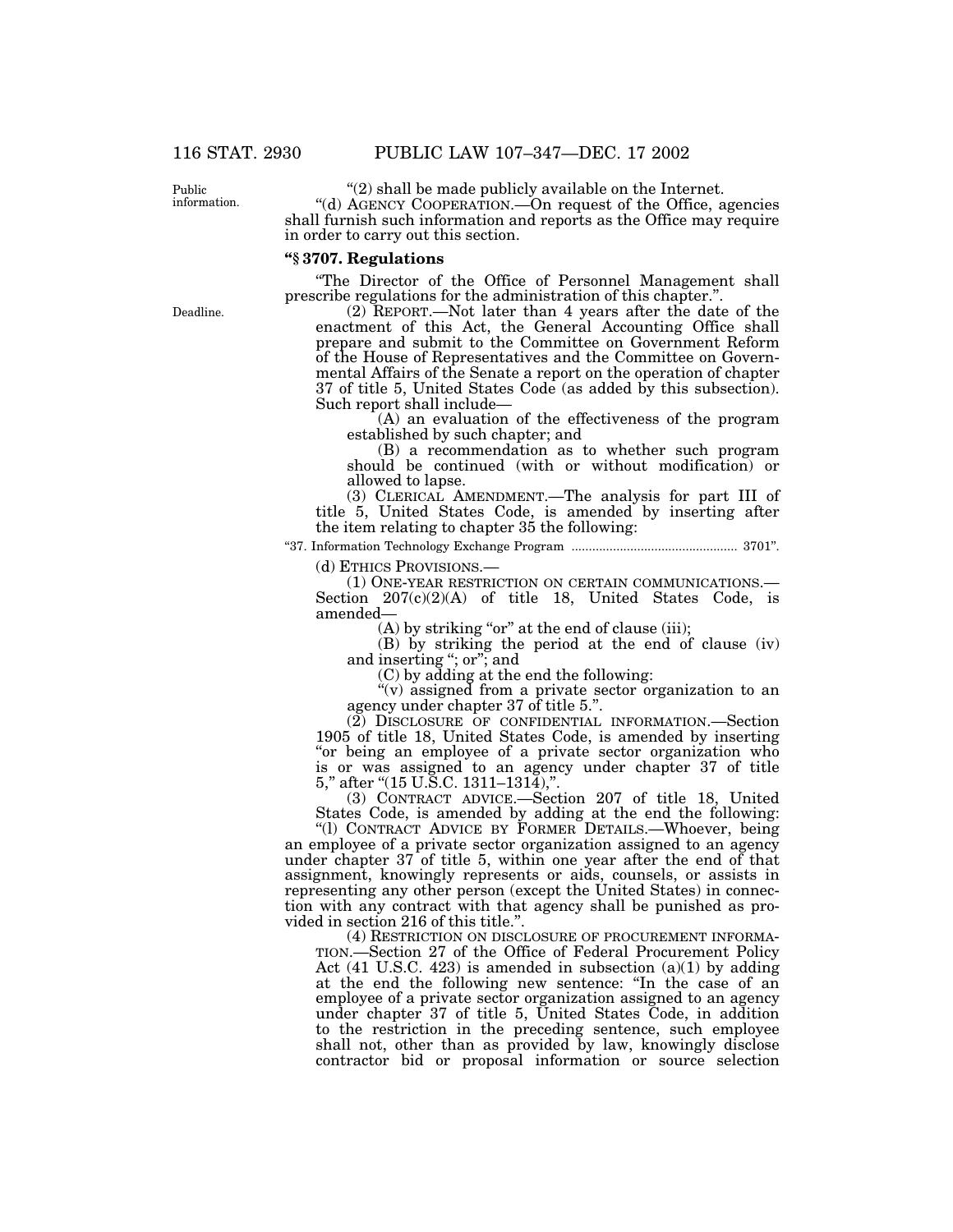''(2) shall be made publicly available on the Internet. ''(d) AGENCY COOPERATION.—On request of the Office, agencies shall furnish such information and reports as the Office may require in order to carry out this section.

### **''§ 3707. Regulations**

"The Director of the Office of Personnel Management shall prescribe regulations for the administration of this chapter.".

 $(2)$  REPORT.—Not later than 4 years after the date of the enactment of this Act, the General Accounting Office shall prepare and submit to the Committee on Government Reform of the House of Representatives and the Committee on Governmental Affairs of the Senate a report on the operation of chapter 37 of title 5, United States Code (as added by this subsection).

 $(A)$  an evaluation of the effectiveness of the program established by such chapter; and

(B) a recommendation as to whether such program should be continued (with or without modification) or allowed to lapse.

(3) CLERICAL AMENDMENT.—The analysis for part III of title 5, United States Code, is amended by inserting after the item relating to chapter 35 the following:

''37. Information Technology Exchange Program ................................................ 3701''.

(d) ETHICS PROVISIONS.— (1) ONE-YEAR RESTRICTION ON CERTAIN COMMUNICATIONS.— Section 207(c)(2)(A) of title 18, United States Code, is amended—

 $(A)$  by striking "or" at the end of clause (iii);

(B) by striking the period at the end of clause (iv) and inserting ''; or''; and

(C) by adding at the end the following:

"(v) assigned from a private sector organization to an agency under chapter 37 of title 5.".

(2) DISCLOSURE OF CONFIDENTIAL INFORMATION.—Section 1905 of title 18, United States Code, is amended by inserting "or being an employee of a private sector organization who is or was assigned to an agency under chapter 37 of title 5," after "(15 U.S.C. 1311–1314),".

(3) CONTRACT ADVICE.—Section 207 of title 18, United States Code, is amended by adding at the end the following:

''(l) CONTRACT ADVICE BY FORMER DETAILS.—Whoever, being an employee of a private sector organization assigned to an agency under chapter 37 of title 5, within one year after the end of that assignment, knowingly represents or aids, counsels, or assists in representing any other person (except the United States) in connection with any contract with that agency shall be punished as pro-

vided in section 216 of this title.''. (4) RESTRICTION ON DISCLOSURE OF PROCUREMENT INFORMA- TION.—Section 27 of the Office of Federal Procurement Policy Act (41 U.S.C. 423) is amended in subsection (a)(1) by adding at the end the following new sentence: ''In the case of an employee of a private sector organization assigned to an agency under chapter 37 of title 5, United States Code, in addition to the restriction in the preceding sentence, such employee shall not, other than as provided by law, knowingly disclose contractor bid or proposal information or source selection

Deadline.

Public information.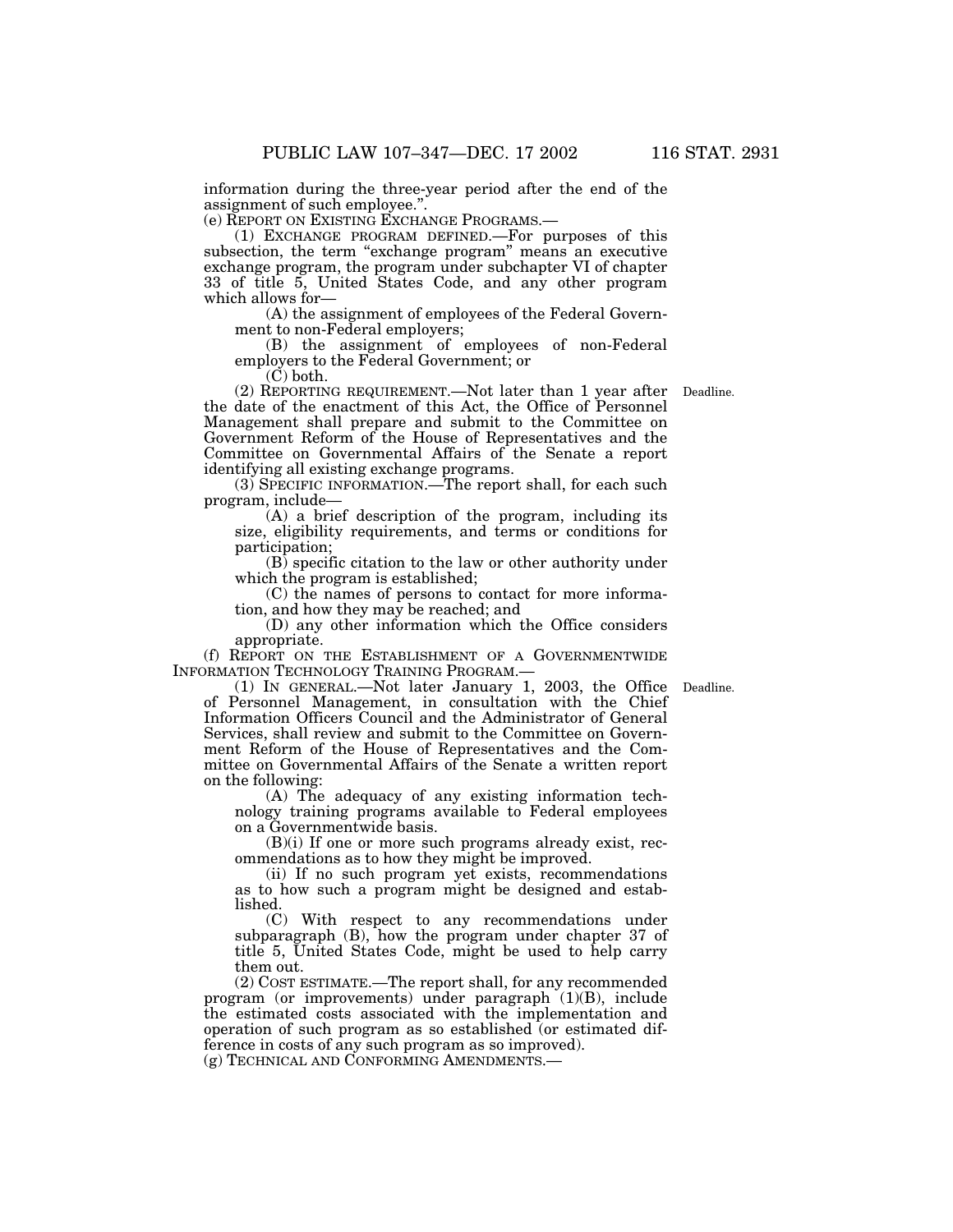information during the three-year period after the end of the

(e) REPORT ON EXISTING EXCHANGE PROGRAMS.—

(1) EXCHANGE PROGRAM DEFINED.—For purposes of this subsection, the term "exchange program" means an executive exchange program, the program under subchapter VI of chapter 33 of title 5, United States Code, and any other program

 $(A)$  the assignment of employees of the Federal Government to non-Federal employers;

(B) the assignment of employees of non-Federal employers to the Federal Government; or

(C) both.

(2) REPORTING REQUIREMENT.—Not later than 1 year after Deadline. the date of the enactment of this Act, the Office of Personnel Management shall prepare and submit to the Committee on Government Reform of the House of Representatives and the Committee on Governmental Affairs of the Senate a report identifying all existing exchange programs.

(3) SPECIFIC INFORMATION.—The report shall, for each such program, include—

(A) a brief description of the program, including its size, eligibility requirements, and terms or conditions for participation;

(B) specific citation to the law or other authority under which the program is established;

(C) the names of persons to contact for more information, and how they may be reached; and

(D) any other information which the Office considers appropriate.

(f) REPORT ON THE ESTABLISHMENT OF A GOVERNMENTWIDE INFORMATION TECHNOLOGY TRAINING PROGRAM.—

(1) IN GENERAL.—Not later January 1, 2003, the Office Deadline. of Personnel Management, in consultation with the Chief Information Officers Council and the Administrator of General Services, shall review and submit to the Committee on Government Reform of the House of Representatives and the Committee on Governmental Affairs of the Senate a written report on the following:

(A) The adequacy of any existing information technology training programs available to Federal employees on a Governmentwide basis.

(B)(i) If one or more such programs already exist, recommendations as to how they might be improved.

(ii) If no such program yet exists, recommendations as to how such a program might be designed and established.

(C) With respect to any recommendations under subparagraph (B), how the program under chapter 37 of title 5, United States Code, might be used to help carry them out.

(2) COST ESTIMATE.—The report shall, for any recommended program (or improvements) under paragraph (1)(B), include the estimated costs associated with the implementation and operation of such program as so established (or estimated difference in costs of any such program as so improved).

(g) TECHNICAL AND CONFORMING AMENDMENTS.—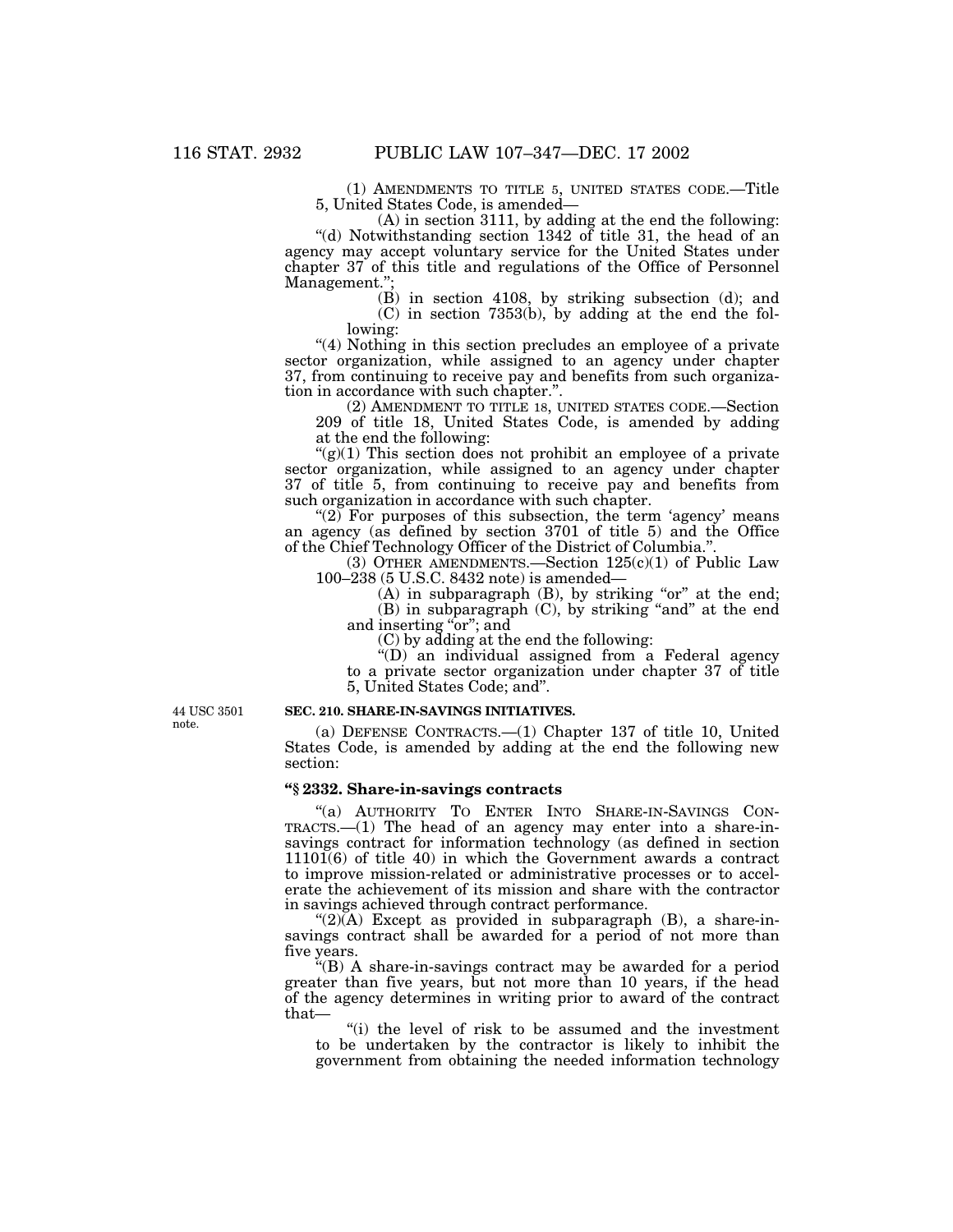(1) AMENDMENTS TO TITLE 5, UNITED STATES CODE.—Title

 $(A)$  in section 3111, by adding at the end the following: "(d) Notwithstanding section 1342 of title 31, the head of an agency may accept voluntary service for the United States under chapter 37 of this title and regulations of the Office of Personnel Management.'';

(B) in section 4108, by striking subsection (d); and (C) in section 7353(b), by adding at the end the fol-

lowing:

"(4) Nothing in this section precludes an employee of a private sector organization, while assigned to an agency under chapter 37, from continuing to receive pay and benefits from such organization in accordance with such chapter.''.

(2) AMENDMENT TO TITLE 18, UNITED STATES CODE.—Section 209 of title 18, United States Code, is amended by adding at the end the following:

" $(g)(1)$  This section does not prohibit an employee of a private sector organization, while assigned to an agency under chapter 37 of title 5, from continuing to receive pay and benefits from such organization in accordance with such chapter.<br>"(2) For purposes of this subsection, the term 'agency' means

an agency (as defined by section 3701 of title 5) and the Office of the Chief Technology Officer of the District of Columbia.".

(3) OTHER AMENDMENTS.—Section  $125(c)(1)$  of Public Law 100–238 (5 U.S.C. 8432 note) is amended—

> $(A)$  in subparagraph  $(B)$ , by striking "or" at the end; (B) in subparagraph (C), by striking ''and'' at the end

and inserting "or"; and

(C) by adding at the end the following:

''(D) an individual assigned from a Federal agency to a private sector organization under chapter 37 of title 5, United States Code; and''.

44 USC 3501 note.

### **SEC. 210. SHARE-IN-SAVINGS INITIATIVES.**

(a) DEFENSE CONTRACTS.—(1) Chapter 137 of title 10, United States Code, is amended by adding at the end the following new section:

# **''§ 2332. Share-in-savings contracts**

"(a) AUTHORITY TO ENTER INTO SHARE-IN-SAVINGS CON-TRACTS.—(1) The head of an agency may enter into a share-insavings contract for information technology (as defined in section 11101(6) of title 40) in which the Government awards a contract to improve mission-related or administrative processes or to accelerate the achievement of its mission and share with the contractor in savings achieved through contract performance.

"(2)(A) Except as provided in subparagraph (B), a share-insavings contract shall be awarded for a period of not more than five years.

''(B) A share-in-savings contract may be awarded for a period greater than five years, but not more than 10 years, if the head of the agency determines in writing prior to award of the contract that—

"(i) the level of risk to be assumed and the investment to be undertaken by the contractor is likely to inhibit the government from obtaining the needed information technology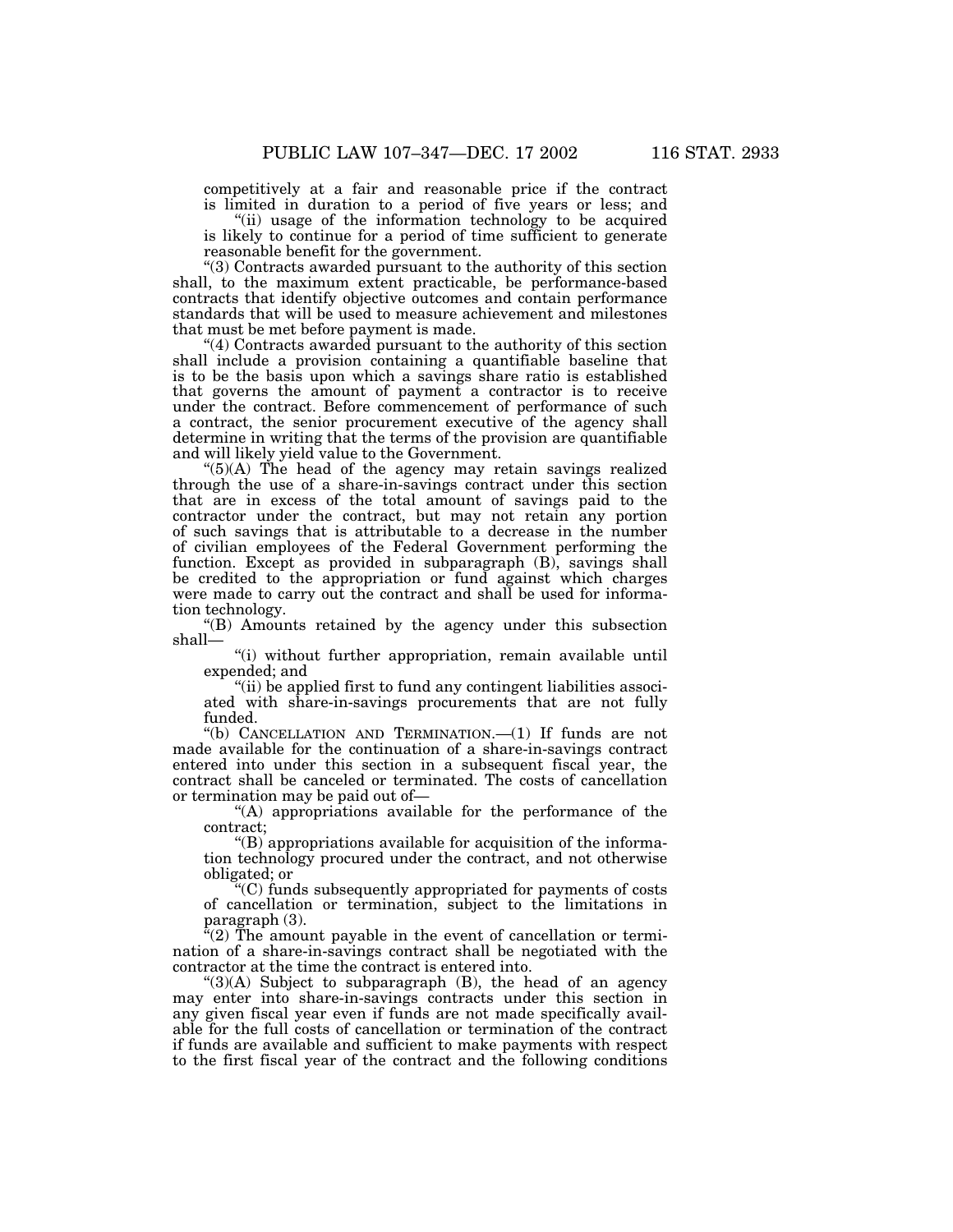competitively at a fair and reasonable price if the contract is limited in duration to a period of five years or less; and ''(ii) usage of the information technology to be acquired

is likely to continue for a period of time sufficient to generate reasonable benefit for the government.

''(3) Contracts awarded pursuant to the authority of this section shall, to the maximum extent practicable, be performance-based contracts that identify objective outcomes and contain performance standards that will be used to measure achievement and milestones that must be met before payment is made.

''(4) Contracts awarded pursuant to the authority of this section shall include a provision containing a quantifiable baseline that is to be the basis upon which a savings share ratio is established that governs the amount of payment a contractor is to receive under the contract. Before commencement of performance of such a contract, the senior procurement executive of the agency shall determine in writing that the terms of the provision are quantifiable and will likely yield value to the Government.

" $(5)(A)$  The head of the agency may retain savings realized through the use of a share-in-savings contract under this section that are in excess of the total amount of savings paid to the contractor under the contract, but may not retain any portion of such savings that is attributable to a decrease in the number of civilian employees of the Federal Government performing the function. Except as provided in subparagraph (B), savings shall be credited to the appropriation or fund against which charges were made to carry out the contract and shall be used for information technology.

''(B) Amounts retained by the agency under this subsection shall—

''(i) without further appropriation, remain available until expended; and

''(ii) be applied first to fund any contingent liabilities associated with share-in-savings procurements that are not fully funded.

''(b) CANCELLATION AND TERMINATION.—(1) If funds are not made available for the continuation of a share-in-savings contract entered into under this section in a subsequent fiscal year, the contract shall be canceled or terminated. The costs of cancellation or termination may be paid out of—

"(A) appropriations available for the performance of the contract;

''(B) appropriations available for acquisition of the information technology procured under the contract, and not otherwise obligated; or

''(C) funds subsequently appropriated for payments of costs of cancellation or termination, subject to the limitations in paragraph (3).

 $\Gamma(2)$  The amount payable in the event of cancellation or termination of a share-in-savings contract shall be negotiated with the contractor at the time the contract is entered into.

 $(3)(A)$  Subject to subparagraph  $(B)$ , the head of an agency may enter into share-in-savings contracts under this section in any given fiscal year even if funds are not made specifically available for the full costs of cancellation or termination of the contract if funds are available and sufficient to make payments with respect to the first fiscal year of the contract and the following conditions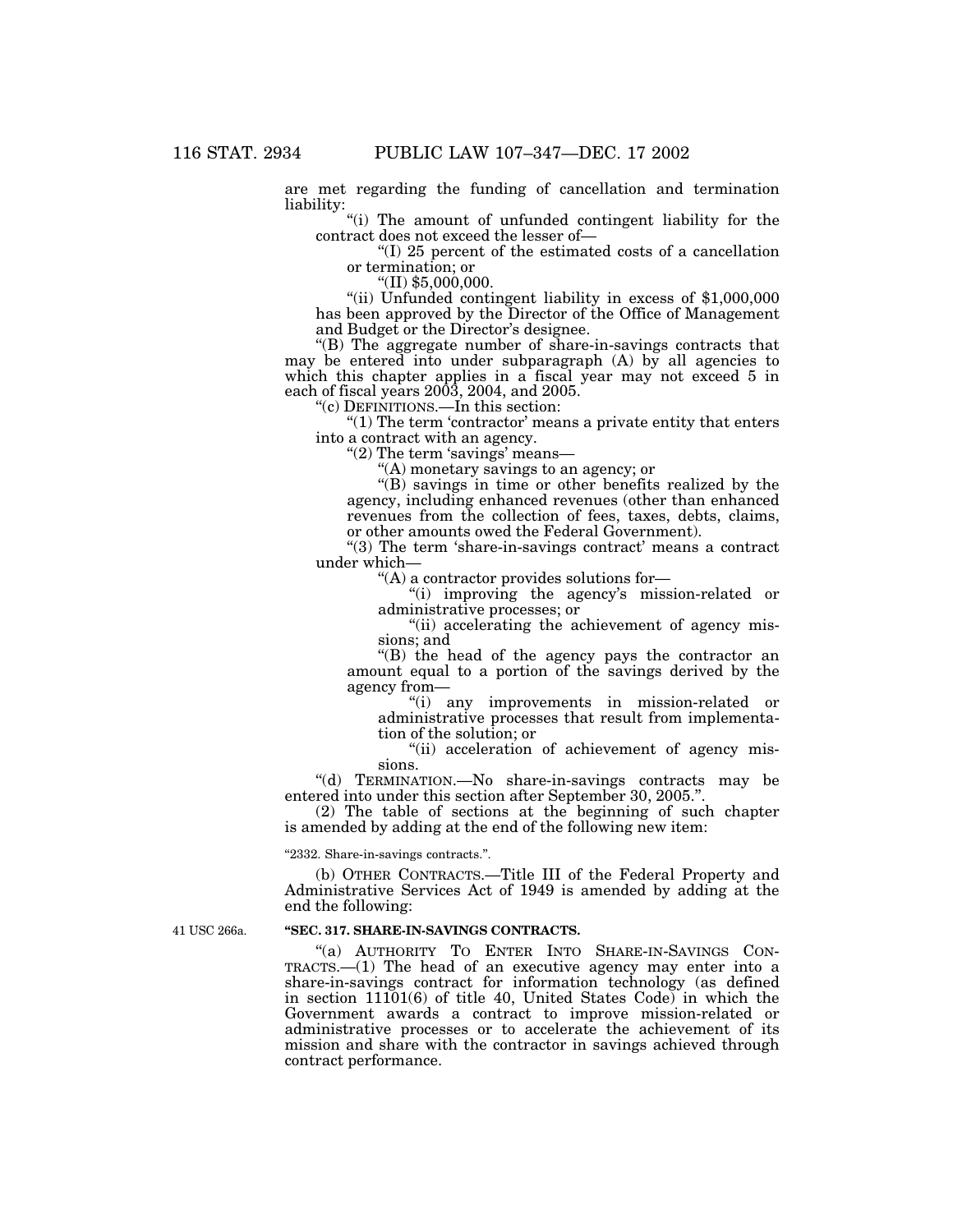are met regarding the funding of cancellation and termination

"(i) The amount of unfunded contingent liability for the contract does not exceed the lesser of—

''(I) 25 percent of the estimated costs of a cancellation or termination; or

''(II) \$5,000,000.

''(ii) Unfunded contingent liability in excess of \$1,000,000 has been approved by the Director of the Office of Management and Budget or the Director's designee.

"(B) The aggregate number of share-in-savings contracts that may be entered into under subparagraph (A) by all agencies to which this chapter applies in a fiscal year may not exceed 5 in each of fiscal years 2003, 2004, and 2005.<br>"(c) DEFINITIONS.—In this section:

"(1) The term 'contractor' means a private entity that enters into a contract with an agency.

"(2) The term 'savings' means—<br>"(A) monetary savings to an agency; or

''(B) savings in time or other benefits realized by the agency, including enhanced revenues (other than enhanced revenues from the collection of fees, taxes, debts, claims, or other amounts owed the Federal Government).

 $\lq$ '(3) The term 'share-in-savings contract' means a contract under which—

"(A) a contractor provides solutions for—<br>"(i) improving the agency's mission-related or administrative processes; or

"(ii) accelerating the achievement of agency missions; and

''(B) the head of the agency pays the contractor an amount equal to a portion of the savings derived by the agency from—

''(i) any improvements in mission-related or administrative processes that result from implementation of the solution; or

"(ii) acceleration of achievement of agency missions.

''(d) TERMINATION.—No share-in-savings contracts may be entered into under this section after September 30, 2005."

(2) The table of sections at the beginning of such chapter is amended by adding at the end of the following new item:

''2332. Share-in-savings contracts.''.

(b) OTHER CONTRACTS.—Title III of the Federal Property and Administrative Services Act of 1949 is amended by adding at the end the following:

### **''SEC. 317. SHARE-IN-SAVINGS CONTRACTS.**

"(a) AUTHORITY TO ENTER INTO SHARE-IN-SAVINGS CON-TRACTS.—(1) The head of an executive agency may enter into a share-in-savings contract for information technology (as defined in section  $11101(6)$  of title 40, United States Code) in which the Government awards a contract to improve mission-related or administrative processes or to accelerate the achievement of its mission and share with the contractor in savings achieved through contract performance.

41 USC 266a.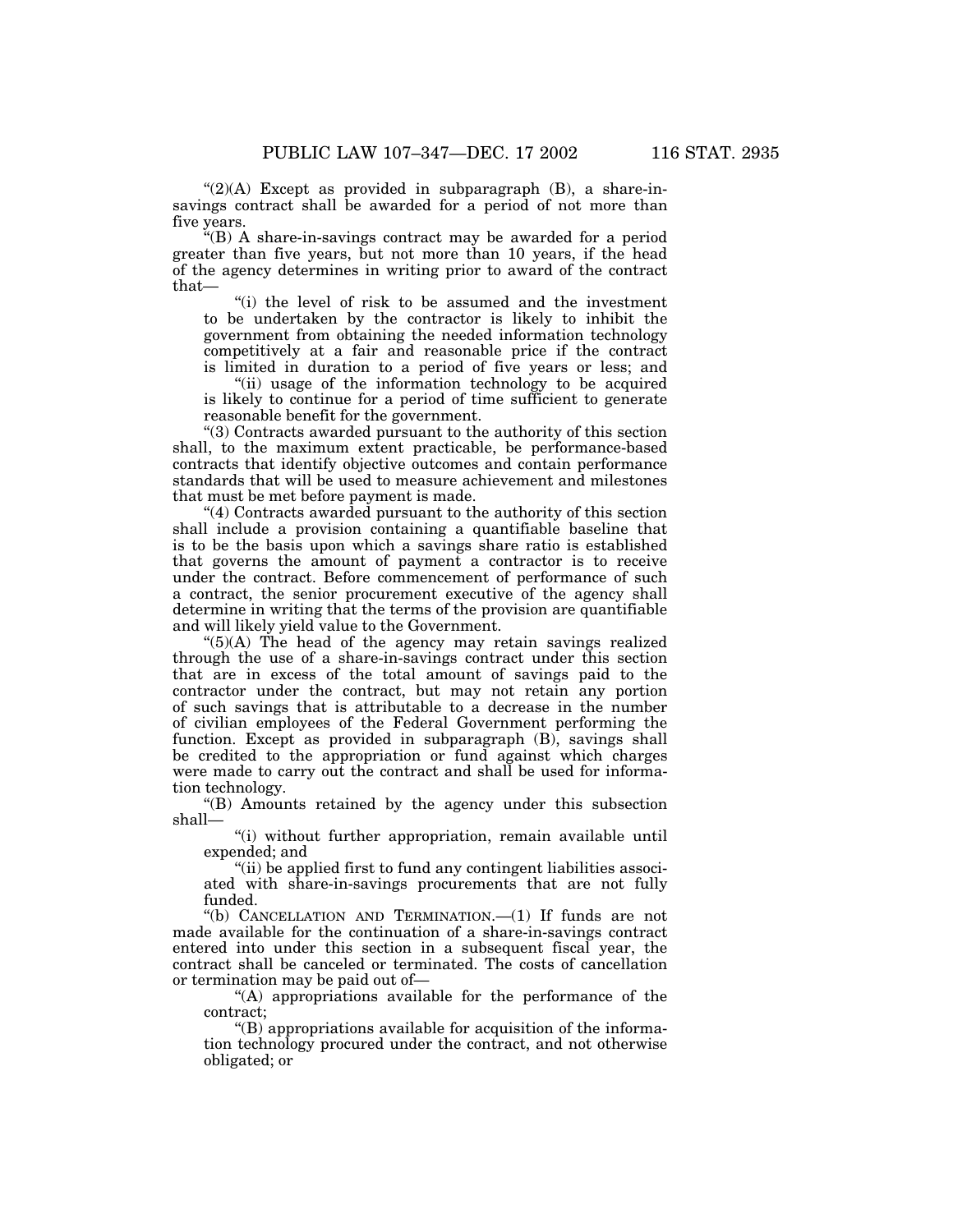" $(2)(A)$  Except as provided in subparagraph  $(B)$ , a share-insavings contract shall be awarded for a period of not more than five years.

''(B) A share-in-savings contract may be awarded for a period greater than five years, but not more than 10 years, if the head of the agency determines in writing prior to award of the contract that—

"(i) the level of risk to be assumed and the investment to be undertaken by the contractor is likely to inhibit the government from obtaining the needed information technology competitively at a fair and reasonable price if the contract is limited in duration to a period of five years or less; and

"(ii) usage of the information technology to be acquired is likely to continue for a period of time sufficient to generate reasonable benefit for the government.

''(3) Contracts awarded pursuant to the authority of this section shall, to the maximum extent practicable, be performance-based contracts that identify objective outcomes and contain performance standards that will be used to measure achievement and milestones that must be met before payment is made.

''(4) Contracts awarded pursuant to the authority of this section shall include a provision containing a quantifiable baseline that is to be the basis upon which a savings share ratio is established that governs the amount of payment a contractor is to receive under the contract. Before commencement of performance of such a contract, the senior procurement executive of the agency shall determine in writing that the terms of the provision are quantifiable and will likely yield value to the Government.

" $(5)(A)$  The head of the agency may retain savings realized through the use of a share-in-savings contract under this section that are in excess of the total amount of savings paid to the contractor under the contract, but may not retain any portion of such savings that is attributable to a decrease in the number of civilian employees of the Federal Government performing the function. Except as provided in subparagraph (B), savings shall be credited to the appropriation or fund against which charges were made to carry out the contract and shall be used for information technology.

''(B) Amounts retained by the agency under this subsection shall—

''(i) without further appropriation, remain available until expended; and

''(ii) be applied first to fund any contingent liabilities associated with share-in-savings procurements that are not fully funded.

''(b) CANCELLATION AND TERMINATION.—(1) If funds are not made available for the continuation of a share-in-savings contract entered into under this section in a subsequent fiscal year, the contract shall be canceled or terminated. The costs of cancellation or termination may be paid out of—

''(A) appropriations available for the performance of the contract;

''(B) appropriations available for acquisition of the information technology procured under the contract, and not otherwise obligated; or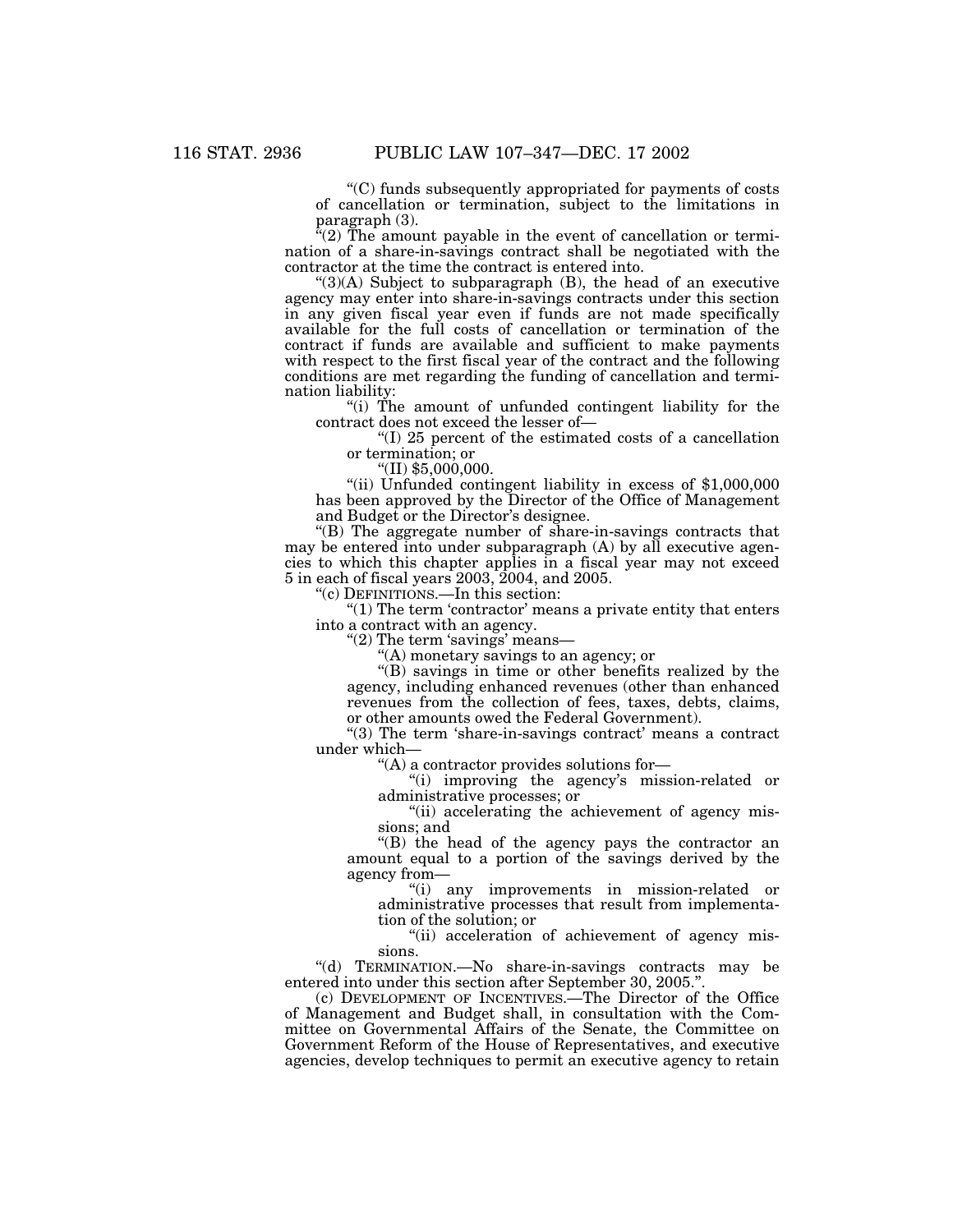''(C) funds subsequently appropriated for payments of costs of cancellation or termination, subject to the limitations in paragraph (3).

 $^{x}(2)$  The amount payable in the event of cancellation or termination of a share-in-savings contract shall be negotiated with the contractor at the time the contract is entered into.

" $(3)(A)$  Subject to subparagraph  $(B)$ , the head of an executive agency may enter into share-in-savings contracts under this section in any given fiscal year even if funds are not made specifically available for the full costs of cancellation or termination of the contract if funds are available and sufficient to make payments with respect to the first fiscal year of the contract and the following conditions are met regarding the funding of cancellation and termination liability:

''(i) The amount of unfunded contingent liability for the contract does not exceed the lesser of—

''(I) 25 percent of the estimated costs of a cancellation or termination; or

 $"({\rm II})\ $5,000,000.$ 

''(ii) Unfunded contingent liability in excess of \$1,000,000 has been approved by the Director of the Office of Management and Budget or the Director's designee.

''(B) The aggregate number of share-in-savings contracts that may be entered into under subparagraph (A) by all executive agencies to which this chapter applies in a fiscal year may not exceed 5 in each of fiscal years 2003, 2004, and 2005.

''(c) DEFINITIONS.—In this section:

" $(1)$  The term 'contractor' means a private entity that enters into a contract with an agency.

''(2) The term 'savings' means—

''(A) monetary savings to an agency; or

"(B) savings in time or other benefits realized by the agency, including enhanced revenues (other than enhanced revenues from the collection of fees, taxes, debts, claims, or other amounts owed the Federal Government).

"(3) The term 'share-in-savings contract' means a contract under which—

''(A) a contractor provides solutions for—

''(i) improving the agency's mission-related or administrative processes; or

"(ii) accelerating the achievement of agency missions; and

''(B) the head of the agency pays the contractor an amount equal to a portion of the savings derived by the agency from—

''(i) any improvements in mission-related or administrative processes that result from implementation of the solution; or

"(ii) acceleration of achievement of agency missions.

''(d) TERMINATION.—No share-in-savings contracts may be entered into under this section after September 30, 2005."

(c) DEVELOPMENT OF INCENTIVES.—The Director of the Office of Management and Budget shall, in consultation with the Committee on Governmental Affairs of the Senate, the Committee on Government Reform of the House of Representatives, and executive agencies, develop techniques to permit an executive agency to retain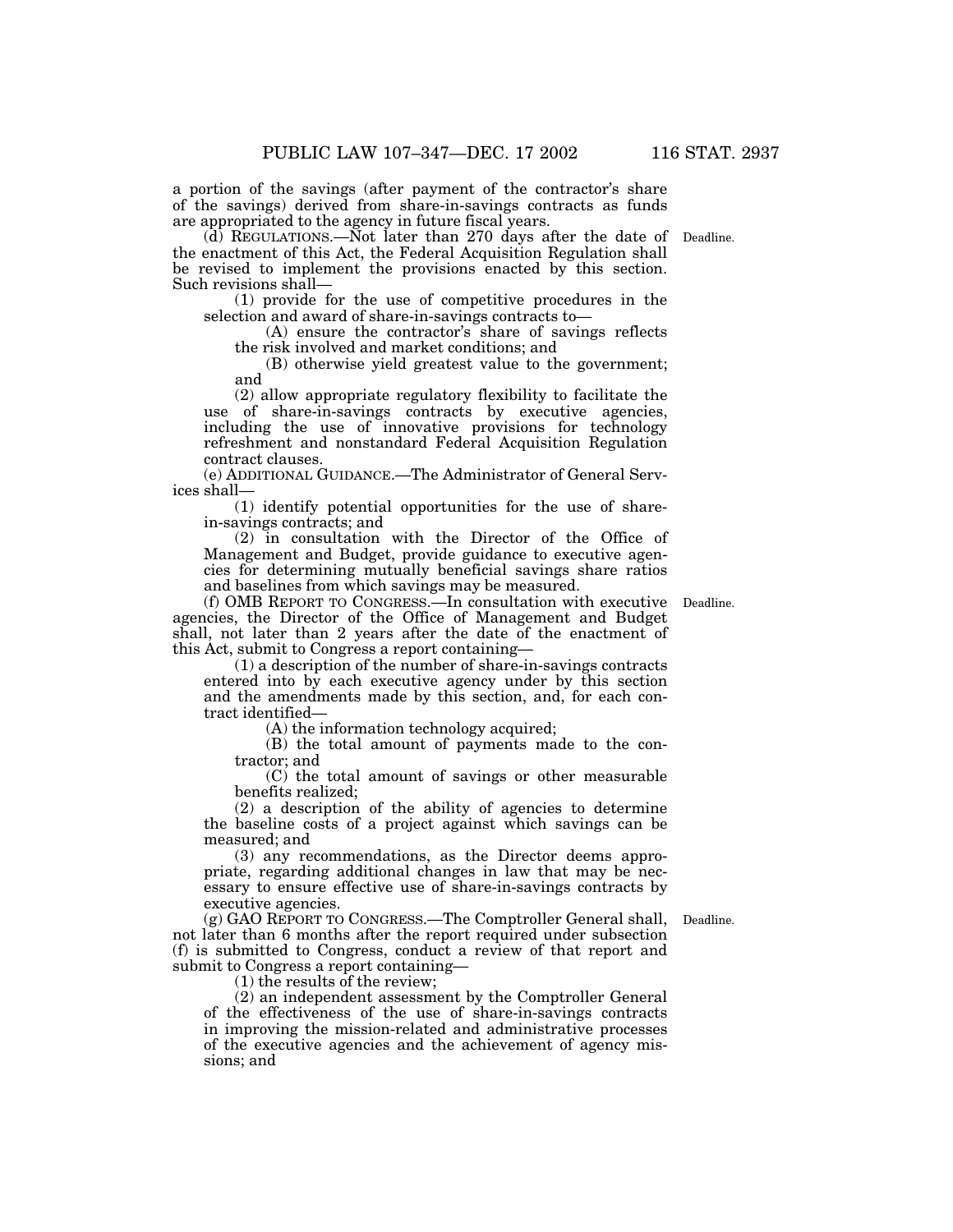a portion of the savings (after payment of the contractor's share of the savings) derived from share-in-savings contracts as funds are appropriated to the agency in future fiscal years.

(d) REGULATIONS.—Not later than 270 days after the date of Deadline. the enactment of this Act, the Federal Acquisition Regulation shall be revised to implement the provisions enacted by this section. Such revisions shall—

(1) provide for the use of competitive procedures in the selection and award of share-in-savings contracts to—

(A) ensure the contractor's share of savings reflects the risk involved and market conditions; and

(B) otherwise yield greatest value to the government; and

(2) allow appropriate regulatory flexibility to facilitate the use of share-in-savings contracts by executive agencies, including the use of innovative provisions for technology refreshment and nonstandard Federal Acquisition Regulation contract clauses.

(e) ADDITIONAL GUIDANCE.—The Administrator of General Services shall—

(1) identify potential opportunities for the use of sharein-savings contracts; and

(2) in consultation with the Director of the Office of Management and Budget, provide guidance to executive agencies for determining mutually beneficial savings share ratios and baselines from which savings may be measured.

(f) OMB REPORT TO CONGRESS.—In consultation with executive Deadline. agencies, the Director of the Office of Management and Budget shall, not later than 2 years after the date of the enactment of this Act, submit to Congress a report containing—

(1) a description of the number of share-in-savings contracts entered into by each executive agency under by this section and the amendments made by this section, and, for each contract identified—

(A) the information technology acquired;

(B) the total amount of payments made to the contractor; and

(C) the total amount of savings or other measurable benefits realized;

(2) a description of the ability of agencies to determine the baseline costs of a project against which savings can be measured; and

(3) any recommendations, as the Director deems appropriate, regarding additional changes in law that may be necessary to ensure effective use of share-in-savings contracts by executive agencies.

Deadline.

(g) GAO REPORT TO CONGRESS.—The Comptroller General shall, not later than 6 months after the report required under subsection (f) is submitted to Congress, conduct a review of that report and submit to Congress a report containing—

(1) the results of the review;

(2) an independent assessment by the Comptroller General of the effectiveness of the use of share-in-savings contracts in improving the mission-related and administrative processes of the executive agencies and the achievement of agency missions; and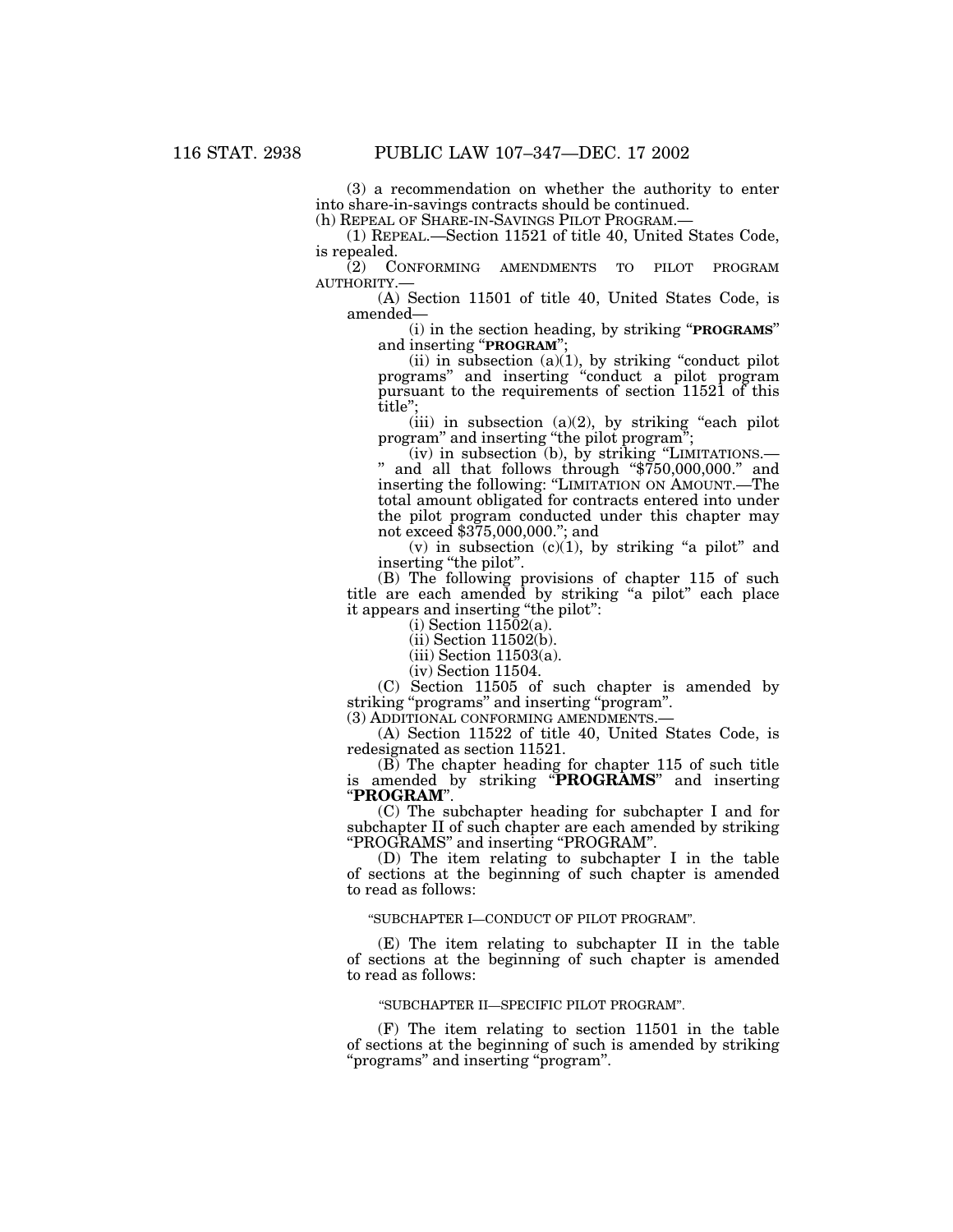(3) a recommendation on whether the authority to enter into share-in-savings contracts should be continued.

(h) REPEAL OF SHARE-IN-SAVINGS PILOT PROGRAM.—

(1) REPEAL.—Section 11521 of title 40, United States Code, is repealed.<br>(2)  $C_1$ 

(2) CONFORMING AMENDMENTS TO PILOT PROGRAM

 $(A)$  Section 11501 of title 40, United States Code, is amended—

(i) in the section heading, by striking ''**PROGRAMS**'' and inserting ''**PROGRAM**'';

(ii) in subsection  $(a)(1)$ , by striking "conduct pilot programs'' and inserting ''conduct a pilot program pursuant to the requirements of section 11521 of this title'';

(iii) in subsection  $(a)(2)$ , by striking "each pilot program'' and inserting ''the pilot program'';

(iv) in subsection (b), by striking ''LIMITATIONS.— '' and all that follows through ''\$750,000,000.'' and inserting the following: ''LIMITATION ON AMOUNT.—The total amount obligated for contracts entered into under the pilot program conducted under this chapter may not exceed \$375,000,000.''; and

(v) in subsection  $(c)(1)$ , by striking "a pilot" and inserting "the pilot".

(B) The following provisions of chapter 115 of such title are each amended by striking ''a pilot'' each place it appears and inserting ''the pilot'':

 $(i)$  Section 11502 $(a)$ .

(ii) Section 11502(b).

 $(iii)$  Section 11503 $(a)$ .

(iv) Section 11504.

(C) Section 11505 of such chapter is amended by striking "programs" and inserting "program".<br>(3) ADDITIONAL CONFORMING AMENDMENTS.

(A) Section 11522 of title 40, United States Code, is redesignated as section 11521.

(B) The chapter heading for chapter 115 of such title is amended by striking ''**PROGRAMS**'' and inserting ''**PROGRAM**''.

(C) The subchapter heading for subchapter I and for subchapter II of such chapter are each amended by striking ''PROGRAMS'' and inserting ''PROGRAM''.

(D) The item relating to subchapter I in the table of sections at the beginning of such chapter is amended to read as follows:

#### ''SUBCHAPTER I—CONDUCT OF PILOT PROGRAM''.

(E) The item relating to subchapter II in the table of sections at the beginning of such chapter is amended to read as follows:

#### ''SUBCHAPTER II—SPECIFIC PILOT PROGRAM''.

(F) The item relating to section 11501 in the table of sections at the beginning of such is amended by striking ''programs'' and inserting ''program''.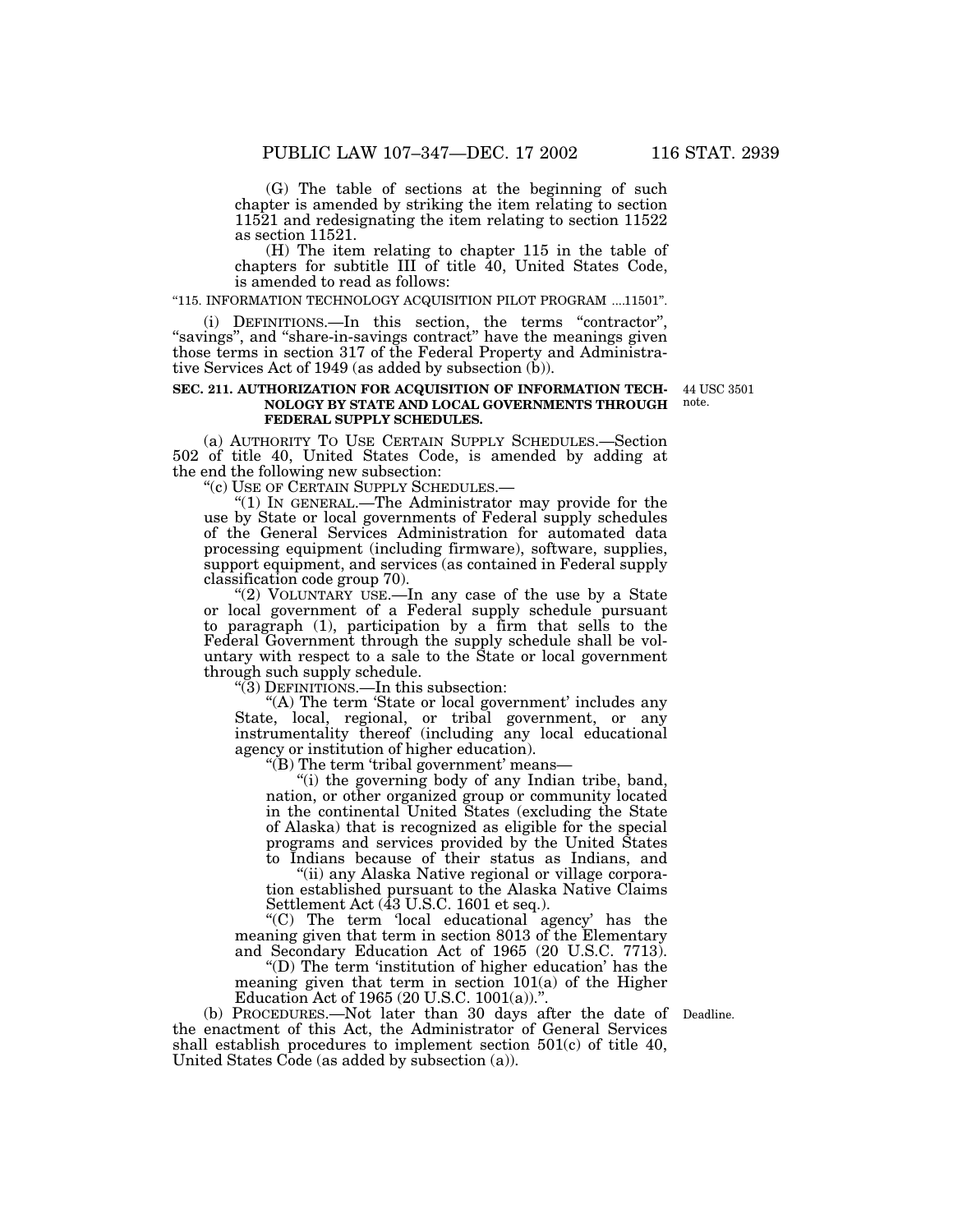(G) The table of sections at the beginning of such chapter is amended by striking the item relating to section 11521 and redesignating the item relating to section 11522 as section 11521.

(H) The item relating to chapter 115 in the table of chapters for subtitle III of title 40, United States Code, is amended to read as follows:

''115. INFORMATION TECHNOLOGY ACQUISITION PILOT PROGRAM ....11501''.

(i) DEFINITIONS.—In this section, the terms "contractor", "savings", and "share-in-savings contract" have the meanings given those terms in section 317 of the Federal Property and Administrative Services Act of 1949 (as added by subsection (b)).

## **SEC. 211. AUTHORIZATION FOR ACQUISITION OF INFORMATION TECH-NOLOGY BY STATE AND LOCAL GOVERNMENTS THROUGH FEDERAL SUPPLY SCHEDULES.**

44 USC 3501 note.

(a) AUTHORITY TO USE CERTAIN SUPPLY SCHEDULES.—Section 502 of title 40, United States Code, is amended by adding at

"(c) USE OF CERTAIN SUPPLY SCHEDULES.—<br>"(1) IN GENERAL.—The Administrator may provide for the use by State or local governments of Federal supply schedules of the General Services Administration for automated data processing equipment (including firmware), software, supplies, support equipment, and services (as contained in Federal supply classification code group 70).

"(2) VOLUNTARY USE.—In any case of the use by a State or local government of a Federal supply schedule pursuant to paragraph (1), participation by a firm that sells to the Federal Government through the supply schedule shall be voluntary with respect to a sale to the State or local government through such supply schedule.

"(3) DEFINITIONS.—In this subsection: " $(A)$  The term 'State or local government' includes any State, local, regional, or tribal government, or any instrumentality thereof (including any local educational agency or institution of higher education).

"(B) The term 'tribal government' means—

"(i) the governing body of any Indian tribe, band, nation, or other organized group or community located in the continental United States (excluding the State of Alaska) that is recognized as eligible for the special programs and services provided by the United States to Indians because of their status as Indians, and

''(ii) any Alaska Native regional or village corporation established pursuant to the Alaska Native Claims Settlement Act (43 U.S.C. 1601 et seq.).

"(C) The term 'local educational agency' has the meaning given that term in section 8013 of the Elementary and Secondary Education Act of 1965 (20 U.S.C. 7713).

''(D) The term 'institution of higher education' has the meaning given that term in section 101(a) of the Higher Education Act of 1965 (20 U.S.C. 1001(a)).''.

(b) PROCEDURES.—Not later than 30 days after the date of Deadline. the enactment of this Act, the Administrator of General Services shall establish procedures to implement section 501(c) of title 40, United States Code (as added by subsection (a)).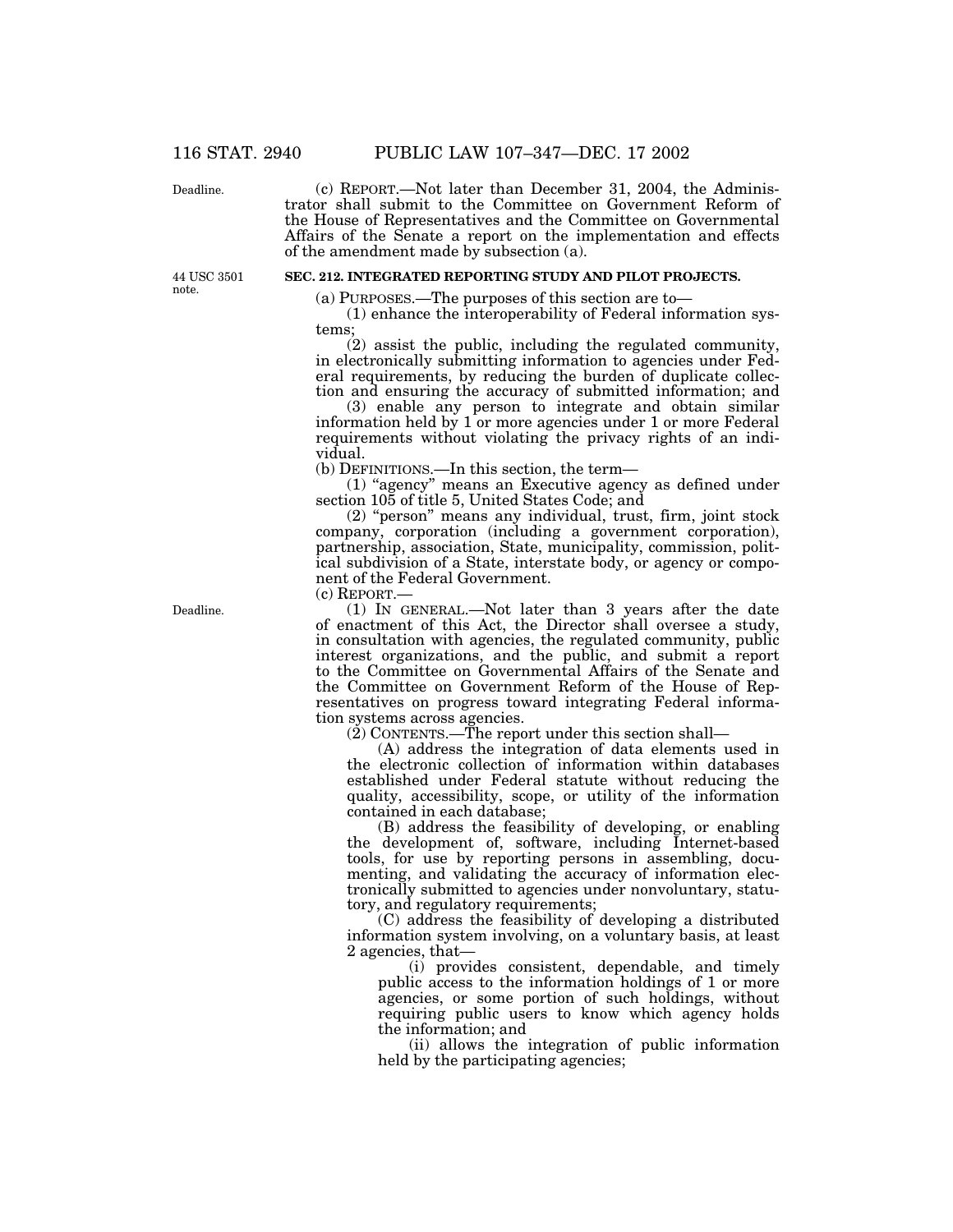Deadline.

(c) REPORT.—Not later than December 31, 2004, the Administrator shall submit to the Committee on Government Reform of the House of Representatives and the Committee on Governmental Affairs of the Senate a report on the implementation and effects of the amendment made by subsection (a).

44 USC 3501 note.

## **SEC. 212. INTEGRATED REPORTING STUDY AND PILOT PROJECTS.**

(a) PURPOSES.—The purposes of this section are to— (1) enhance the interoperability of Federal information systems;

(2) assist the public, including the regulated community, in electronically submitting information to agencies under Federal requirements, by reducing the burden of duplicate collection and ensuring the accuracy of submitted information; and

(3) enable any person to integrate and obtain similar information held by 1 or more agencies under 1 or more Federal requirements without violating the privacy rights of an individual.

(b) DEFINITIONS.—In this section, the term—

(1) ''agency'' means an Executive agency as defined under section 105 of title 5, United States Code; and

(2) ''person'' means any individual, trust, firm, joint stock company, corporation (including a government corporation), partnership, association, State, municipality, commission, political subdivision of a State, interstate body, or agency or component of the Federal Government.

(c) REPORT.—

(1) IN GENERAL.—Not later than 3 years after the date of enactment of this Act, the Director shall oversee a study, in consultation with agencies, the regulated community, public interest organizations, and the public, and submit a report to the Committee on Governmental Affairs of the Senate and the Committee on Government Reform of the House of Representatives on progress toward integrating Federal information systems across agencies.

(2) CONTENTS.—The report under this section shall—

(A) address the integration of data elements used in the electronic collection of information within databases established under Federal statute without reducing the quality, accessibility, scope, or utility of the information contained in each database;

(B) address the feasibility of developing, or enabling the development of, software, including Internet-based tools, for use by reporting persons in assembling, documenting, and validating the accuracy of information electronically submitted to agencies under nonvoluntary, statutory, and regulatory requirements;

 $(C)$  address the feasibility of developing a distributed information system involving, on a voluntary basis, at least 2 agencies, that—

(i) provides consistent, dependable, and timely public access to the information holdings of 1 or more agencies, or some portion of such holdings, without requiring public users to know which agency holds the information; and

(ii) allows the integration of public information held by the participating agencies;

Deadline.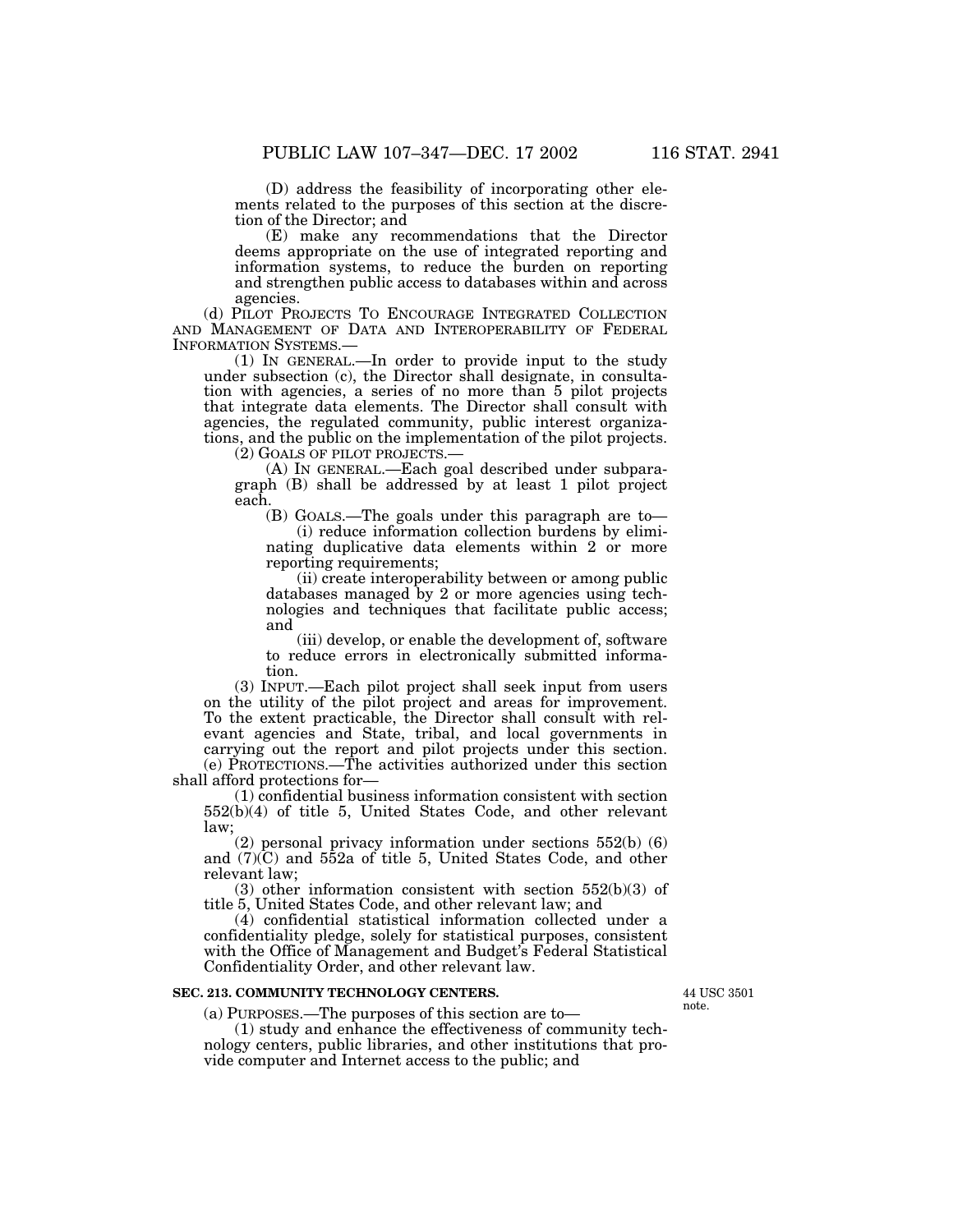(D) address the feasibility of incorporating other elements related to the purposes of this section at the discretion of the Director; and

(E) make any recommendations that the Director deems appropriate on the use of integrated reporting and information systems, to reduce the burden on reporting and strengthen public access to databases within and across agencies.

(d) PILOT PROJECTS TO ENCOURAGE INTEGRATED COLLECTION AND MANAGEMENT OF DATA AND INTEROPERABILITY OF FEDERAL INFORMATION SYSTEMS.—

 $(1)$  In GENERAL.—In order to provide input to the study under subsection (c), the Director shall designate, in consultation with agencies, a series of no more than 5 pilot projects that integrate data elements. The Director shall consult with agencies, the regulated community, public interest organizations, and the public on the implementation of the pilot projects.

(2) GOALS OF PILOT PROJECTS.—

(A) IN GENERAL.—Each goal described under subparagraph (B) shall be addressed by at least 1 pilot project each.

(B) GOALS.—The goals under this paragraph are to— (i) reduce information collection burdens by eliminating duplicative data elements within 2 or more reporting requirements;

(ii) create interoperability between or among public databases managed by 2 or more agencies using technologies and techniques that facilitate public access; and

(iii) develop, or enable the development of, software to reduce errors in electronically submitted information.

(3) INPUT.—Each pilot project shall seek input from users on the utility of the pilot project and areas for improvement. To the extent practicable, the Director shall consult with relevant agencies and State, tribal, and local governments in carrying out the report and pilot projects under this section. (e) PROTECTIONS.—The activities authorized under this section shall afford protections for—

(1) confidential business information consistent with section 552(b)(4) of title 5, United States Code, and other relevant law;

(2) personal privacy information under sections 552(b) (6) and (7)(C) and 552a of title 5, United States Code, and other relevant law;

(3) other information consistent with section  $552(b)(3)$  of title 5, United States Code, and other relevant law; and

(4) confidential statistical information collected under a confidentiality pledge, solely for statistical purposes, consistent with the Office of Management and Budget's Federal Statistical Confidentiality Order, and other relevant law.

#### **SEC. 213. COMMUNITY TECHNOLOGY CENTERS.**

(a) PURPOSES.—The purposes of this section are to—

(1) study and enhance the effectiveness of community technology centers, public libraries, and other institutions that provide computer and Internet access to the public; and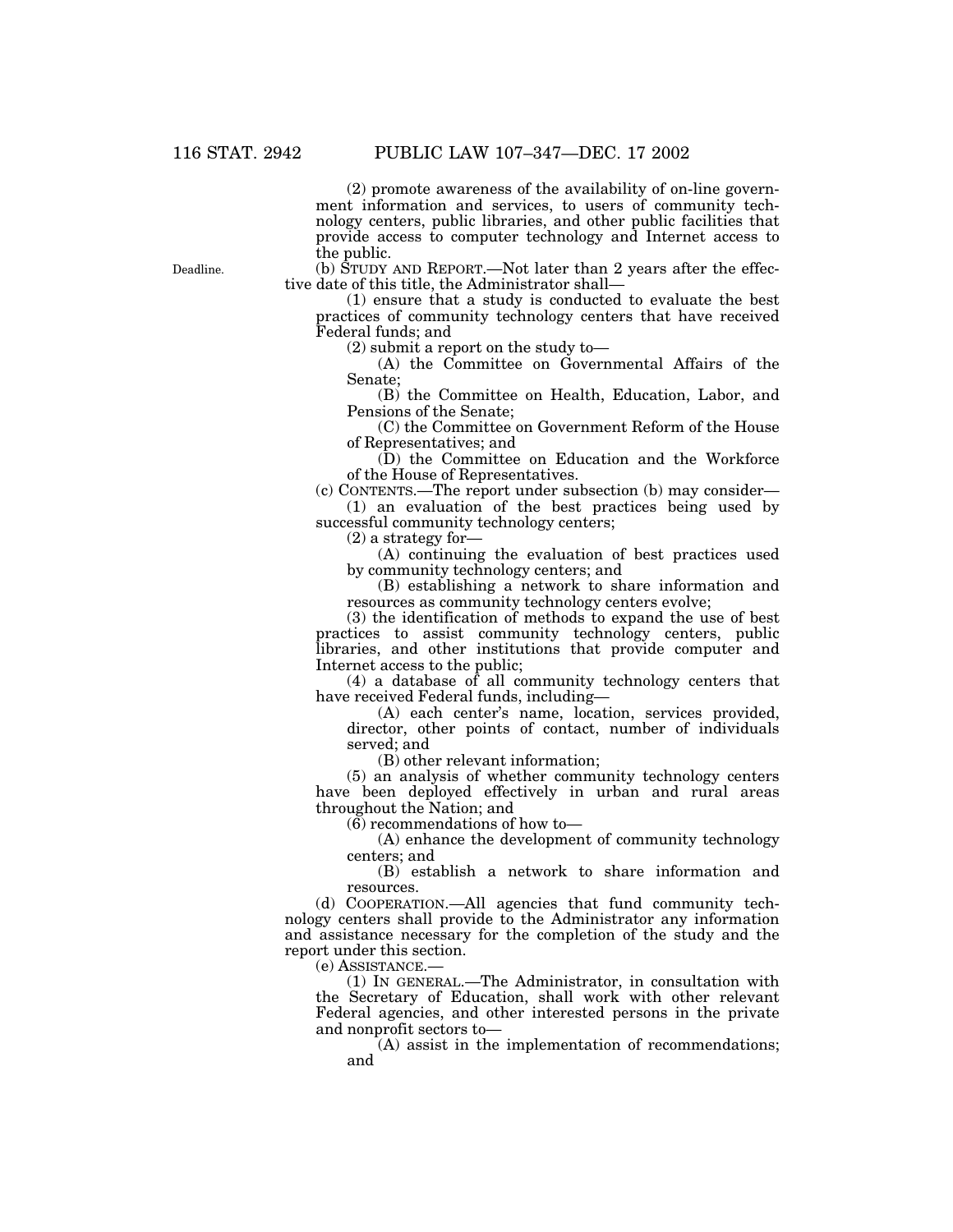(2) promote awareness of the availability of on-line government information and services, to users of community technology centers, public libraries, and other public facilities that provide access to computer technology and Internet access to the public.

Deadline.

(b) STUDY AND REPORT.—Not later than 2 years after the effective date of this title, the Administrator shall—

(1) ensure that a study is conducted to evaluate the best practices of community technology centers that have received Federal funds; and

(2) submit a report on the study to—

(A) the Committee on Governmental Affairs of the Senate;

(B) the Committee on Health, Education, Labor, and Pensions of the Senate;

(C) the Committee on Government Reform of the House of Representatives; and

(D) the Committee on Education and the Workforce of the House of Representatives.

(c) CONTENTS.—The report under subsection (b) may consider— (1) an evaluation of the best practices being used by successful community technology centers;

(2) a strategy for—

(A) continuing the evaluation of best practices used by community technology centers; and

(B) establishing a network to share information and resources as community technology centers evolve;

(3) the identification of methods to expand the use of best practices to assist community technology centers, public libraries, and other institutions that provide computer and Internet access to the public;

(4) a database of all community technology centers that have received Federal funds, including—

(A) each center's name, location, services provided, director, other points of contact, number of individuals served; and

(B) other relevant information;

(5) an analysis of whether community technology centers have been deployed effectively in urban and rural areas throughout the Nation; and

(6) recommendations of how to—

(A) enhance the development of community technology centers; and

(B) establish a network to share information and resources.

(d) COOPERATION.—All agencies that fund community technology centers shall provide to the Administrator any information and assistance necessary for the completion of the study and the report under this section.

(e) ASSISTANCE.—

(1) IN GENERAL.—The Administrator, in consultation with the Secretary of Education, shall work with other relevant Federal agencies, and other interested persons in the private and nonprofit sectors to—

(A) assist in the implementation of recommendations; and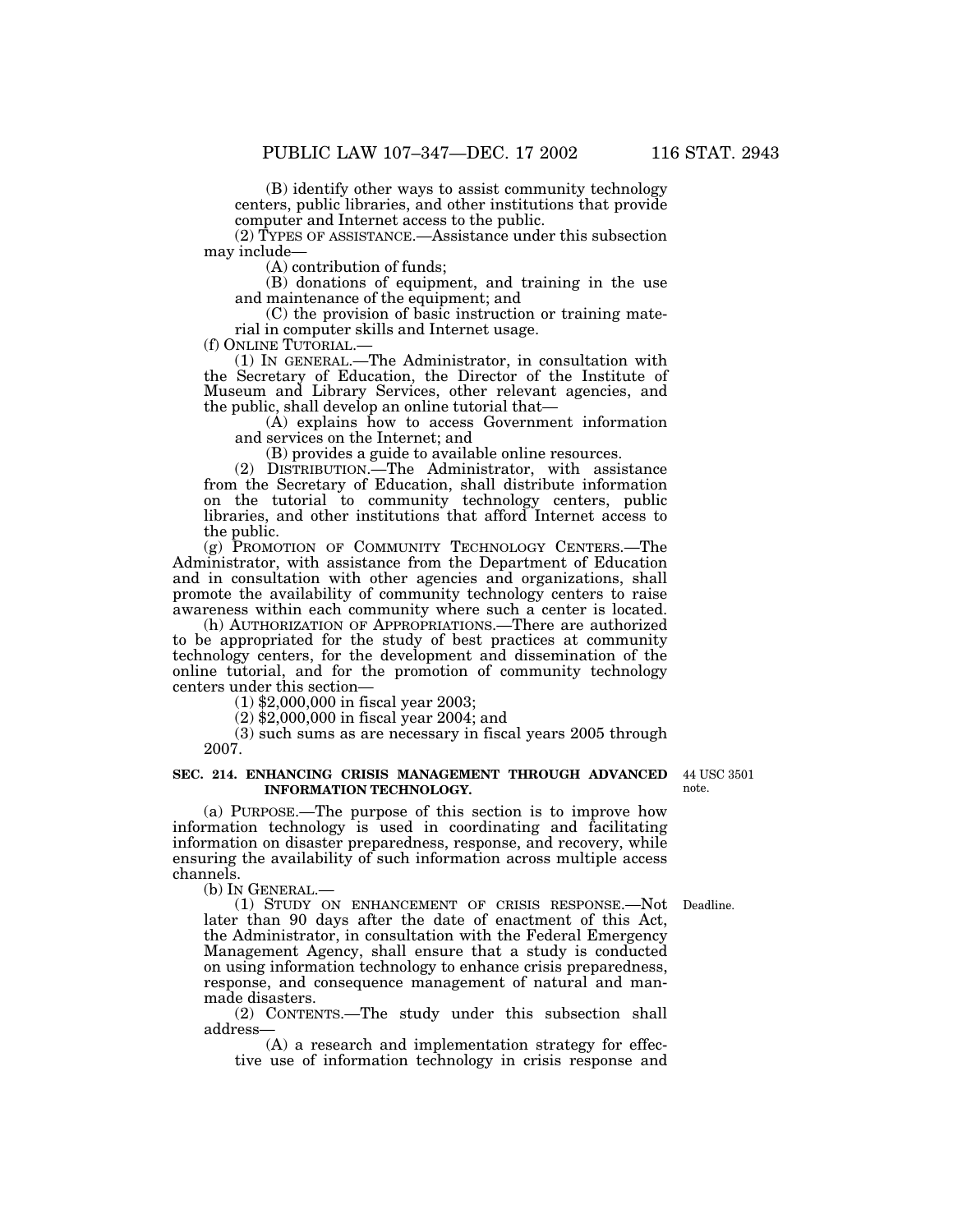(B) identify other ways to assist community technology centers, public libraries, and other institutions that provide computer and Internet access to the public.

(2) TYPES OF ASSISTANCE.—Assistance under this subsection

 $(A)$  contribution of funds;

(B) donations of equipment, and training in the use and maintenance of the equipment; and

(C) the provision of basic instruction or training material in computer skills and Internet usage.<br>(f) ONLINE TUTORIAL.—

(1) IN GENERAL.—The Administrator, in consultation with the Secretary of Education, the Director of the Institute of Museum and Library Services, other relevant agencies, and

 $(A)$  explains how to access Government information and services on the Internet; and

(B) provides a guide to available online resources.

(2) DISTRIBUTION.—The Administrator, with assistance from the Secretary of Education, shall distribute information on the tutorial to community technology centers, public libraries, and other institutions that afford Internet access to the public.

(g) PROMOTION OF COMMUNITY TECHNOLOGY CENTERS.—The Administrator, with assistance from the Department of Education and in consultation with other agencies and organizations, shall promote the availability of community technology centers to raise awareness within each community where such a center is located.

(h) AUTHORIZATION OF APPROPRIATIONS.—There are authorized to be appropriated for the study of best practices at community technology centers, for the development and dissemination of the online tutorial, and for the promotion of community technology centers under this section—

(1) \$2,000,000 in fiscal year 2003;

(2) \$2,000,000 in fiscal year 2004; and

(3) such sums as are necessary in fiscal years 2005 through 2007.

#### **SEC. 214. ENHANCING CRISIS MANAGEMENT THROUGH ADVANCED** 44 USC 3501 **INFORMATION TECHNOLOGY.**

note.

(a) PURPOSE.—The purpose of this section is to improve how information technology is used in coordinating and facilitating information on disaster preparedness, response, and recovery, while ensuring the availability of such information across multiple access channels.

(b) IN GENERAL.—

(1) STUDY ON ENHANCEMENT OF CRISIS RESPONSE.—Not Deadline. later than 90 days after the date of enactment of this Act, the Administrator, in consultation with the Federal Emergency Management Agency, shall ensure that a study is conducted on using information technology to enhance crisis preparedness, response, and consequence management of natural and manmade disasters.

(2) CONTENTS.—The study under this subsection shall address—

(A) a research and implementation strategy for effective use of information technology in crisis response and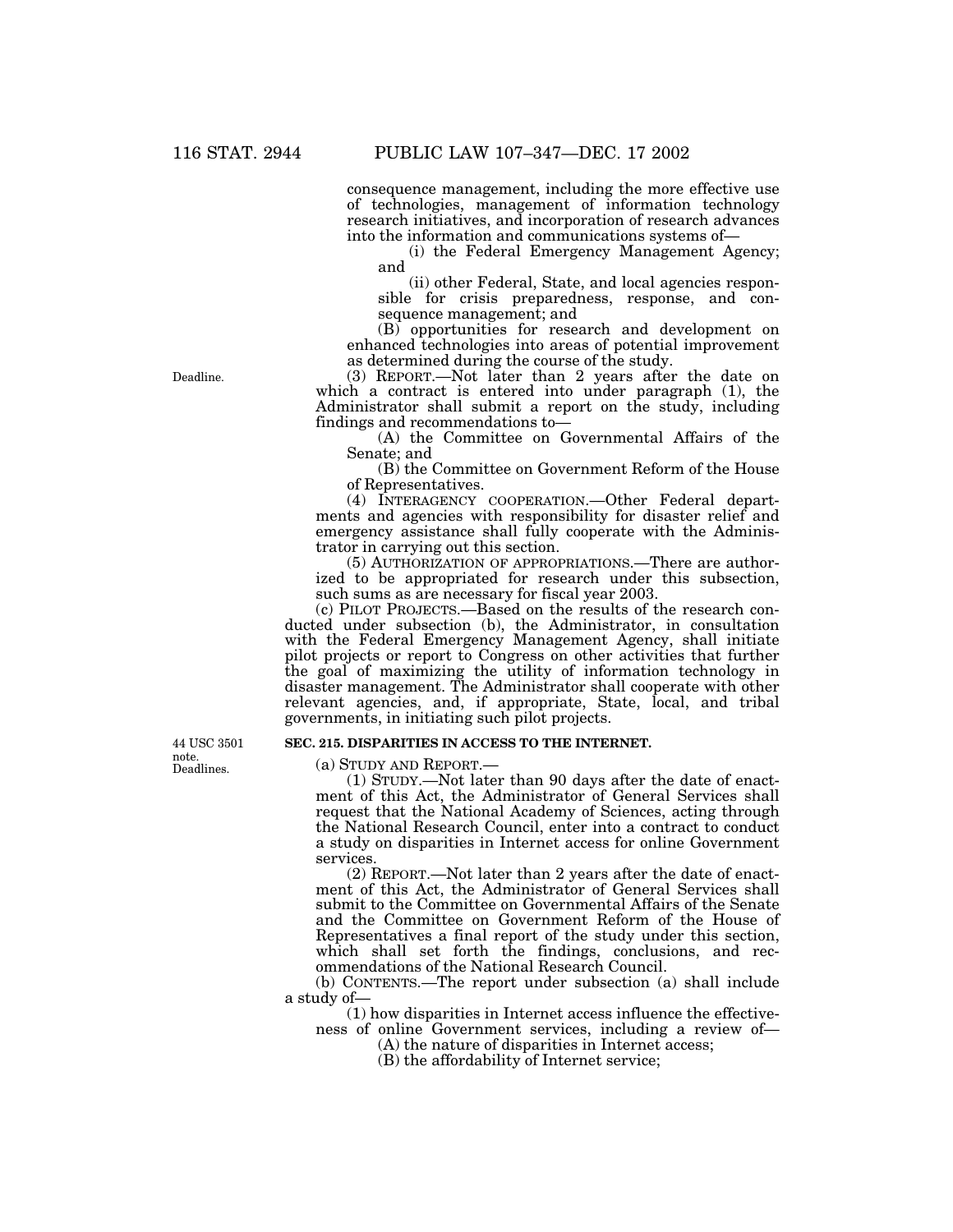consequence management, including the more effective use of technologies, management of information technology research initiatives, and incorporation of research advances into the information and communications systems of—

(i) the Federal Emergency Management Agency; and

(ii) other Federal, State, and local agencies responsible for crisis preparedness, response, and consequence management; and

(B) opportunities for research and development on enhanced technologies into areas of potential improvement as determined during the course of the study.

(3) REPORT.—Not later than 2 years after the date on which a contract is entered into under paragraph (1), the Administrator shall submit a report on the study, including

(A) the Committee on Governmental Affairs of the Senate; and

(B) the Committee on Government Reform of the House of Representatives.

(4) INTERAGENCY COOPERATION.—Other Federal departments and agencies with responsibility for disaster relief and emergency assistance shall fully cooperate with the Administrator in carrying out this section.

(5) AUTHORIZATION OF APPROPRIATIONS.—There are authorized to be appropriated for research under this subsection, such sums as are necessary for fiscal year 2003.

(c) PILOT PROJECTS.—Based on the results of the research conducted under subsection (b), the Administrator, in consultation with the Federal Emergency Management Agency, shall initiate pilot projects or report to Congress on other activities that further the goal of maximizing the utility of information technology in disaster management. The Administrator shall cooperate with other relevant agencies, and, if appropriate, State, local, and tribal governments, in initiating such pilot projects.

## **SEC. 215. DISPARITIES IN ACCESS TO THE INTERNET.**

(a) STUDY AND REPORT.—

(1) STUDY.—Not later than 90 days after the date of enactment of this Act, the Administrator of General Services shall request that the National Academy of Sciences, acting through the National Research Council, enter into a contract to conduct a study on disparities in Internet access for online Government services.

(2) REPORT.—Not later than 2 years after the date of enactment of this Act, the Administrator of General Services shall submit to the Committee on Governmental Affairs of the Senate and the Committee on Government Reform of the House of Representatives a final report of the study under this section, which shall set forth the findings, conclusions, and recommendations of the National Research Council.

(b) CONTENTS.—The report under subsection (a) shall include a study of—

(1) how disparities in Internet access influence the effectiveness of online Government services, including a review of—

(A) the nature of disparities in Internet access;

(B) the affordability of Internet service;

Deadlines. 44 USC 3501 note.

Deadline.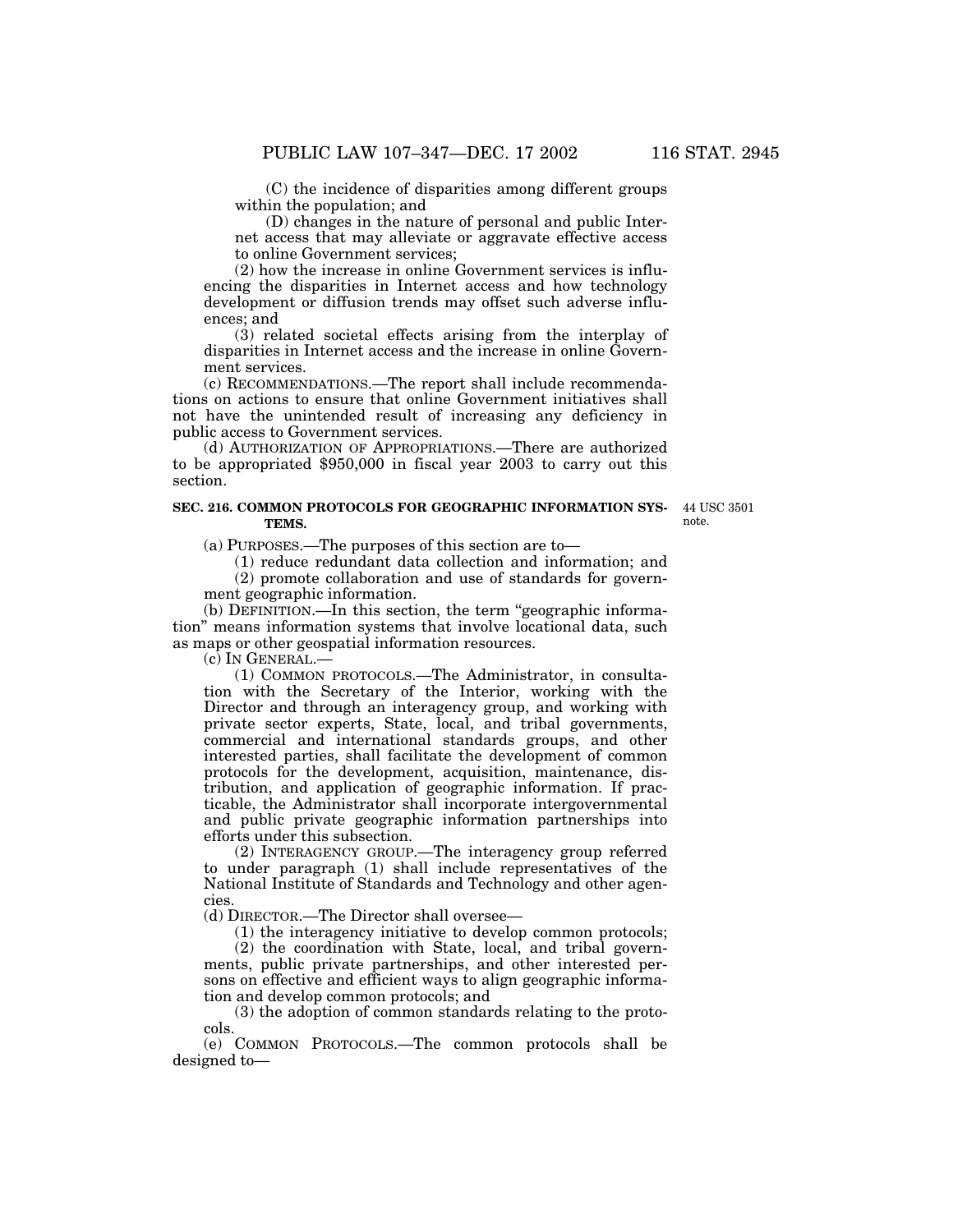(C) the incidence of disparities among different groups within the population; and

(D) changes in the nature of personal and public Internet access that may alleviate or aggravate effective access to online Government services;

(2) how the increase in online Government services is influencing the disparities in Internet access and how technology development or diffusion trends may offset such adverse influences; and

(3) related societal effects arising from the interplay of disparities in Internet access and the increase in online Government services.

(c) RECOMMENDATIONS.—The report shall include recommendations on actions to ensure that online Government initiatives shall not have the unintended result of increasing any deficiency in public access to Government services.

(d) AUTHORIZATION OF APPROPRIATIONS.—There are authorized to be appropriated \$950,000 in fiscal year 2003 to carry out this section.

## **SEC. 216. COMMON PROTOCOLS FOR GEOGRAPHIC INFORMATION SYS-TEMS.**

44 USC 3501 note.

(a) PURPOSES.—The purposes of this section are to—

(1) reduce redundant data collection and information; and

(2) promote collaboration and use of standards for government geographic information.

(b) DEFINITION.—In this section, the term ''geographic information'' means information systems that involve locational data, such as maps or other geospatial information resources.

(c) IN GENERAL.—

(1) COMMON PROTOCOLS.—The Administrator, in consultation with the Secretary of the Interior, working with the Director and through an interagency group, and working with private sector experts, State, local, and tribal governments, commercial and international standards groups, and other interested parties, shall facilitate the development of common protocols for the development, acquisition, maintenance, distribution, and application of geographic information. If practicable, the Administrator shall incorporate intergovernmental and public private geographic information partnerships into efforts under this subsection.

(2) INTERAGENCY GROUP.—The interagency group referred to under paragraph (1) shall include representatives of the National Institute of Standards and Technology and other agencies.

(d) DIRECTOR.—The Director shall oversee—

(1) the interagency initiative to develop common protocols;

(2) the coordination with State, local, and tribal governments, public private partnerships, and other interested persons on effective and efficient ways to align geographic information and develop common protocols; and

(3) the adoption of common standards relating to the protocols.

(e) COMMON PROTOCOLS.—The common protocols shall be designed to—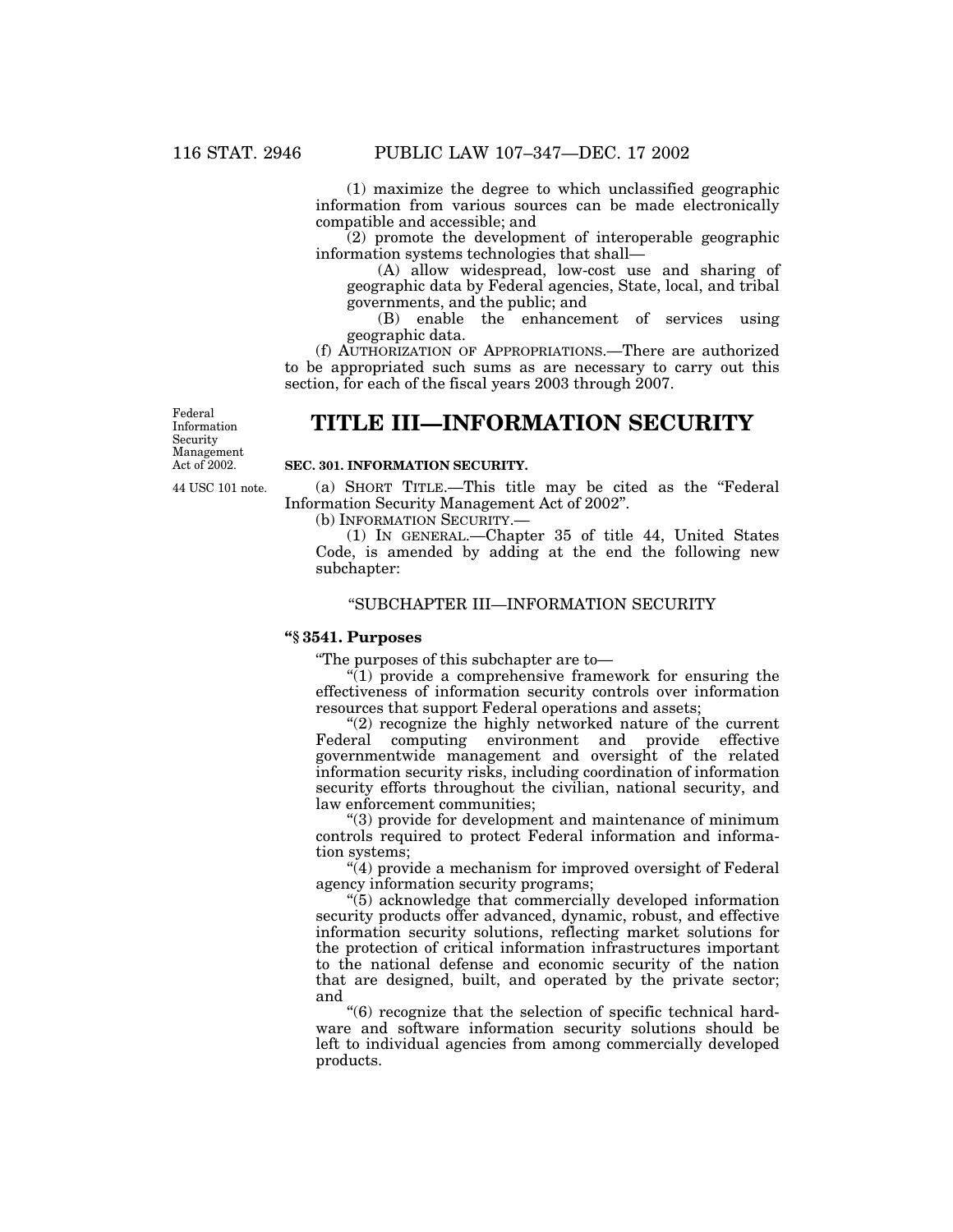(1) maximize the degree to which unclassified geographic information from various sources can be made electronically compatible and accessible; and

(2) promote the development of interoperable geographic information systems technologies that shall—

(A) allow widespread, low-cost use and sharing of geographic data by Federal agencies, State, local, and tribal governments, and the public; and

(B) enable the enhancement of services using geographic data.

(f) AUTHORIZATION OF APPROPRIATIONS.—There are authorized to be appropriated such sums as are necessary to carry out this section, for each of the fiscal years 2003 through 2007.

Federal Information Security Management Act of 2002.

# **TITLE III—INFORMATION SECURITY**

44 USC 101 note.

## **SEC. 301. INFORMATION SECURITY.**

(a) SHORT TITLE.—This title may be cited as the ''Federal Information Security Management Act of 2002''.

(b) INFORMATION SECURITY.—

(1) IN GENERAL.—Chapter 35 of title 44, United States Code, is amended by adding at the end the following new subchapter:

## ''SUBCHAPTER III—INFORMATION SECURITY

## **''§ 3541. Purposes**

''The purposes of this subchapter are to—

 $\sqrt{\ }$ (1) provide a comprehensive framework for ensuring the effectiveness of information security controls over information resources that support Federal operations and assets;

"(2) recognize the highly networked nature of the current Federal computing environment and provide effective governmentwide management and oversight of the related information security risks, including coordination of information security efforts throughout the civilian, national security, and law enforcement communities;

''(3) provide for development and maintenance of minimum controls required to protect Federal information and information systems;

 $\degree$ (4) provide a mechanism for improved oversight of Federal agency information security programs;

''(5) acknowledge that commercially developed information security products offer advanced, dynamic, robust, and effective information security solutions, reflecting market solutions for the protection of critical information infrastructures important to the national defense and economic security of the nation that are designed, built, and operated by the private sector; and

''(6) recognize that the selection of specific technical hardware and software information security solutions should be left to individual agencies from among commercially developed products.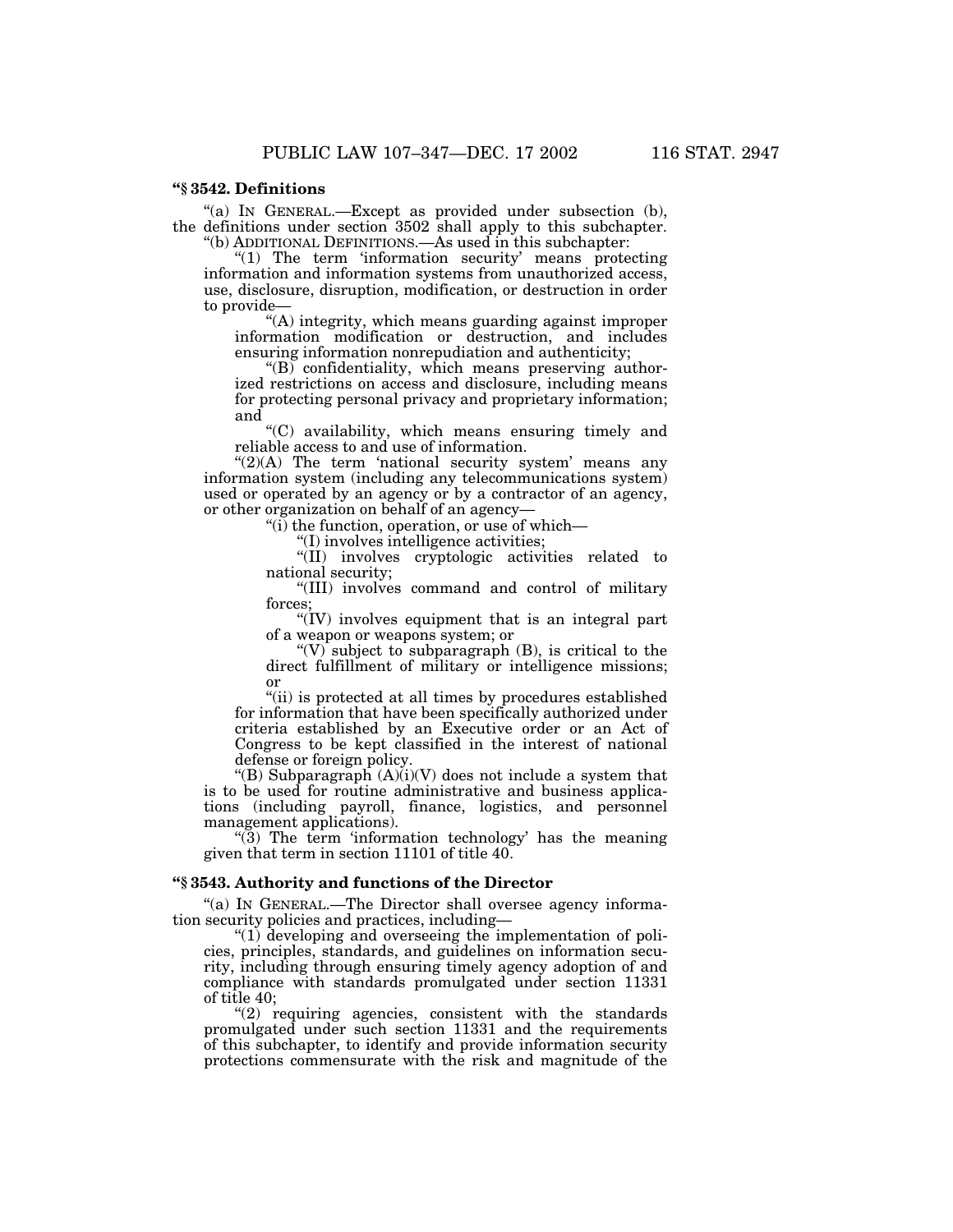## **''§ 3542. Definitions**

''(a) IN GENERAL.—Except as provided under subsection (b), the definitions under section 3502 shall apply to this subchapter. ''(b) ADDITIONAL DEFINITIONS.—As used in this subchapter:

 $''(1)$  The term 'information security' means protecting information and information systems from unauthorized access, use, disclosure, disruption, modification, or destruction in order to provide—

''(A) integrity, which means guarding against improper information modification or destruction, and includes ensuring information nonrepudiation and authenticity;

 $\mathrm{``(B)}$  confidentiality, which means preserving authorized restrictions on access and disclosure, including means for protecting personal privacy and proprietary information; and

''(C) availability, which means ensuring timely and reliable access to and use of information.

" $(2)(A)$  The term 'national security system' means any information system (including any telecommunications system) used or operated by an agency or by a contractor of an agency, or other organization on behalf of an agency—

''(i) the function, operation, or use of which—

''(I) involves intelligence activities;

''(II) involves cryptologic activities related to national security;

''(III) involves command and control of military forces;

"(IV) involves equipment that is an integral part of a weapon or weapons system; or  $\degree$  (B), is critical to the  $\degree$ 

direct fulfillment of military or intelligence missions; or

''(ii) is protected at all times by procedures established for information that have been specifically authorized under criteria established by an Executive order or an Act of Congress to be kept classified in the interest of national defense or foreign policy.

"(B) Subparagraph  $(A)(i)(V)$  does not include a system that is to be used for routine administrative and business applications (including payroll, finance, logistics, and personnel

"(3) The term 'information technology' has the meaning given that term in section 11101 of title 40.

#### **''§ 3543. Authority and functions of the Director**

"(a) IN GENERAL.—The Director shall oversee agency information security policies and practices, including—

''(1) developing and overseeing the implementation of policies, principles, standards, and guidelines on information security, including through ensuring timely agency adoption of and compliance with standards promulgated under section 11331 of title 40;

 $(2)$  requiring agencies, consistent with the standards promulgated under such section 11331 and the requirements of this subchapter, to identify and provide information security protections commensurate with the risk and magnitude of the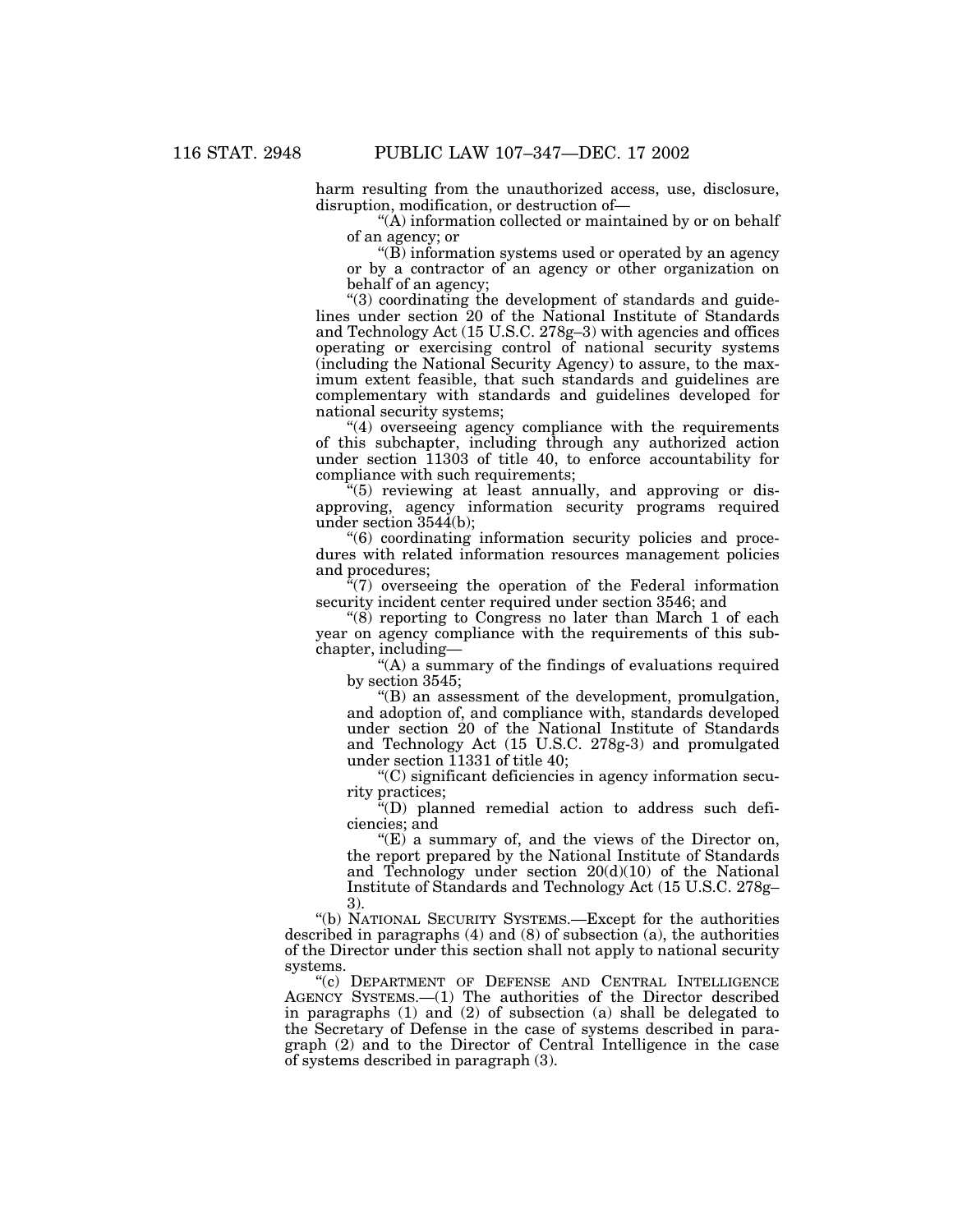harm resulting from the unauthorized access, use, disclosure, disruption, modification, or destruction of—

''(A) information collected or maintained by or on behalf of an agency; or

 $\mathrm{``(B)}$  information systems used or operated by an agency or by a contractor of an agency or other organization on behalf of an agency;

"(3) coordinating the development of standards and guidelines under section 20 of the National Institute of Standards and Technology Act (15 U.S.C. 278g–3) with agencies and offices operating or exercising control of national security systems (including the National Security Agency) to assure, to the maximum extent feasible, that such standards and guidelines are complementary with standards and guidelines developed for national security systems;

"(4) overseeing agency compliance with the requirements of this subchapter, including through any authorized action under section 11303 of title 40, to enforce accountability for compliance with such requirements;

''(5) reviewing at least annually, and approving or disapproving, agency information security programs required under section 3544(b);

''(6) coordinating information security policies and procedures with related information resources management policies and procedures;

''(7) overseeing the operation of the Federal information security incident center required under section 3546; and

 $\cdot$ (8) reporting to Congress no later than March 1 of each year on agency compliance with the requirements of this subchapter, including—

''(A) a summary of the findings of evaluations required by section 3545;

''(B) an assessment of the development, promulgation, and adoption of, and compliance with, standards developed under section 20 of the National Institute of Standards and Technology Act (15 U.S.C. 278g-3) and promulgated under section 11331 of title 40;

''(C) significant deficiencies in agency information security practices;

 $\sqrt[n]{(D)}$  planned remedial action to address such deficiencies; and

''(E) a summary of, and the views of the Director on, the report prepared by the National Institute of Standards and Technology under section 20(d)(10) of the National Institute of Standards and Technology Act (15 U.S.C. 278g– 3).

''(b) NATIONAL SECURITY SYSTEMS.—Except for the authorities described in paragraphs (4) and (8) of subsection (a), the authorities of the Director under this section shall not apply to national security systems.

''(c) DEPARTMENT OF DEFENSE AND CENTRAL INTELLIGENCE AGENCY SYSTEMS.—(1) The authorities of the Director described in paragraphs (1) and (2) of subsection (a) shall be delegated to the Secretary of Defense in the case of systems described in paragraph (2) and to the Director of Central Intelligence in the case of systems described in paragraph (3).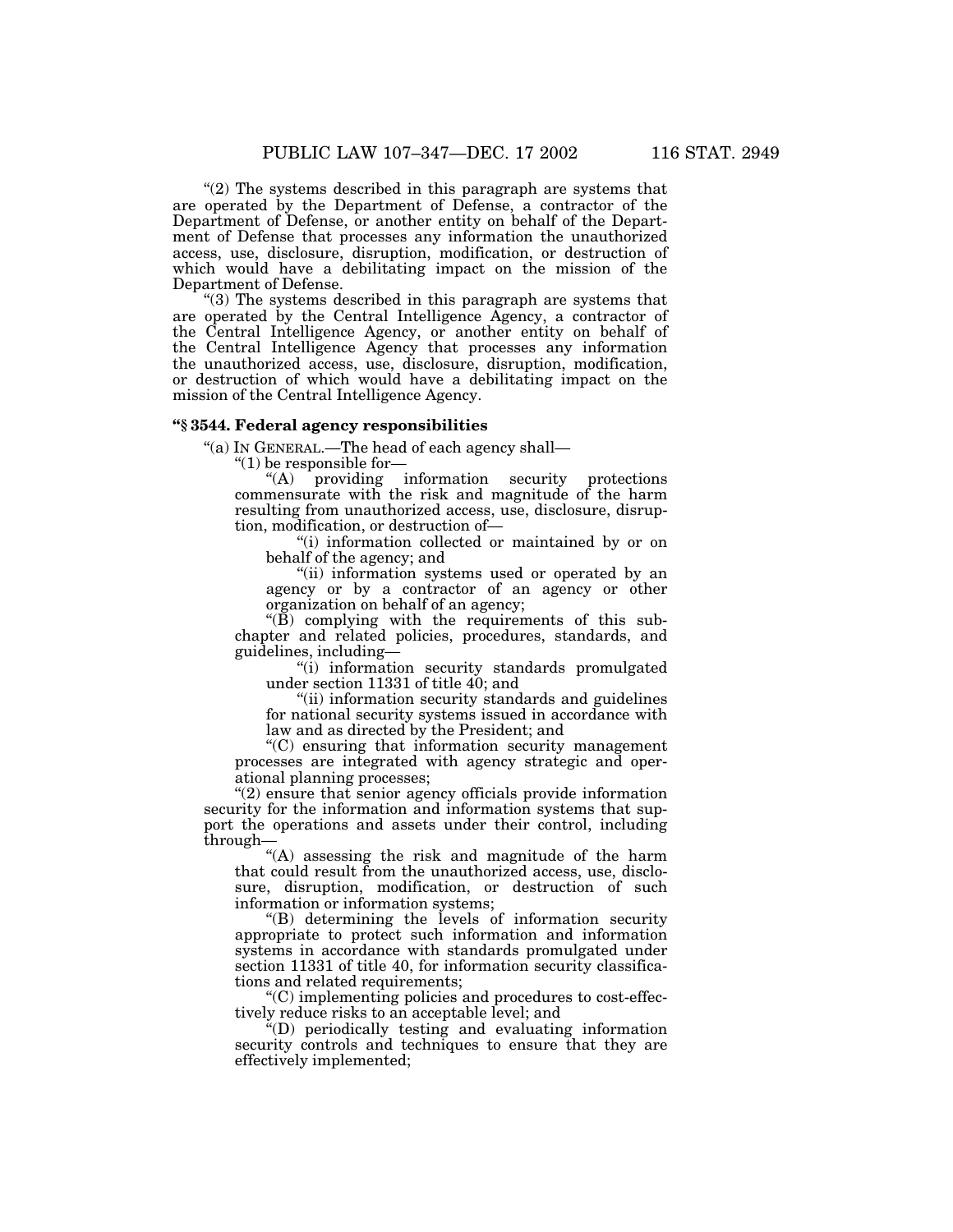"(2) The systems described in this paragraph are systems that are operated by the Department of Defense, a contractor of the Department of Defense, or another entity on behalf of the Department of Defense that processes any information the unauthorized access, use, disclosure, disruption, modification, or destruction of which would have a debilitating impact on the mission of the Department of Defense.

''(3) The systems described in this paragraph are systems that are operated by the Central Intelligence Agency, a contractor of the Central Intelligence Agency, or another entity on behalf of the Central Intelligence Agency that processes any information the unauthorized access, use, disclosure, disruption, modification, or destruction of which would have a debilitating impact on the mission of the Central Intelligence Agency.

## **''§ 3544. Federal agency responsibilities**

''(a) IN GENERAL.—The head of each agency shall—

" $(1)$  be responsible for-

''(A) providing information security protections commensurate with the risk and magnitude of the harm resulting from unauthorized access, use, disclosure, disruption, modification, or destruction of—

''(i) information collected or maintained by or on behalf of the agency; and

"(ii) information systems used or operated by an agency or by a contractor of an agency or other organization on behalf of an agency;

 $\mathrm{H}(\mathbf{B})$  complying with the requirements of this subchapter and related policies, procedures, standards, and guidelines, including—

''(i) information security standards promulgated under section 11331 of title 40; and

"(ii) information security standards and guidelines for national security systems issued in accordance with law and as directed by the President; and

''(C) ensuring that information security management processes are integrated with agency strategic and operational planning processes;

''(2) ensure that senior agency officials provide information security for the information and information systems that support the operations and assets under their control, including through—

"(A) assessing the risk and magnitude of the harm that could result from the unauthorized access, use, disclosure, disruption, modification, or destruction of such information or information systems;

''(B) determining the levels of information security appropriate to protect such information and information systems in accordance with standards promulgated under section 11331 of title 40, for information security classifications and related requirements;

''(C) implementing policies and procedures to cost-effectively reduce risks to an acceptable level; and

''(D) periodically testing and evaluating information security controls and techniques to ensure that they are effectively implemented;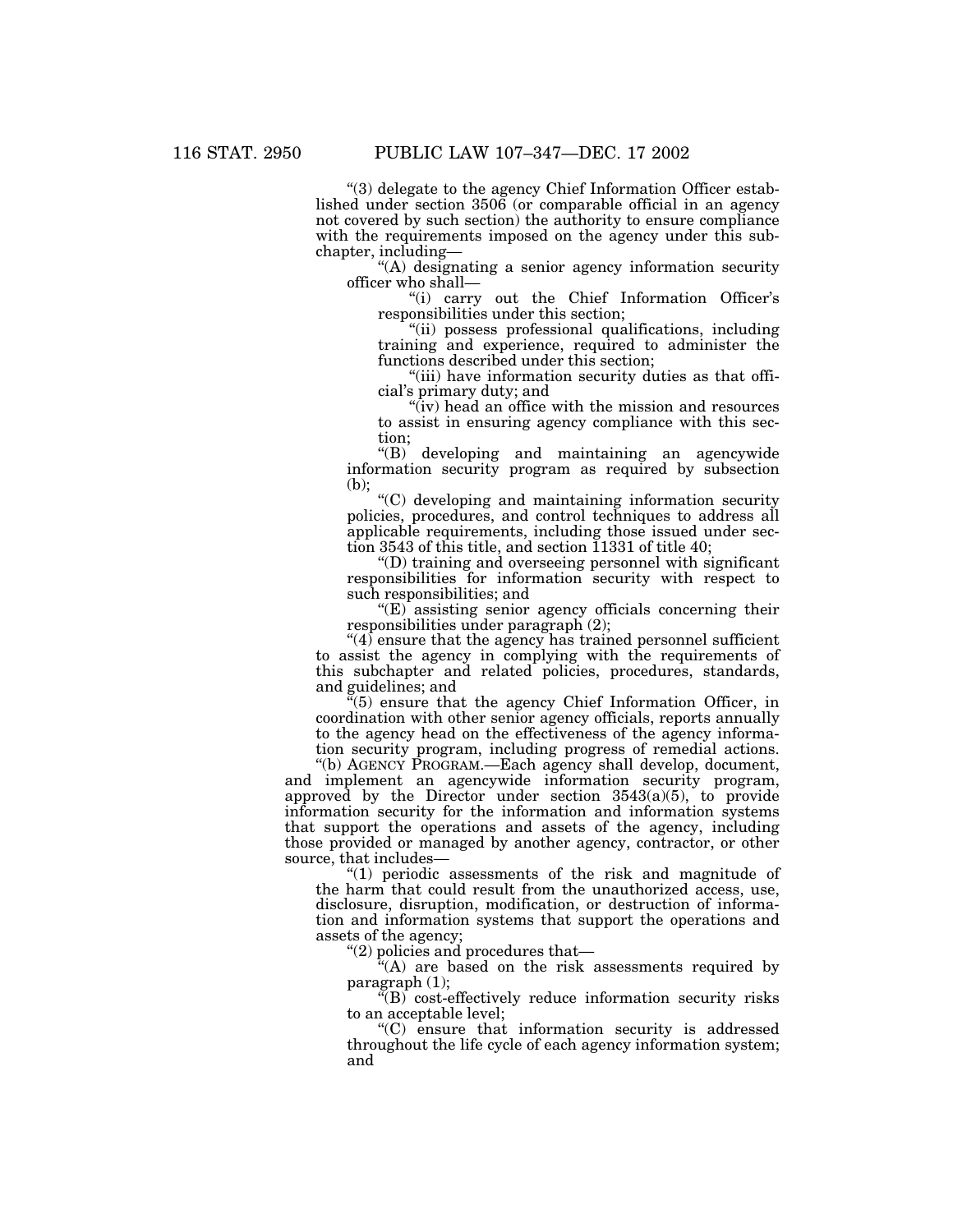"(3) delegate to the agency Chief Information Officer established under section 3506 (or comparable official in an agency not covered by such section) the authority to ensure compliance with the requirements imposed on the agency under this subchapter, including—

''(A) designating a senior agency information security officer who shall—

''(i) carry out the Chief Information Officer's responsibilities under this section;

''(ii) possess professional qualifications, including training and experience, required to administer the functions described under this section;

"(iii) have information security duties as that official's primary duty; and

''(iv) head an office with the mission and resources to assist in ensuring agency compliance with this section;<br>" $(B)$ 

developing and maintaining an agencywide information security program as required by subsection (b);

''(C) developing and maintaining information security policies, procedures, and control techniques to address all applicable requirements, including those issued under section 3543 of this title, and section  $\overline{1}1331$  of title 40;

''(D) training and overseeing personnel with significant responsibilities for information security with respect to such responsibilities; and

 $E$ ) assisting senior agency officials concerning their responsibilities under paragraph (2);

 $"(4)$  ensure that the agency has trained personnel sufficient to assist the agency in complying with the requirements of this subchapter and related policies, procedures, standards, and guidelines; and

 $\mathfrak{F}(5)$  ensure that the agency Chief Information Officer, in coordination with other senior agency officials, reports annually to the agency head on the effectiveness of the agency information security program, including progress of remedial actions.

''(b) AGENCY PROGRAM.—Each agency shall develop, document, and implement an agencywide information security program, approved by the Director under section 3543(a)(5), to provide information security for the information and information systems that support the operations and assets of the agency, including those provided or managed by another agency, contractor, or other source, that includes—

''(1) periodic assessments of the risk and magnitude of the harm that could result from the unauthorized access, use, disclosure, disruption, modification, or destruction of information and information systems that support the operations and assets of the agency;

''(2) policies and procedures that—

 $\mathcal{H}(\mathbf{A})$  are based on the risk assessments required by paragraph (1);

''(B) cost-effectively reduce information security risks to an acceptable level;

''(C) ensure that information security is addressed throughout the life cycle of each agency information system; and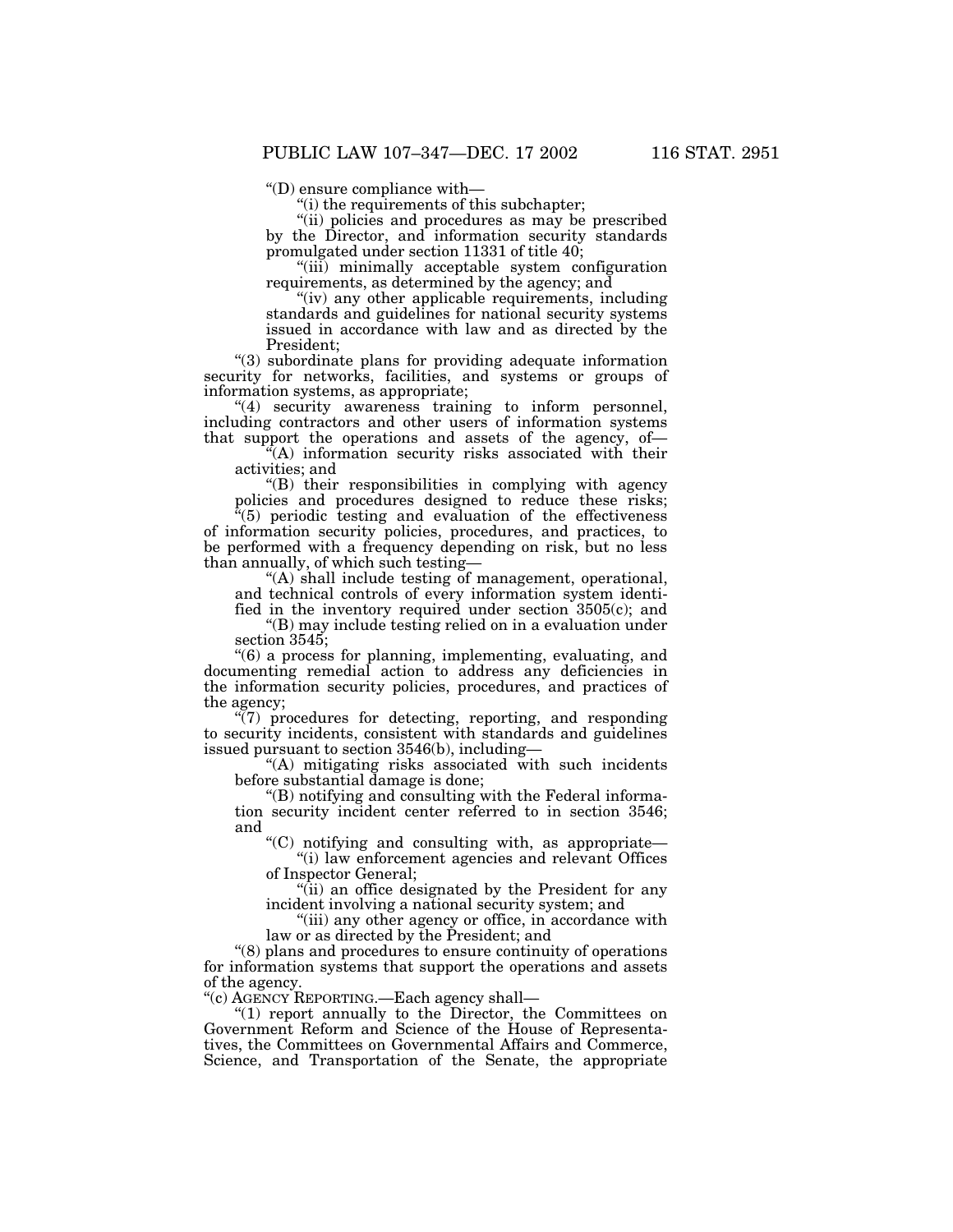"(D) ensure compliance with— $''(i)$  the requirements of this subchapter;

"(ii) policies and procedures as may be prescribed by the Director, and information security standards promulgated under section 11331 of title 40;

''(iii) minimally acceptable system configuration requirements, as determined by the agency; and

"(iv) any other applicable requirements, including standards and guidelines for national security systems issued in accordance with law and as directed by the President;

''(3) subordinate plans for providing adequate information security for networks, facilities, and systems or groups of information systems, as appropriate;

 $''(4)$  security awareness training to inform personnel, including contractors and other users of information systems that support the operations and assets of the agency, of—

''(A) information security risks associated with their activities; and

''(B) their responsibilities in complying with agency policies and procedures designed to reduce these risks;

''(5) periodic testing and evaluation of the effectiveness of information security policies, procedures, and practices, to be performed with a frequency depending on risk, but no less than annually, of which such testing—

''(A) shall include testing of management, operational, and technical controls of every information system identi-

fied in the inventory required under section 3505(c); and ''(B) may include testing relied on in a evaluation under

section 3545;

''(6) a process for planning, implementing, evaluating, and documenting remedial action to address any deficiencies in the information security policies, procedures, and practices of the agency;

 $\sqrt{\tau(7)}$  procedures for detecting, reporting, and responding to security incidents, consistent with standards and guidelines issued pursuant to section 3546(b), including—

"(A) mitigating risks associated with such incidents before substantial damage is done;

''(B) notifying and consulting with the Federal information security incident center referred to in section 3546; and

 $(C)$  notifying and consulting with, as appropriate— ''(i) law enforcement agencies and relevant Offices

of Inspector General; ''(ii) an office designated by the President for any

incident involving a national security system; and "(iii) any other agency or office, in accordance with

law or as directed by the President; and

''(8) plans and procedures to ensure continuity of operations for information systems that support the operations and assets of the agency.

''(c) AGENCY REPORTING.—Each agency shall—

''(1) report annually to the Director, the Committees on Government Reform and Science of the House of Representatives, the Committees on Governmental Affairs and Commerce, Science, and Transportation of the Senate, the appropriate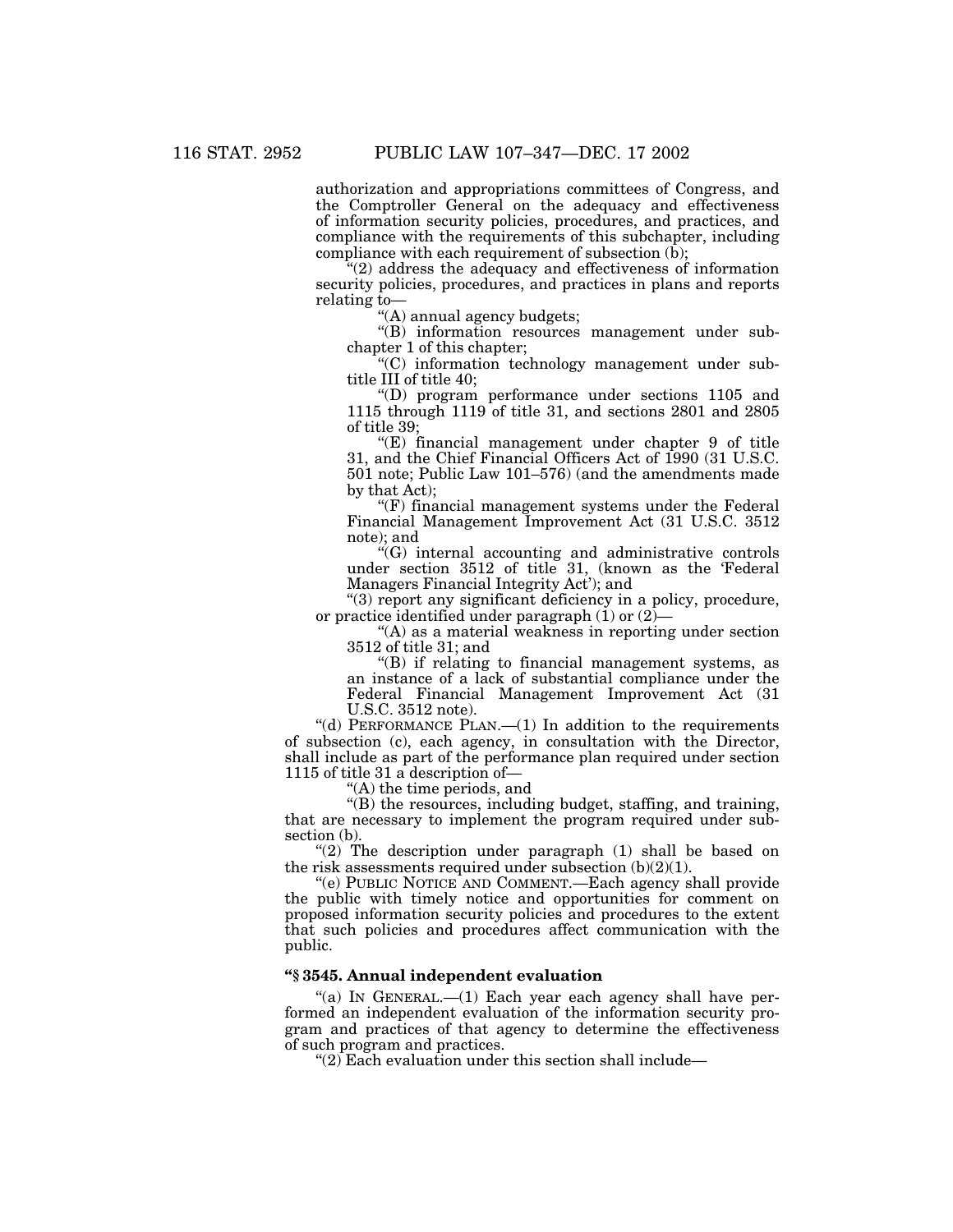authorization and appropriations committees of Congress, and the Comptroller General on the adequacy and effectiveness of information security policies, procedures, and practices, and compliance with the requirements of this subchapter, including compliance with each requirement of subsection  $(b)$ ;

''(2) address the adequacy and effectiveness of information security policies, procedures, and practices in plans and reports relating to—

''(A) annual agency budgets;

''(B) information resources management under subchapter 1 of this chapter;

''(C) information technology management under subtitle III of title 40;

''(D) program performance under sections 1105 and 1115 through 1119 of title 31, and sections 2801 and 2805 of title 39;

 $(E)$  financial management under chapter 9 of title 31, and the Chief Financial Officers Act of 1990 (31 U.S.C. 501 note; Public Law 101–576) (and the amendments made by that Act);

''(F) financial management systems under the Federal Financial Management Improvement Act (31 U.S.C. 3512 note); and

''(G) internal accounting and administrative controls under section 3512 of title 31, (known as the 'Federal Managers Financial Integrity Act'); and

''(3) report any significant deficiency in a policy, procedure, or practice identified under paragraph  $(1)$  or  $(2)$ —

"(A) as a material weakness in reporting under section 3512 of title 31; and

''(B) if relating to financial management systems, as an instance of a lack of substantial compliance under the Federal Financial Management Improvement Act (31 U.S.C. 3512 note).

"(d) PERFORMANCE PLAN.— $(1)$  In addition to the requirements of subsection (c), each agency, in consultation with the Director, shall include as part of the performance plan required under section 1115 of title 31 a description of—

''(A) the time periods, and

''(B) the resources, including budget, staffing, and training, that are necessary to implement the program required under subsection (b).

" $(2)$  The description under paragraph  $(1)$  shall be based on the risk assessments required under subsection  $(b)(2)(1)$ .

''(e) PUBLIC NOTICE AND COMMENT.—Each agency shall provide the public with timely notice and opportunities for comment on proposed information security policies and procedures to the extent that such policies and procedures affect communication with the public.

# **''§ 3545. Annual independent evaluation**

"(a) In GENERAL $-$ (1) Each year each agency shall have performed an independent evaluation of the information security program and practices of that agency to determine the effectiveness of such program and practices.

''(2) Each evaluation under this section shall include—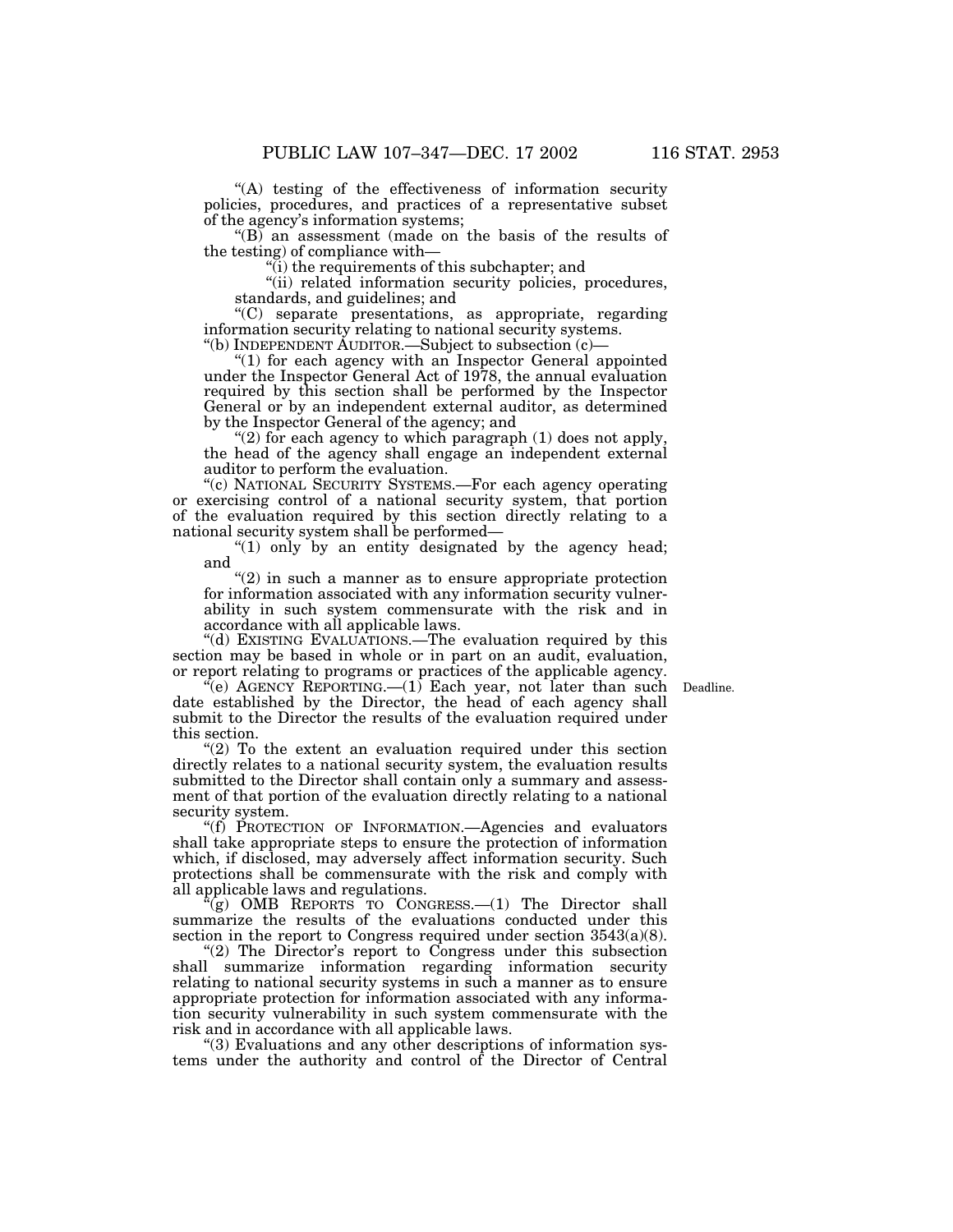''(A) testing of the effectiveness of information security policies, procedures, and practices of a representative subset of the agency's information systems; ''(B) an assessment (made on the basis of the results of

the testing) of compliance with—

 $\tilde{f}$ ) the requirements of this subchapter; and

"(ii) related information security policies, procedures, standards, and guidelines; and

''(C) separate presentations, as appropriate, regarding information security relating to national security systems.

''(b) INDEPENDENT AUDITOR.—Subject to subsection (c)— ''(1) for each agency with an Inspector General appointed under the Inspector General Act of 1978, the annual evaluation required by this section shall be performed by the Inspector General or by an independent external auditor, as determined<br>by the Inspector General of the agency; and

"(2) for each agency to which paragraph  $(1)$  does not apply, the head of the agency shall engage an independent external auditor to perform the evaluation.

''(c) NATIONAL SECURITY SYSTEMS.—For each agency operating or exercising control of a national security system, that portion of the evaluation required by this section directly relating to a national security system shall be performed—

" $(1)$  only by an entity designated by the agency head; and

 $(2)$  in such a manner as to ensure appropriate protection for information associated with any information security vulnerability in such system commensurate with the risk and in accordance with all applicable laws.

''(d) EXISTING EVALUATIONS.—The evaluation required by this section may be based in whole or in part on an audit, evaluation, or report relating to programs or practices of the applicable agency.

Deadline.

 $\mathcal{F}(e)$  AGENCY REPORTING.—(1) Each year, not later than such date established by the Director, the head of each agency shall submit to the Director the results of the evaluation required under this section.

 $(2)$  To the extent an evaluation required under this section directly relates to a national security system, the evaluation results submitted to the Director shall contain only a summary and assessment of that portion of the evaluation directly relating to a national security system.

''(f) PROTECTION OF INFORMATION.—Agencies and evaluators shall take appropriate steps to ensure the protection of information which, if disclosed, may adversely affect information security. Such protections shall be commensurate with the risk and comply with all applicable laws and regulations.

 $\widetilde{C}(g)$  OMB REPORTS TO CONGRESS.— $(1)$  The Director shall summarize the results of the evaluations conducted under this section in the report to Congress required under section 3543(a)(8).

" $(2)$  The Director's report to Congress under this subsection shall summarize information regarding information security relating to national security systems in such a manner as to ensure appropriate protection for information associated with any information security vulnerability in such system commensurate with the risk and in accordance with all applicable laws.

''(3) Evaluations and any other descriptions of information systems under the authority and control of the Director of Central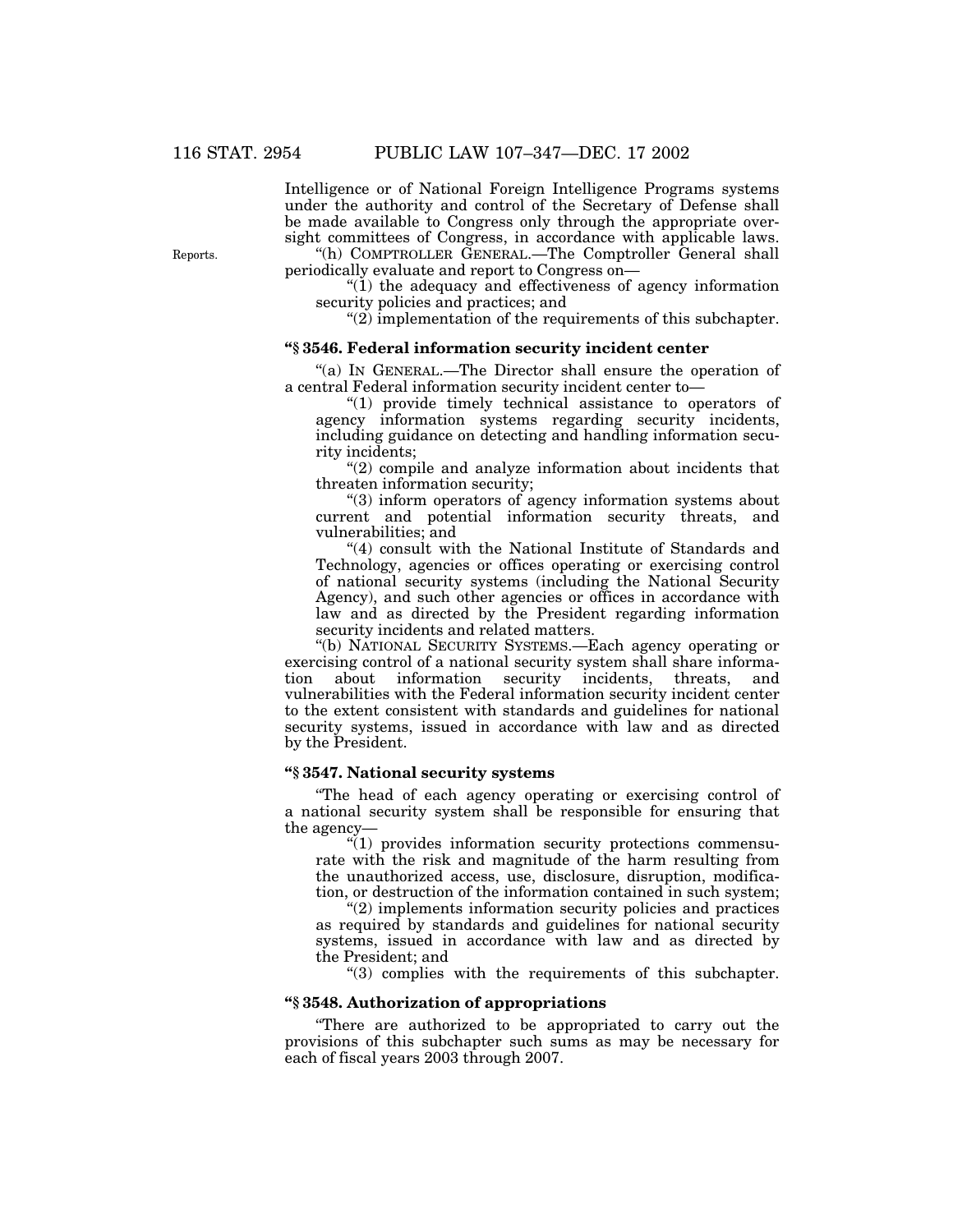Intelligence or of National Foreign Intelligence Programs systems under the authority and control of the Secretary of Defense shall be made available to Congress only through the appropriate oversight committees of Congress, in accordance with applicable laws.

''(h) COMPTROLLER GENERAL.—The Comptroller General shall periodically evaluate and report to Congress on—

 $''(1)$  the adequacy and effectiveness of agency information security policies and practices; and

''(2) implementation of the requirements of this subchapter.

#### **''§ 3546. Federal information security incident center**

''(a) IN GENERAL.—The Director shall ensure the operation of a central Federal information security incident center to—

''(1) provide timely technical assistance to operators of agency information systems regarding security incidents, including guidance on detecting and handling information security incidents;

''(2) compile and analyze information about incidents that threaten information security;

''(3) inform operators of agency information systems about current and potential information security threats, and vulnerabilities; and

''(4) consult with the National Institute of Standards and Technology, agencies or offices operating or exercising control of national security systems (including the National Security Agency), and such other agencies or offices in accordance with law and as directed by the President regarding information security incidents and related matters.

''(b) NATIONAL SECURITY SYSTEMS.—Each agency operating or exercising control of a national security system shall share information about information security incidents, threats, and vulnerabilities with the Federal information security incident center to the extent consistent with standards and guidelines for national security systems, issued in accordance with law and as directed by the President.

#### **''§ 3547. National security systems**

''The head of each agency operating or exercising control of a national security system shall be responsible for ensuring that the agency—

''(1) provides information security protections commensurate with the risk and magnitude of the harm resulting from the unauthorized access, use, disclosure, disruption, modification, or destruction of the information contained in such system;

''(2) implements information security policies and practices as required by standards and guidelines for national security systems, issued in accordance with law and as directed by the President; and

"(3) complies with the requirements of this subchapter.

#### **''§ 3548. Authorization of appropriations**

''There are authorized to be appropriated to carry out the provisions of this subchapter such sums as may be necessary for each of fiscal years 2003 through 2007.

Reports.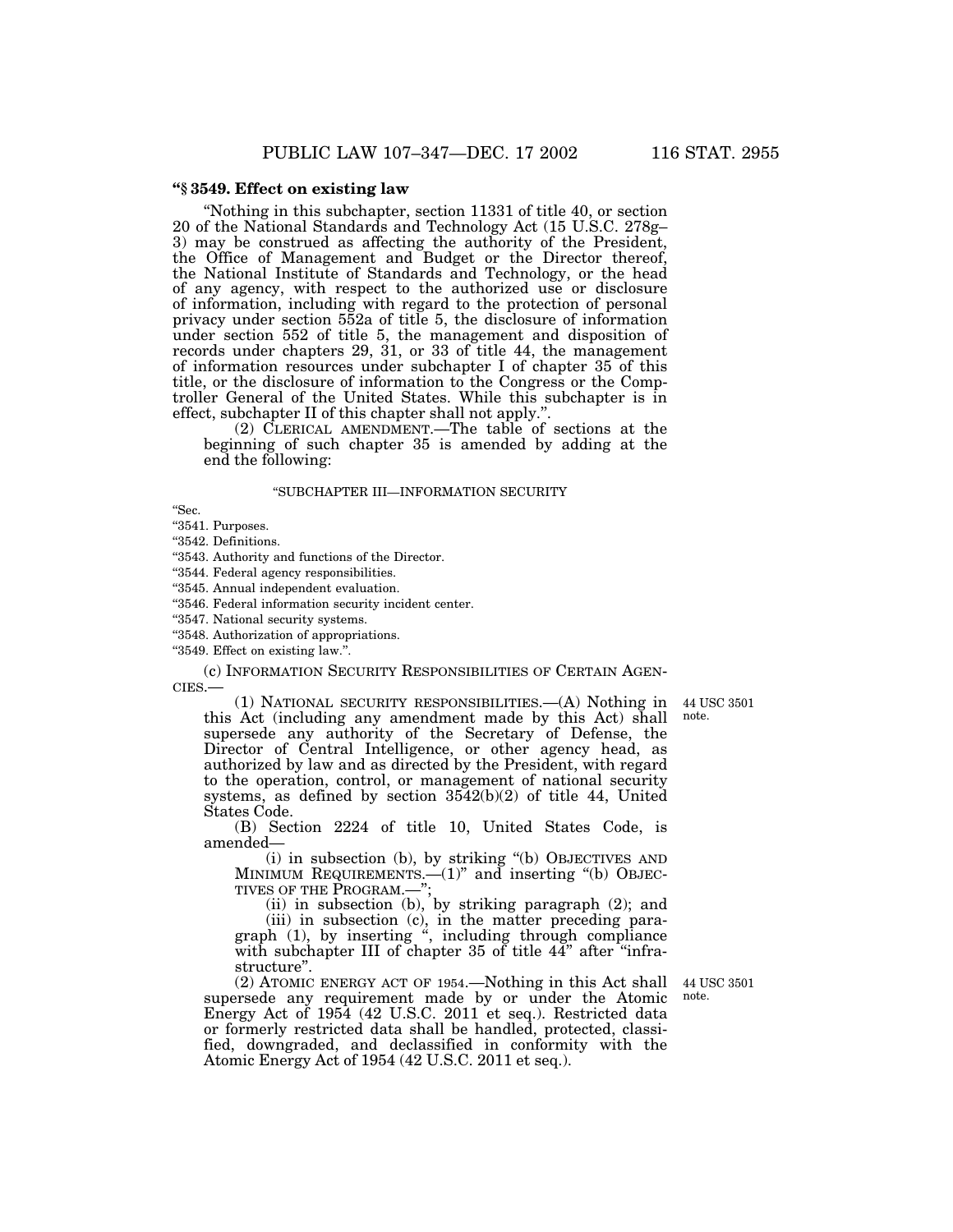## **''§ 3549. Effect on existing law**

''Nothing in this subchapter, section 11331 of title 40, or section 20 of the National Standards and Technology Act (15 U.S.C. 278g– 3) may be construed as affecting the authority of the President, the Office of Management and Budget or the Director thereof, the National Institute of Standards and Technology, or the head of any agency, with respect to the authorized use or disclosure of information, including with regard to the protection of personal privacy under section 552a of title 5, the disclosure of information under section 552 of title 5, the management and disposition of records under chapters 29, 31, or 33 of title 44, the management of information resources under subchapter I of chapter 35 of this title, or the disclosure of information to the Congress or the Comptroller General of the United States. While this subchapter is in effect, subchapter II of this chapter shall not apply.''.

(2) CLERICAL AMENDMENT.—The table of sections at the beginning of such chapter 35 is amended by adding at the end the following:

#### ''SUBCHAPTER III—INFORMATION SECURITY

''Sec.

''3541. Purposes.

''3542. Definitions.

''3543. Authority and functions of the Director.

''3544. Federal agency responsibilities.

''3545. Annual independent evaluation.

''3546. Federal information security incident center.

''3547. National security systems.

''3548. Authorization of appropriations.

''3549. Effect on existing law.''.

#### (c) INFORMATION SECURITY RESPONSIBILITIES OF CERTAIN AGEN-CIES.—

44 USC 3501 note.

(1) NATIONAL SECURITY RESPONSIBILITIES.—(A) Nothing in this Act (including any amendment made by this Act) shall supersede any authority of the Secretary of Defense, the Director of Central Intelligence, or other agency head, as authorized by law and as directed by the President, with regard to the operation, control, or management of national security systems, as defined by section 3542(b)(2) of title 44, United States Code.

(B) Section 2224 of title 10, United States Code, is amended—

(i) in subsection (b), by striking ''(b) OBJECTIVES AND MINIMUM REQUIREMENTS.—(1)" and inserting "(b) OBJEC-TIVES OF THE PROGRAM.—'';

(ii) in subsection (b), by striking paragraph (2); and (iii) in subsection (c), in the matter preceding paragraph (1), by inserting '', including through compliance with subchapter III of chapter 35 of title 44" after "infrastructure''.

(2) ATOMIC ENERGY ACT OF 1954.—Nothing in this Act shall supersede any requirement made by or under the Atomic Energy Act of 1954 (42 U.S.C. 2011 et seq.). Restricted data or formerly restricted data shall be handled, protected, classified, downgraded, and declassified in conformity with the Atomic Energy Act of 1954 (42 U.S.C. 2011 et seq.).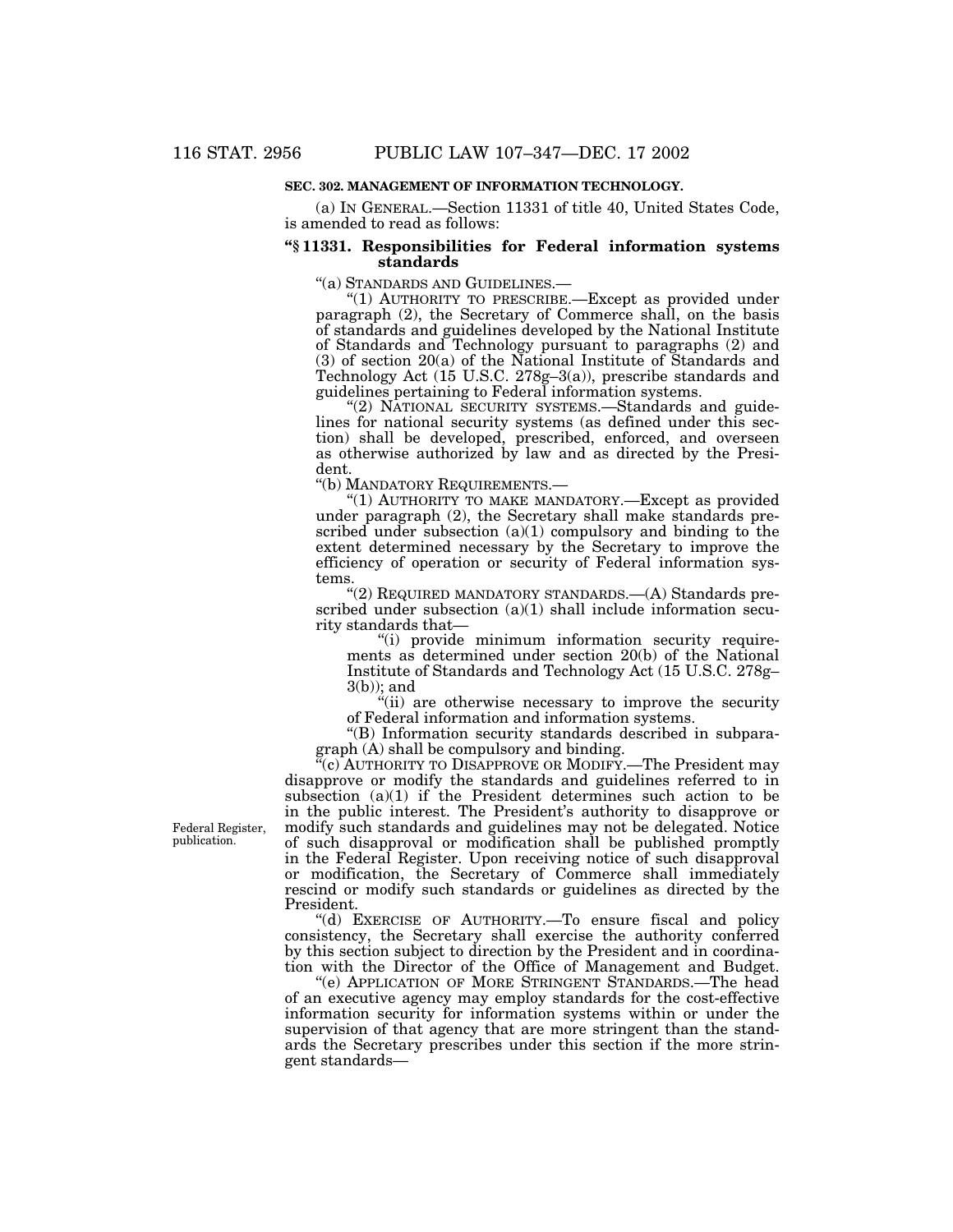#### **SEC. 302. MANAGEMENT OF INFORMATION TECHNOLOGY.**

(a) IN GENERAL.—Section 11331 of title 40, United States Code, is amended to read as follows:

## **''§ 11331. Responsibilities for Federal information systems standards**

''(a) STANDARDS AND GUIDELINES.— ''(1) AUTHORITY TO PRESCRIBE.—Except as provided under paragraph (2), the Secretary of Commerce shall, on the basis of standards and guidelines developed by the National Institute of Standards and Technology pursuant to paragraphs (2) and (3) of section 20(a) of the National Institute of Standards and Technology Act (15 U.S.C. 278g–3(a)), prescribe standards and

guidelines pertaining to Federal information systems. ''(2) NATIONAL SECURITY SYSTEMS.—Standards and guidelines for national security systems (as defined under this section) shall be developed, prescribed, enforced, and overseen as otherwise authorized by law and as directed by the President.

''(b) MANDATORY REQUIREMENTS.—

"(1) AUTHORITY TO MAKE MANDATORY.—Except as provided under paragraph (2), the Secretary shall make standards prescribed under subsection  $(a)(1)$  compulsory and binding to the extent determined necessary by the Secretary to improve the efficiency of operation or security of Federal information systems.

''(2) REQUIRED MANDATORY STANDARDS.—(A) Standards prescribed under subsection  $(a)(1)$  shall include information security standards that—

"(i) provide minimum information security requirements as determined under section 20(b) of the National Institute of Standards and Technology Act (15 U.S.C. 278g–  $3(b)$ ; and

"(ii) are otherwise necessary to improve the security of Federal information and information systems.

''(B) Information security standards described in subpara $graph (A) shall be compulsory and binding.$ 

 $\widetilde{f}(c)$  AUTHORITY TO DISAPPROVE OR MODIFY.—The President may disapprove or modify the standards and guidelines referred to in subsection (a)(1) if the President determines such action to be in the public interest. The President's authority to disapprove or modify such standards and guidelines may not be delegated. Notice of such disapproval or modification shall be published promptly in the Federal Register. Upon receiving notice of such disapproval or modification, the Secretary of Commerce shall immediately rescind or modify such standards or guidelines as directed by the President.

''(d) EXERCISE OF AUTHORITY.—To ensure fiscal and policy consistency, the Secretary shall exercise the authority conferred by this section subject to direction by the President and in coordination with the Director of the Office of Management and Budget.

"(e) APPLICATION OF MORE STRINGENT STANDARDS.—The head of an executive agency may employ standards for the cost-effective information security for information systems within or under the supervision of that agency that are more stringent than the standards the Secretary prescribes under this section if the more stringent standards—

Federal Register, publication.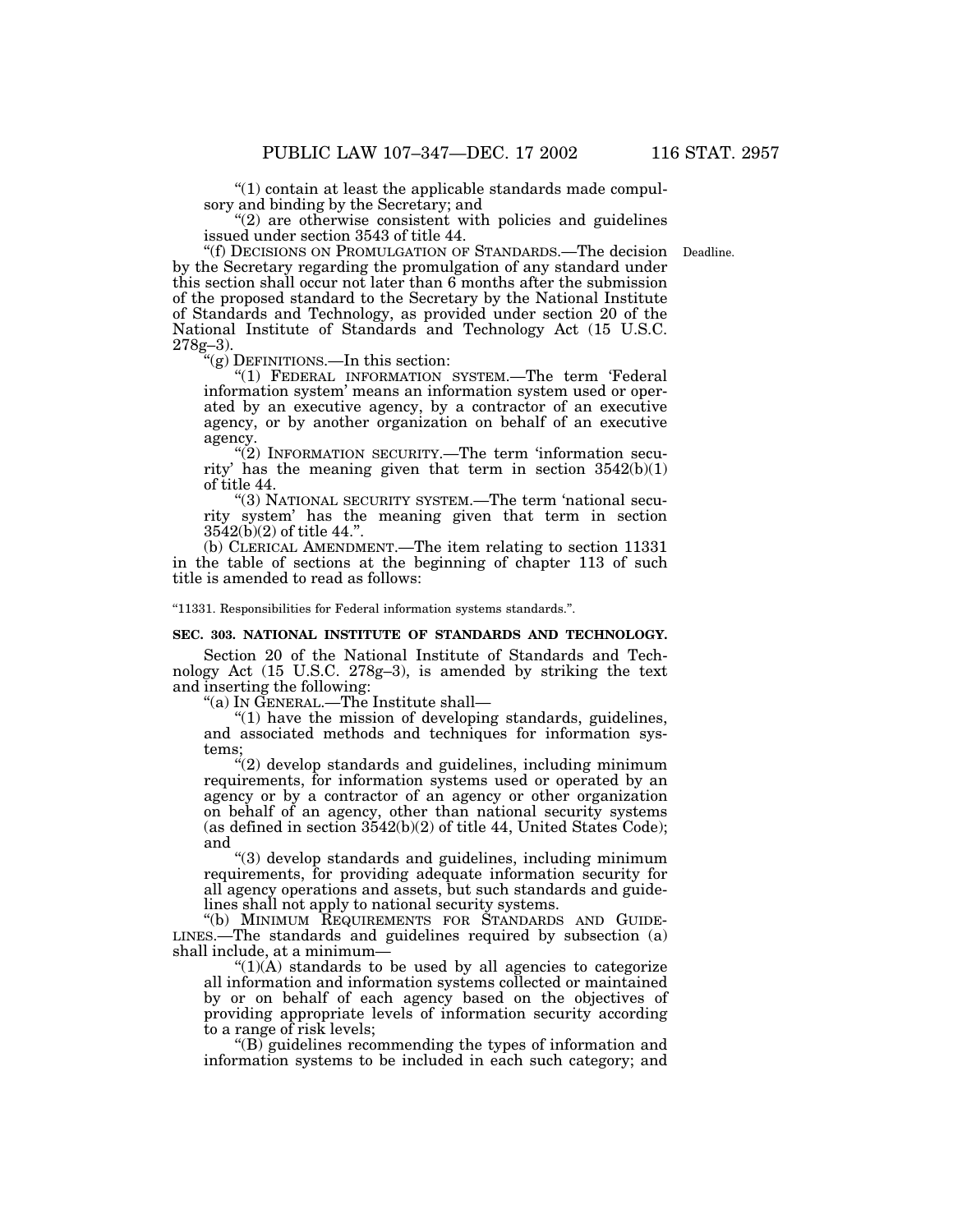''(1) contain at least the applicable standards made compul-

" $(2)$  are otherwise consistent with policies and guidelines issued under section 3543 of title 44.

''(f) DECISIONS ON PROMULGATION OF STANDARDS.—The decision Deadline. by the Secretary regarding the promulgation of any standard under this section shall occur not later than 6 months after the submission of the proposed standard to the Secretary by the National Institute of Standards and Technology, as provided under section 20 of the National Institute of Standards and Technology Act (15 U.S.C. 278g-3).<br>"(g) DEFINITIONS.—In this section:

"(1) FEDERAL INFORMATION SYSTEM.—The term 'Federal information system' means an information system used or operated by an executive agency, by a contractor of an executive agency, or by another organization on behalf of an executive

agency.<br>"(2) INFORMATION SECURITY.—The term 'information security' has the meaning given that term in section  $3542(b)(1)$ of title 44.

''(3) NATIONAL SECURITY SYSTEM.—The term 'national security system' has the meaning given that term in section 3542(b)(2) of title 44.''.

(b) CLERICAL AMENDMENT.—The item relating to section 11331 in the table of sections at the beginning of chapter 113 of such title is amended to read as follows:

''11331. Responsibilities for Federal information systems standards.''.

#### **SEC. 303. NATIONAL INSTITUTE OF STANDARDS AND TECHNOLOGY.**

Section 20 of the National Institute of Standards and Technology Act (15 U.S.C. 278g–3), is amended by striking the text and inserting the following:

''(a) IN GENERAL.—The Institute shall—

''(1) have the mission of developing standards, guidelines, and associated methods and techniques for information systems;

''(2) develop standards and guidelines, including minimum requirements, for information systems used or operated by an agency or by a contractor of an agency or other organization on behalf of an agency, other than national security systems (as defined in section 3542(b)(2) of title 44, United States Code); and

''(3) develop standards and guidelines, including minimum requirements, for providing adequate information security for all agency operations and assets, but such standards and guidelines shall not apply to national security systems.

''(b) MINIMUM REQUIREMENTS FOR STANDARDS AND GUIDE-LINES.—The standards and guidelines required by subsection (a) shall include, at a minimum—

 $''(1)(A)$  standards to be used by all agencies to categorize all information and information systems collected or maintained by or on behalf of each agency based on the objectives of providing appropriate levels of information security according to a range of risk levels;

''(B) guidelines recommending the types of information and information systems to be included in each such category; and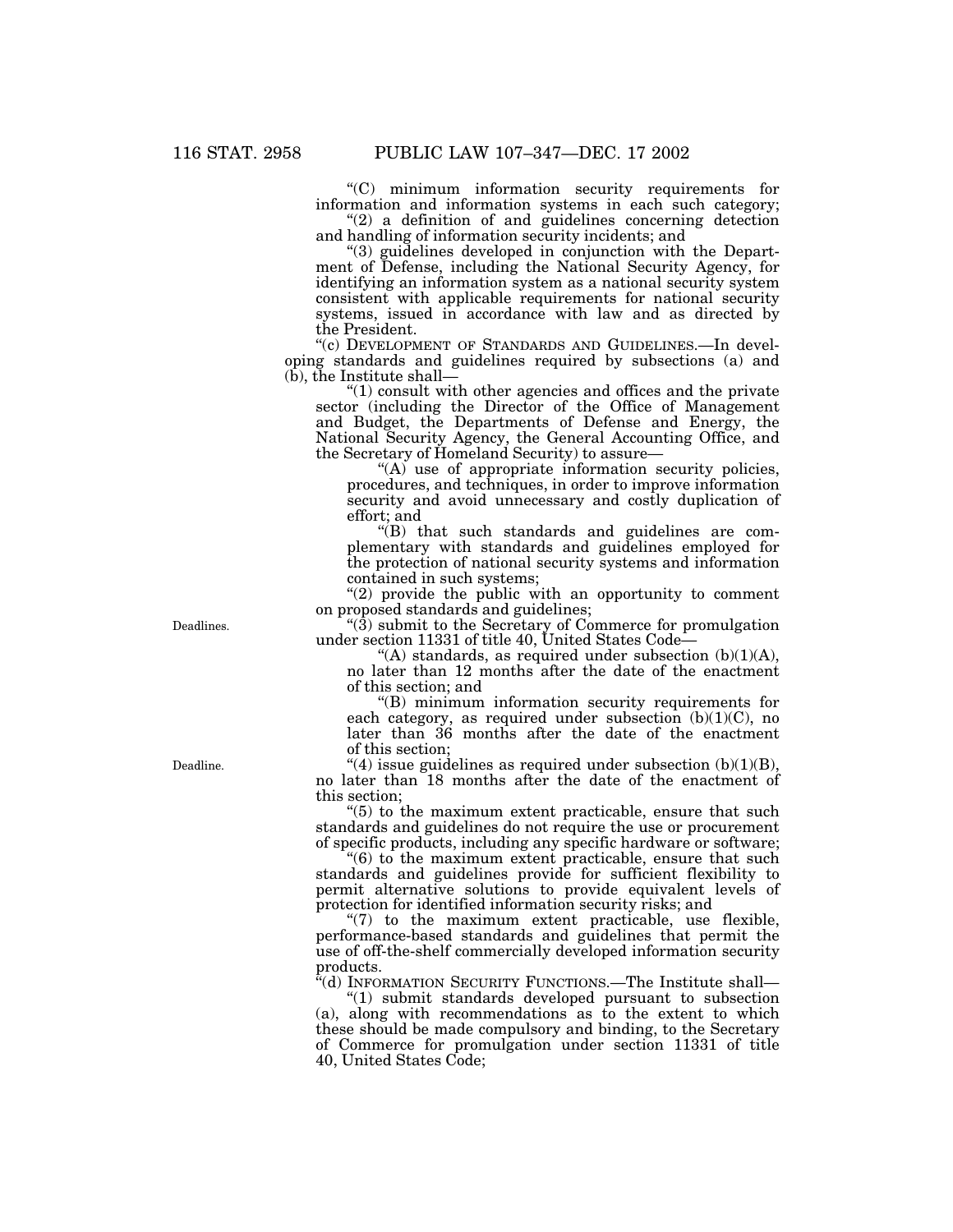''(C) minimum information security requirements for

 $i(2)$  a definition of and guidelines concerning detection and handling of information security incidents; and

''(3) guidelines developed in conjunction with the Department of Defense, including the National Security Agency, for identifying an information system as a national security system consistent with applicable requirements for national security systems, issued in accordance with law and as directed by the President.

"(c) DEVELOPMENT OF STANDARDS AND GUIDELINES.—In developing standards and guidelines required by subsections (a) and

 $\degree$ (1) consult with other agencies and offices and the private sector (including the Director of the Office of Management and Budget, the Departments of Defense and Energy, the National Security Agency, the General Accounting Office, and the Secretary of Homeland Security) to assure— ''(A) use of appropriate information security policies,

 $H(A)$  use of appropriate information security policies, procedures, and techniques, in order to improve information security and avoid unnecessary and costly duplication of effort; and  $H(S)$  that such standards and guidelines are com-

plementary with standards and guidelines employed for the protection of national security systems and information contained in such systems;

"(2) provide the public with an opportunity to comment on proposed standards and guidelines;

 $\degree$ (3) submit to the Secretary of Commerce for promulgation under section 11331 of title 40, United States Code—

"(A) standards, as required under subsection  $(b)(1)(A)$ , no later than 12 months after the date of the enactment of this section; and

''(B) minimum information security requirements for each category, as required under subsection (b)(1)(C), no later than 36 months after the date of the enactment of this section;

"(4) issue guidelines as required under subsection  $(b)(1)(B)$ , no later than 18 months after the date of the enactment of this section;

"(5) to the maximum extent practicable, ensure that such standards and guidelines do not require the use or procurement of specific products, including any specific hardware or software;

''(6) to the maximum extent practicable, ensure that such standards and guidelines provide for sufficient flexibility to permit alternative solutions to provide equivalent levels of protection for identified information security risks; and

''(7) to the maximum extent practicable, use flexible, performance-based standards and guidelines that permit the use of off-the-shelf commercially developed information security products.

 $^{x}(d)$  INFORMATION SECURITY FUNCTIONS.—The Institute shall—

''(1) submit standards developed pursuant to subsection (a), along with recommendations as to the extent to which these should be made compulsory and binding, to the Secretary of Commerce for promulgation under section 11331 of title 40, United States Code;

Deadlines.

Deadline.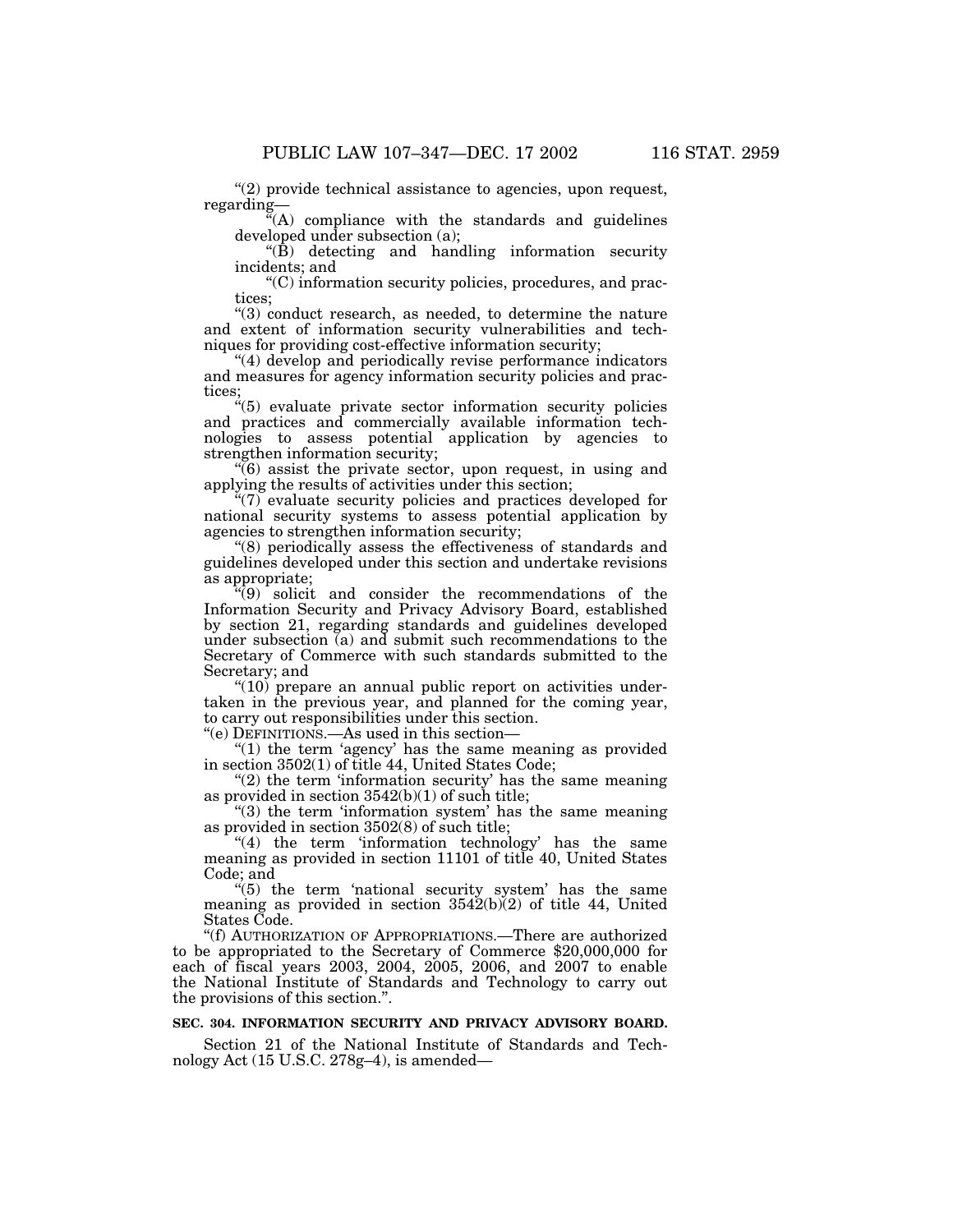"(2) provide technical assistance to agencies, upon request, regarding—

 $\mathbf{H}^{\mathsf{r}}(A)$  compliance with the standards and guidelines developed under subsection (a);

''(B) detecting and handling information security incidents; and

''(C) information security policies, procedures, and practices;

''(3) conduct research, as needed, to determine the nature and extent of information security vulnerabilities and techniques for providing cost-effective information security;

''(4) develop and periodically revise performance indicators and measures for agency information security policies and practices;

''(5) evaluate private sector information security policies and practices and commercially available information technologies to assess potential application by agencies to strengthen information security;

''(6) assist the private sector, upon request, in using and applying the results of activities under this section;

''(7) evaluate security policies and practices developed for national security systems to assess potential application by agencies to strengthen information security;

''(8) periodically assess the effectiveness of standards and guidelines developed under this section and undertake revisions as appropriate;

 $(9)$  solicit and consider the recommendations of the Information Security and Privacy Advisory Board, established by section 21, regarding standards and guidelines developed under subsection  $\bar{a}$  and submit such recommendations to the Secretary of Commerce with such standards submitted to the Secretary; and

 $\degree$ (10) prepare an annual public report on activities undertaken in the previous year, and planned for the coming year, to carry out responsibilities under this section.

''(e) DEFINITIONS.—As used in this section—

" $(1)$  the term 'agency' has the same meaning as provided in section 3502(1) of title 44, United States Code;

" $(2)$  the term 'information security' has the same meaning as provided in section 3542(b)(1) of such title;

"(3) the term 'information system' has the same meaning as provided in section 3502(8) of such title;

"(4) the term 'information technology' has the same meaning as provided in section 11101 of title 40, United States Code; and

"(5) the term 'national security system' has the same meaning as provided in section  $3542(b)(2)$  of title 44, United States Code.

''(f) AUTHORIZATION OF APPROPRIATIONS.—There are authorized to be appropriated to the Secretary of Commerce \$20,000,000 for each of fiscal years 2003, 2004, 2005, 2006, and 2007 to enable the National Institute of Standards and Technology to carry out the provisions of this section.''.

## **SEC. 304. INFORMATION SECURITY AND PRIVACY ADVISORY BOARD.**

Section 21 of the National Institute of Standards and Technology Act (15 U.S.C. 278g–4), is amended—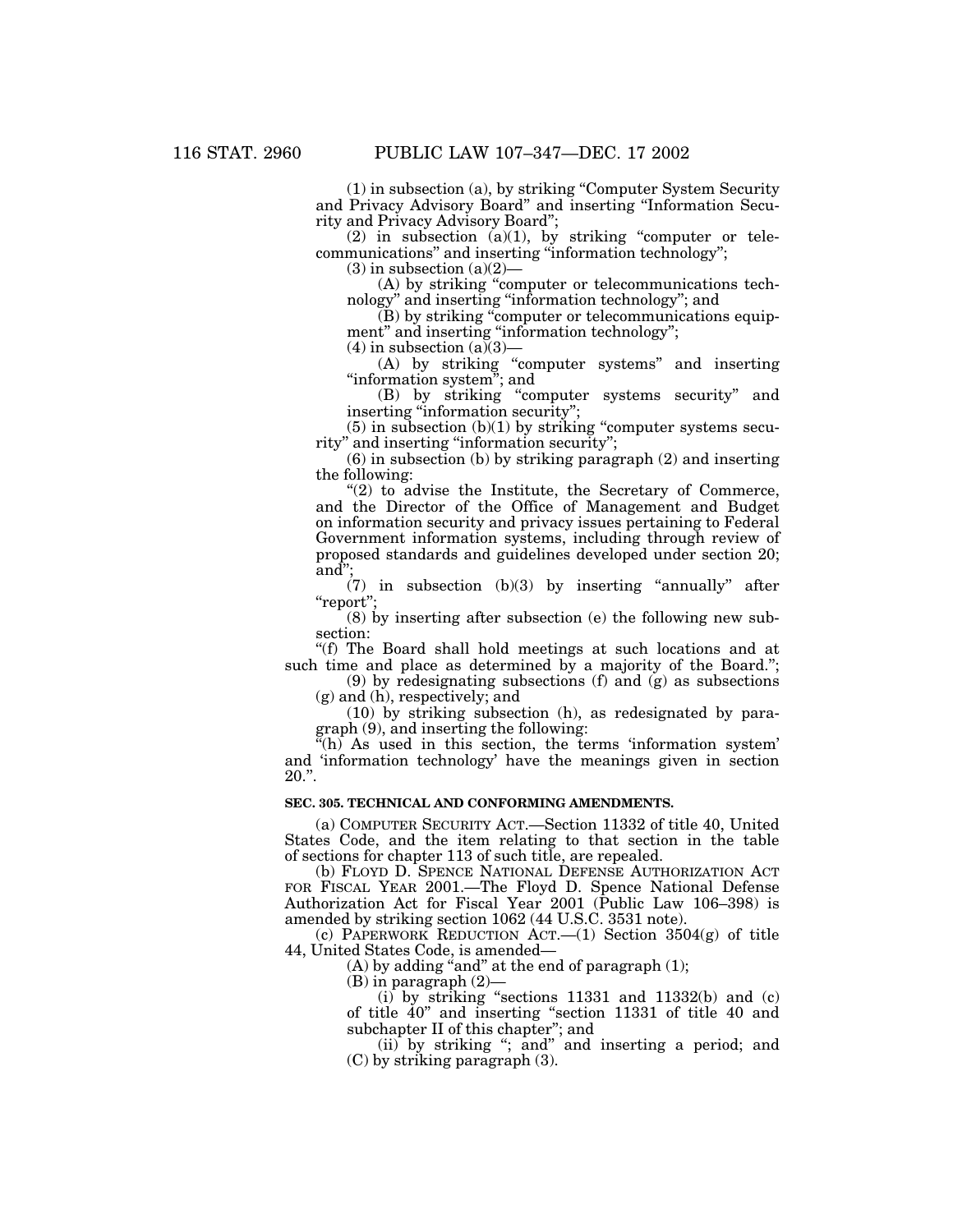(1) in subsection (a), by striking ''Computer System Security and Privacy Advisory Board'' and inserting ''Information Security and Privacy Advisory Board'';

 $(2)$  in subsection  $(a)(1)$ , by striking "computer or telecommunications" and inserting "information technology"

 $(3)$  in subsection  $(a)(2)$ —

(A) by striking ''computer or telecommunications technology'' and inserting ''information technology''; and

(B) by striking ''computer or telecommunications equipment" and inserting "information technology";

 $(4)$  in subsection  $(a)(3)$ –

(A) by striking ''computer systems'' and inserting "information system"; and

(B) by striking ''computer systems security'' and inserting "information security";

 $(5)$  in subsection  $(b)(1)$  by striking "computer systems security'' and inserting ''information security'';

(6) in subsection (b) by striking paragraph (2) and inserting the following:

" $(2)$  to advise the Institute, the Secretary of Commerce, and the Director of the Office of Management and Budget on information security and privacy issues pertaining to Federal Government information systems, including through review of proposed standards and guidelines developed under section 20; and'';

(7) in subsection  $(b)(3)$  by inserting "annually" after ''report'';

(8) by inserting after subsection (e) the following new subsection:

''(f) The Board shall hold meetings at such locations and at such time and place as determined by a majority of the Board.'';

(9) by redesignating subsections (f) and (g) as subsections (g) and (h), respectively; and

(10) by striking subsection (h), as redesignated by paragraph (9), and inserting the following:

 $\mathrm{H(h)}$  As used in this section, the terms 'information system' and 'information technology' have the meanings given in section  $20.$ ".

#### **SEC. 305. TECHNICAL AND CONFORMING AMENDMENTS.**

(a) COMPUTER SECURITY ACT.—Section 11332 of title 40, United States Code, and the item relating to that section in the table of sections for chapter 113 of such title, are repealed.

(b) FLOYD D. SPENCE NATIONAL DEFENSE AUTHORIZATION ACT FOR FISCAL YEAR 2001.—The Floyd D. Spence National Defense Authorization Act for Fiscal Year 2001 (Public Law 106–398) is amended by striking section 1062 (44 U.S.C. 3531 note).

(c) PAPERWORK REDUCTION ACT. $-(1)$  Section 3504(g) of title 44, United States Code, is amended—

(A) by adding "and" at the end of paragraph  $(1)$ ;

(B) in paragraph (2)—

 $(i)$  by striking "sections 11331 and 11332(b) and (c) of title  $40$ " and inserting "section 11331 of title 40 and subchapter II of this chapter''; and

(ii) by striking ''; and'' and inserting a period; and (C) by striking paragraph (3).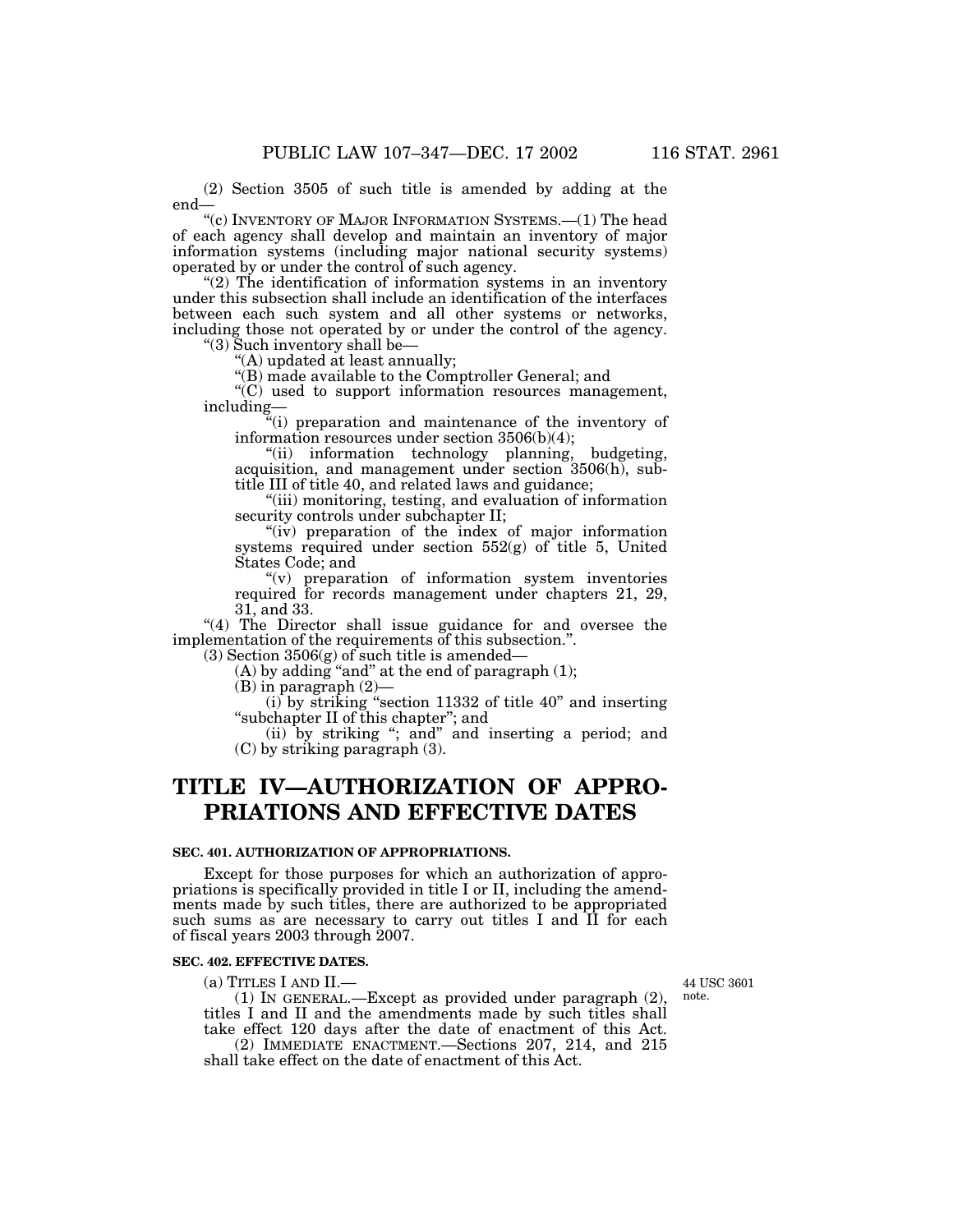(2) Section 3505 of such title is amended by adding at the end—

"(c) INVENTORY OF MAJOR INFORMATION SYSTEMS.-(1) The head of each agency shall develop and maintain an inventory of major information systems (including major national security systems)

" $(2)$  The identification of information systems in an inventory under this subsection shall include an identification of the interfaces between each such system and all other systems or networks, including those not operated by or under the control of the agency. "(3) Such inventory shall be—<br>"(A) updated at least annually;

''(B) made available to the Comptroller General; and

 $C'$ (C) used to support information resources management, including—

''(i) preparation and maintenance of the inventory of information resources under section 3506(b)(4);<br>"(ii) information technology planning, budgeting,

acquisition, and management under section  $3506(h)$ , sub-<br>title III of title 40, and related laws and guidance;

"(iii) monitoring, testing, and evaluation of information security controls under subchapter II;

" $(iv)$  preparation of the index of major information systems required under section  $552(g)$  of title 5, United States Code; and

 $\mathcal{L}(v)$  preparation of information system inventories required for records management under chapters 21, 29, 31, and 33.

"(4) The Director shall issue guidance for and oversee the implementation of the requirements of this subsection.''.

 $(3)$  Section  $3506(g)$  of such title is amended—

 $(A)$  by adding "and" at the end of paragraph  $(1)$ ;

(B) in paragraph (2)—

(i) by striking ''section 11332 of title 40'' and inserting "subchapter II of this chapter"; and

(ii) by striking ''; and'' and inserting a period; and (C) by striking paragraph (3).

# **TITLE IV—AUTHORIZATION OF APPRO-PRIATIONS AND EFFECTIVE DATES**

## **SEC. 401. AUTHORIZATION OF APPROPRIATIONS.**

Except for those purposes for which an authorization of appropriations is specifically provided in title I or II, including the amendments made by such titles, there are authorized to be appropriated such sums as are necessary to carry out titles I and II for each of fiscal years 2003 through 2007.

## **SEC. 402. EFFECTIVE DATES.**

 $(a)$  Titles I and II.—

(1) IN GENERAL.—Except as provided under paragraph (2), titles I and II and the amendments made by such titles shall take effect 120 days after the date of enactment of this Act.

(2) IMMEDIATE ENACTMENT.—Sections 207, 214, and 215 shall take effect on the date of enactment of this Act.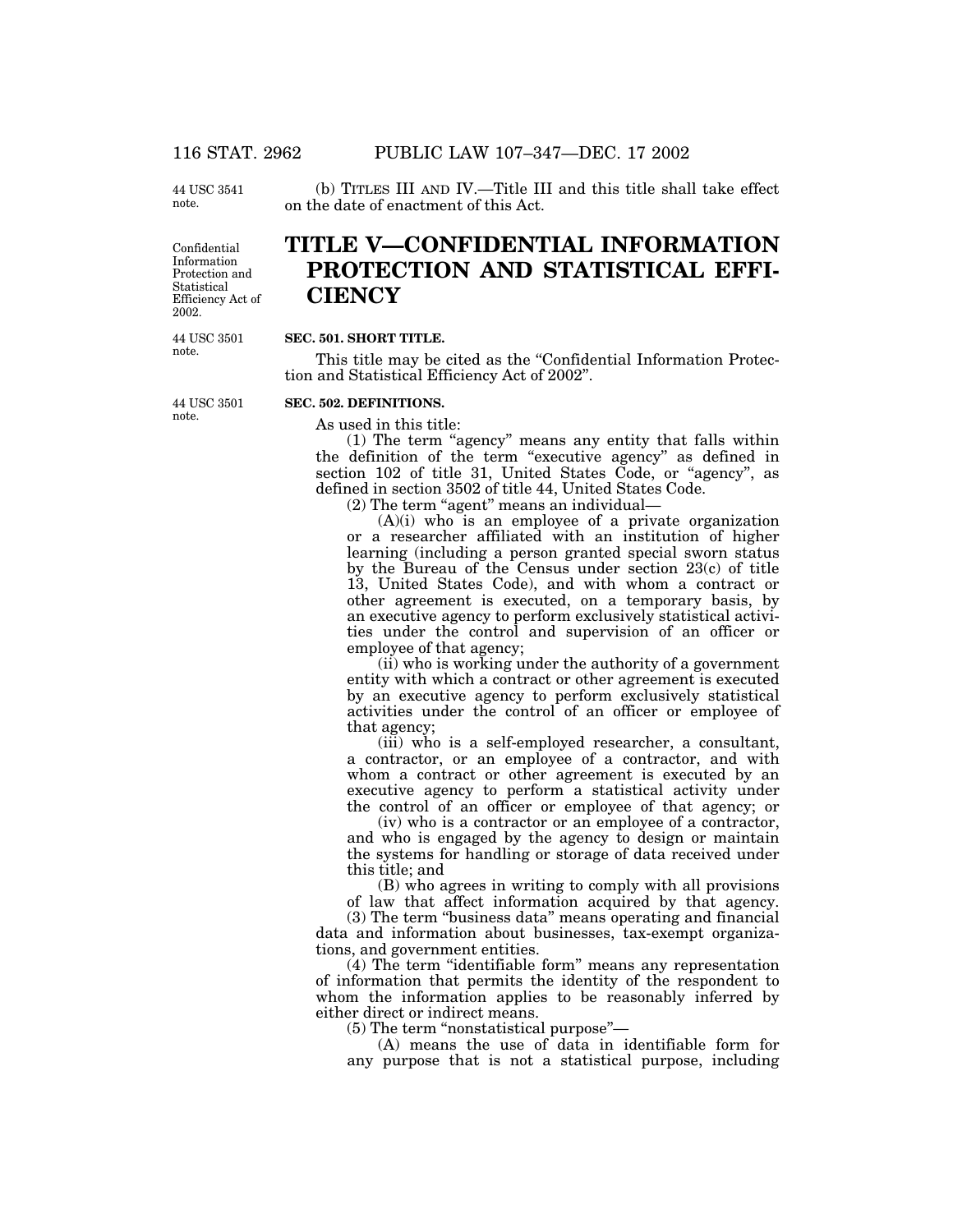44 USC 3541 note.

(b) TITLES III AND IV.—Title III and this title shall take effect on the date of enactment of this Act.

Confidential Information Protection and Statistical Efficiency Act of 2002.

# **TITLE V—CONFIDENTIAL INFORMATION PROTECTION AND STATISTICAL EFFI-CIENCY**

#### 44 USC 3501 note.

# **SEC. 501. SHORT TITLE.**

This title may be cited as the "Confidential Information Protection and Statistical Efficiency Act of 2002''.

44 USC 3501 note.

## **SEC. 502. DEFINITIONS.**

As used in this title:

(1) The term ''agency'' means any entity that falls within the definition of the term "executive agency" as defined in section 102 of title 31, United States Code, or "agency", as defined in section 3502 of title 44, United States Code.

 $(2)$  The term "agent" means an individual—

(A)(i) who is an employee of a private organization or a researcher affiliated with an institution of higher learning (including a person granted special sworn status by the Bureau of the Census under section 23(c) of title 13, United States Code), and with whom a contract or other agreement is executed, on a temporary basis, by an executive agency to perform exclusively statistical activities under the control and supervision of an officer or employee of that agency;

(ii) who is working under the authority of a government entity with which a contract or other agreement is executed by an executive agency to perform exclusively statistical activities under the control of an officer or employee of that agency;

(iii) who is a self-employed researcher, a consultant, a contractor, or an employee of a contractor, and with whom a contract or other agreement is executed by an executive agency to perform a statistical activity under the control of an officer or employee of that agency; or

(iv) who is a contractor or an employee of a contractor, and who is engaged by the agency to design or maintain the systems for handling or storage of data received under this title; and

(B) who agrees in writing to comply with all provisions

of law that affect information acquired by that agency. (3) The term ''business data'' means operating and financial data and information about businesses, tax-exempt organizations, and government entities.

(4) The term ''identifiable form'' means any representation of information that permits the identity of the respondent to whom the information applies to be reasonably inferred by either direct or indirect means.

(5) The term ''nonstatistical purpose''—

(A) means the use of data in identifiable form for any purpose that is not a statistical purpose, including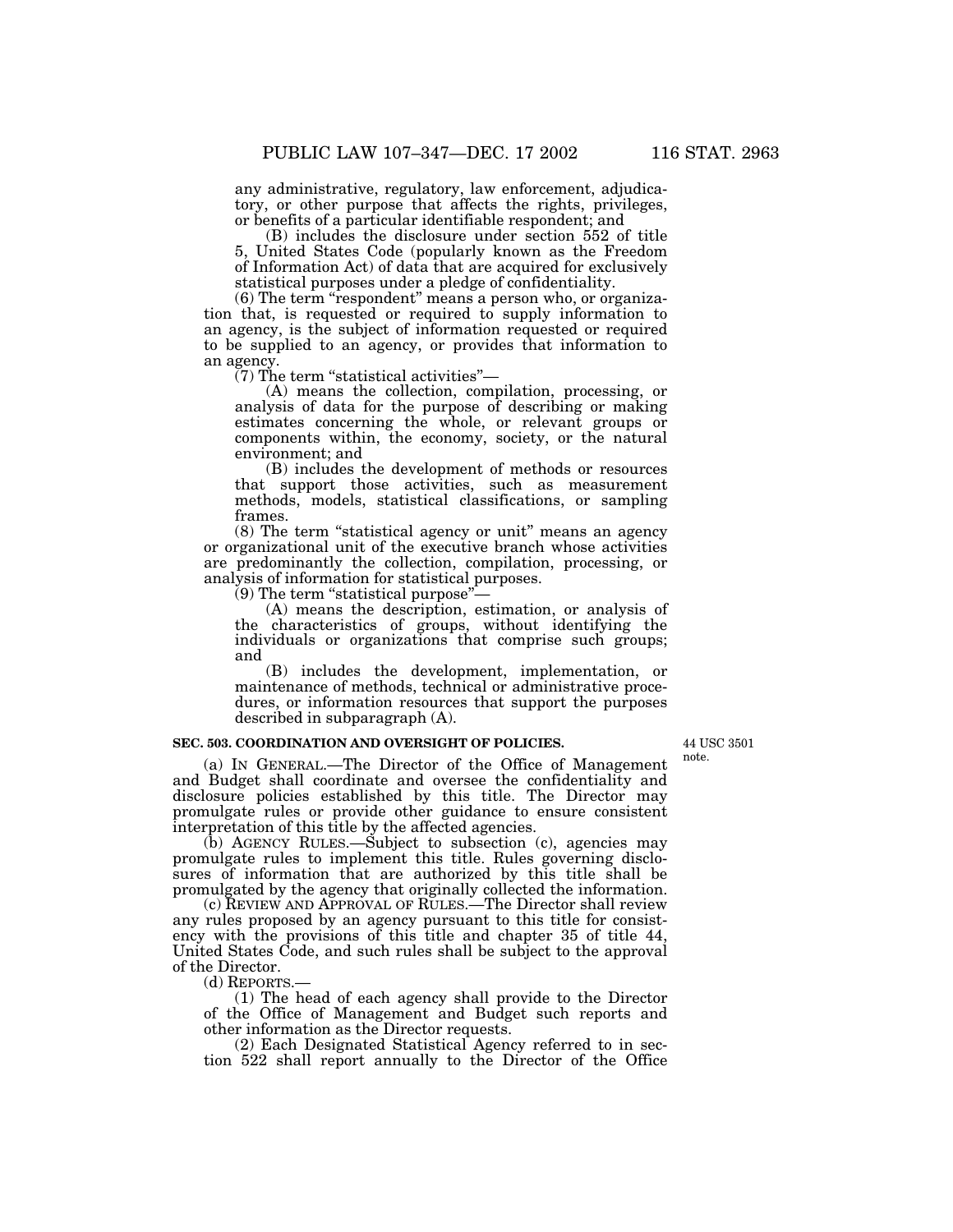any administrative, regulatory, law enforcement, adjudicatory, or other purpose that affects the rights, privileges, or benefits of a particular identifiable respondent; and

(B) includes the disclosure under section 552 of title 5, United States Code (popularly known as the Freedom of Information Act) of data that are acquired for exclusively statistical purposes under a pledge of confidentiality.

(6) The term ''respondent'' means a person who, or organization that, is requested or required to supply information to an agency, is the subject of information requested or required to be supplied to an agency, or provides that information to an agency.

 $(7)$  The term "statistical activities"—

(A) means the collection, compilation, processing, or analysis of data for the purpose of describing or making estimates concerning the whole, or relevant groups or components within, the economy, society, or the natural environment; and

(B) includes the development of methods or resources that support those activities, such as measurement methods, models, statistical classifications, or sampling frames.

(8) The term ''statistical agency or unit'' means an agency or organizational unit of the executive branch whose activities are predominantly the collection, compilation, processing, or analysis of information for statistical purposes.

(9) The term ''statistical purpose''—

(A) means the description, estimation, or analysis of the characteristics of groups, without identifying the individuals or organizations that comprise such groups; and

(B) includes the development, implementation, or maintenance of methods, technical or administrative procedures, or information resources that support the purposes described in subparagraph (A).

#### **SEC. 503. COORDINATION AND OVERSIGHT OF POLICIES.**

44 USC 3501 note.

(a) IN GENERAL.—The Director of the Office of Management and Budget shall coordinate and oversee the confidentiality and disclosure policies established by this title. The Director may promulgate rules or provide other guidance to ensure consistent interpretation of this title by the affected agencies.

(b) AGENCY RULES.—Subject to subsection (c), agencies may promulgate rules to implement this title. Rules governing disclosures of information that are authorized by this title shall be promulgated by the agency that originally collected the information.

(c) REVIEW AND APPROVAL OF RULES.—The Director shall review any rules proposed by an agency pursuant to this title for consistency with the provisions of this title and chapter 35 of title 44, United States Code, and such rules shall be subject to the approval of the Director.

(d) REPORTS.—

(1) The head of each agency shall provide to the Director of the Office of Management and Budget such reports and other information as the Director requests.

(2) Each Designated Statistical Agency referred to in section 522 shall report annually to the Director of the Office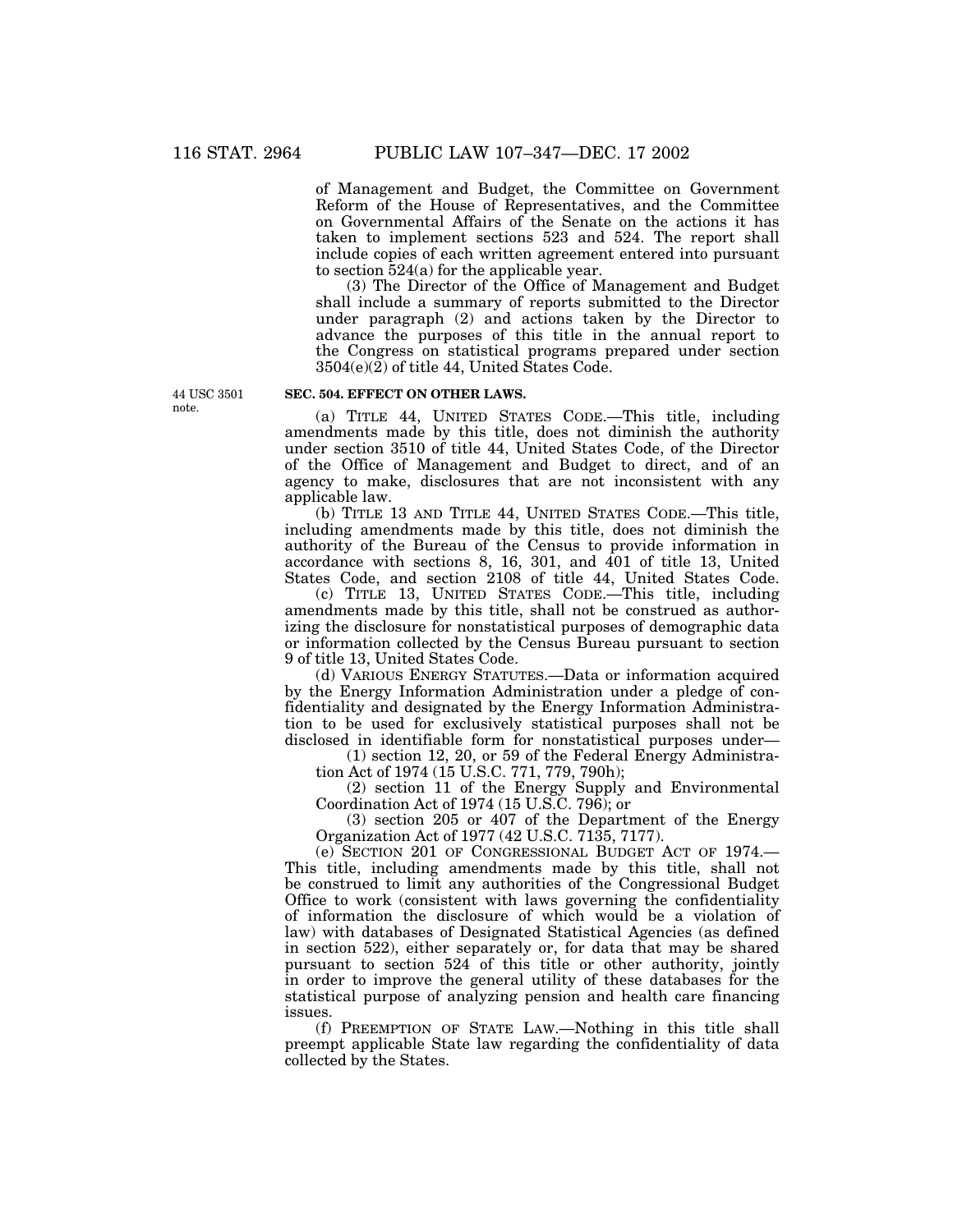of Management and Budget, the Committee on Government Reform of the House of Representatives, and the Committee on Governmental Affairs of the Senate on the actions it has taken to implement sections 523 and 524. The report shall include copies of each written agreement entered into pursuant to section 524(a) for the applicable year.

(3) The Director of the Office of Management and Budget shall include a summary of reports submitted to the Director under paragraph (2) and actions taken by the Director to advance the purposes of this title in the annual report to the Congress on statistical programs prepared under section  $3504(e)(\tilde{2})$  of title 44, United States Code.

44 USC 3501 note.

# **SEC. 504. EFFECT ON OTHER LAWS.**

(a) TITLE 44, UNITED STATES CODE.—This title, including amendments made by this title, does not diminish the authority under section 3510 of title 44, United States Code, of the Director of the Office of Management and Budget to direct, and of an agency to make, disclosures that are not inconsistent with any applicable law.

(b) TITLE 13 AND TITLE 44, UNITED STATES CODE.—This title, including amendments made by this title, does not diminish the authority of the Bureau of the Census to provide information in accordance with sections 8, 16, 301, and 401 of title 13, United States Code, and section 2108 of title 44, United States Code.

(c) TITLE 13, UNITED STATES CODE.—This title, including amendments made by this title, shall not be construed as authorizing the disclosure for nonstatistical purposes of demographic data or information collected by the Census Bureau pursuant to section 9 of title 13, United States Code.

(d) VARIOUS ENERGY STATUTES.—Data or information acquired by the Energy Information Administration under a pledge of confidentiality and designated by the Energy Information Administration to be used for exclusively statistical purposes shall not be disclosed in identifiable form for nonstatistical purposes under—

(1) section 12, 20, or 59 of the Federal Energy Administration Act of 1974 (15 U.S.C. 771, 779, 790h);

(2) section 11 of the Energy Supply and Environmental Coordination Act of 1974 (15 U.S.C. 796); or

(3) section 205 or 407 of the Department of the Energy Organization Act of 1977 (42 U.S.C. 7135, 7177).

(e) SECTION 201 OF CONGRESSIONAL BUDGET ACT OF 1974.— This title, including amendments made by this title, shall not be construed to limit any authorities of the Congressional Budget Office to work (consistent with laws governing the confidentiality of information the disclosure of which would be a violation of law) with databases of Designated Statistical Agencies (as defined in section 522), either separately or, for data that may be shared pursuant to section 524 of this title or other authority, jointly in order to improve the general utility of these databases for the statistical purpose of analyzing pension and health care financing issues.

(f) PREEMPTION OF STATE LAW.—Nothing in this title shall preempt applicable State law regarding the confidentiality of data collected by the States.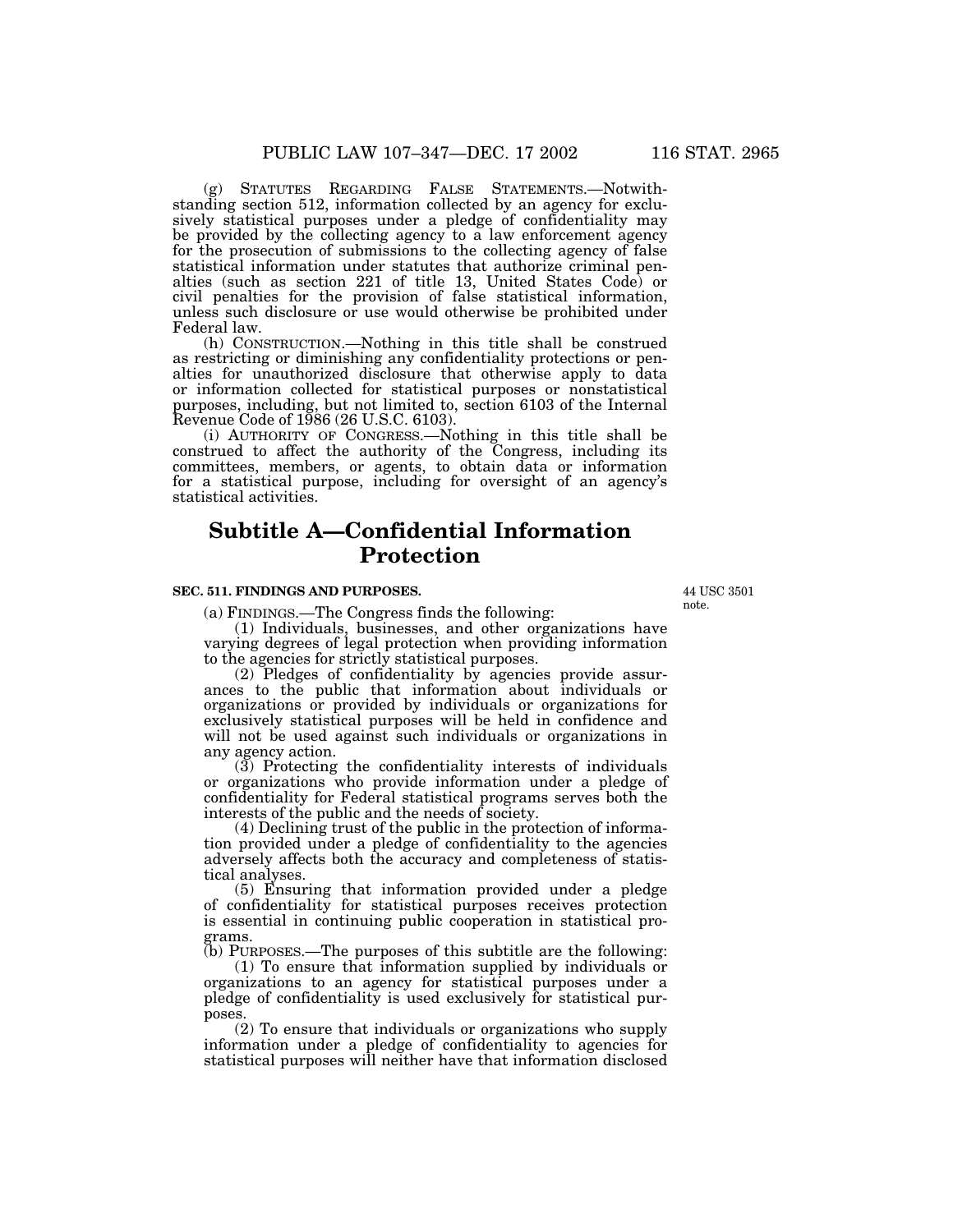(g) STATUTES REGARDING FALSE STATEMENTS.—Notwithstanding section 512, information collected by an agency for exclusively statistical purposes under a pledge of confidentiality may be provided by the collecting agency to a law enforcement agency for the prosecution of submissions to the collecting agency of false statistical information under statutes that authorize criminal penalties (such as section 221 of title 13, United States Code) or civil penalties for the provision of false statistical information, unless such disclosure or use would otherwise be prohibited under Federal law.

(h) CONSTRUCTION.—Nothing in this title shall be construed as restricting or diminishing any confidentiality protections or penalties for unauthorized disclosure that otherwise apply to data or information collected for statistical purposes or nonstatistical purposes, including, but not limited to, section 6103 of the Internal Revenue Code of 1986 (26 U.S.C. 6103).

(i) AUTHORITY OF CONGRESS.—Nothing in this title shall be construed to affect the authority of the Congress, including its committees, members, or agents, to obtain data or information for a statistical purpose, including for oversight of an agency's statistical activities.

# **Subtitle A—Confidential Information Protection**

#### **SEC. 511. FINDINGS AND PURPOSES.**

(a) FINDINGS.—The Congress finds the following:

(1) Individuals, businesses, and other organizations have varying degrees of legal protection when providing information to the agencies for strictly statistical purposes.

(2) Pledges of confidentiality by agencies provide assurances to the public that information about individuals or organizations or provided by individuals or organizations for exclusively statistical purposes will be held in confidence and will not be used against such individuals or organizations in any agency action.

(3) Protecting the confidentiality interests of individuals or organizations who provide information under a pledge of confidentiality for Federal statistical programs serves both the interests of the public and the needs of society.

(4) Declining trust of the public in the protection of information provided under a pledge of confidentiality to the agencies adversely affects both the accuracy and completeness of statistical analyses.

(5) Ensuring that information provided under a pledge of confidentiality for statistical purposes receives protection is essential in continuing public cooperation in statistical programs.

(b) PURPOSES.—The purposes of this subtitle are the following:

(1) To ensure that information supplied by individuals or organizations to an agency for statistical purposes under a pledge of confidentiality is used exclusively for statistical purposes.

(2) To ensure that individuals or organizations who supply information under a pledge of confidentiality to agencies for statistical purposes will neither have that information disclosed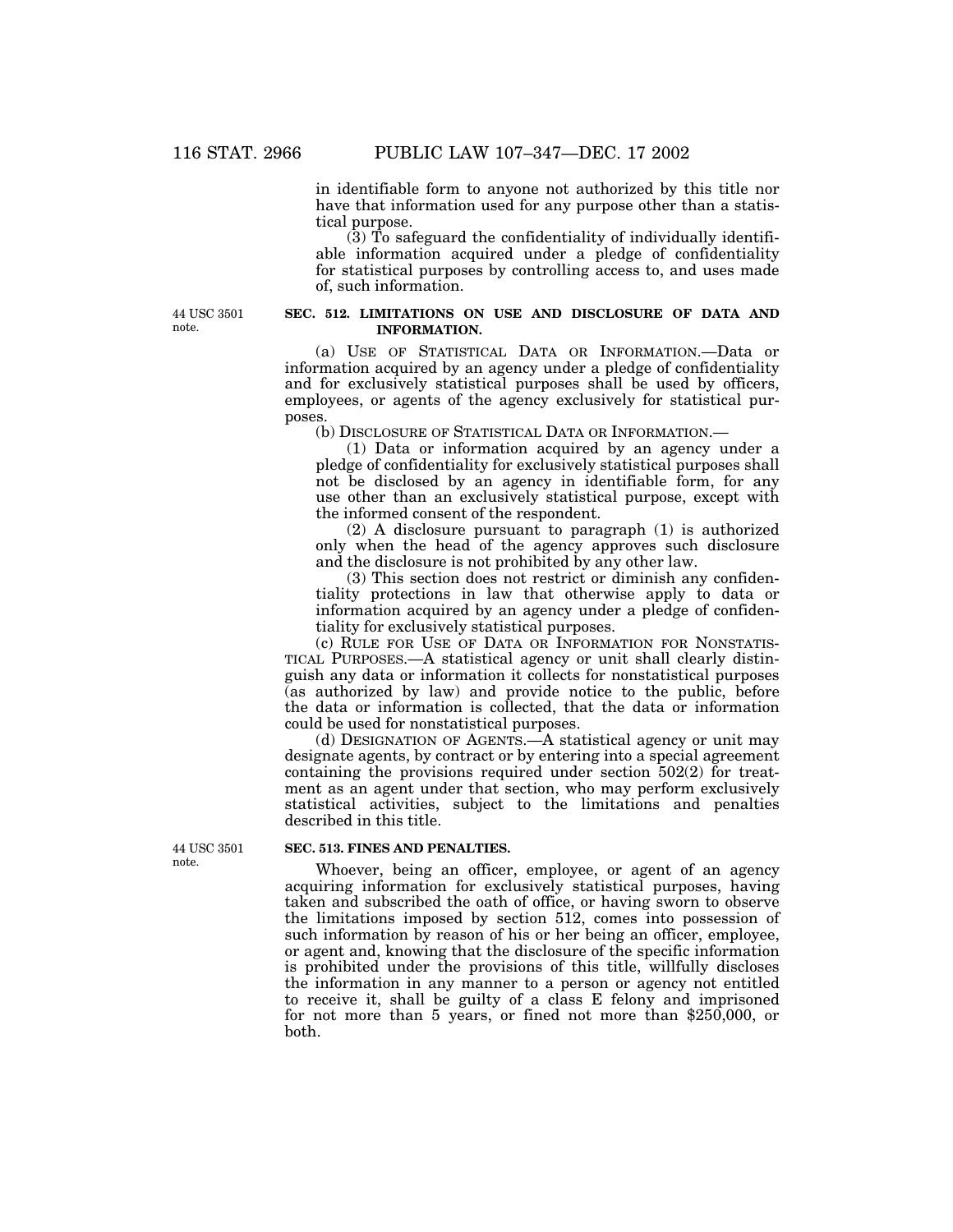in identifiable form to anyone not authorized by this title nor have that information used for any purpose other than a statistical purpose.

 $(3)$  T<sub>0</sub> safeguard the confidentiality of individually identifiable information acquired under a pledge of confidentiality for statistical purposes by controlling access to, and uses made of, such information.

44 USC 3501 note.

### **SEC. 512. LIMITATIONS ON USE AND DISCLOSURE OF DATA AND INFORMATION.**

(a) USE OF STATISTICAL DATA OR INFORMATION.—Data or information acquired by an agency under a pledge of confidentiality and for exclusively statistical purposes shall be used by officers, employees, or agents of the agency exclusively for statistical purposes.

(b) DISCLOSURE OF STATISTICAL DATA OR INFORMATION.—

(1) Data or information acquired by an agency under a pledge of confidentiality for exclusively statistical purposes shall not be disclosed by an agency in identifiable form, for any use other than an exclusively statistical purpose, except with the informed consent of the respondent.

(2) A disclosure pursuant to paragraph (1) is authorized only when the head of the agency approves such disclosure and the disclosure is not prohibited by any other law.

(3) This section does not restrict or diminish any confidentiality protections in law that otherwise apply to data or information acquired by an agency under a pledge of confidentiality for exclusively statistical purposes.

(c) RULE FOR USE OF DATA OR INFORMATION FOR NONSTATIS-TICAL PURPOSES.—A statistical agency or unit shall clearly distinguish any data or information it collects for nonstatistical purposes (as authorized by law) and provide notice to the public, before the data or information is collected, that the data or information could be used for nonstatistical purposes.

(d) DESIGNATION OF AGENTS.—A statistical agency or unit may designate agents, by contract or by entering into a special agreement containing the provisions required under section 502(2) for treatment as an agent under that section, who may perform exclusively statistical activities, subject to the limitations and penalties described in this title.

### **SEC. 513. FINES AND PENALTIES.**

Whoever, being an officer, employee, or agent of an agency acquiring information for exclusively statistical purposes, having taken and subscribed the oath of office, or having sworn to observe the limitations imposed by section 512, comes into possession of such information by reason of his or her being an officer, employee, or agent and, knowing that the disclosure of the specific information is prohibited under the provisions of this title, willfully discloses the information in any manner to a person or agency not entitled to receive it, shall be guilty of a class E felony and imprisoned for not more than 5 years, or fined not more than \$250,000, or both.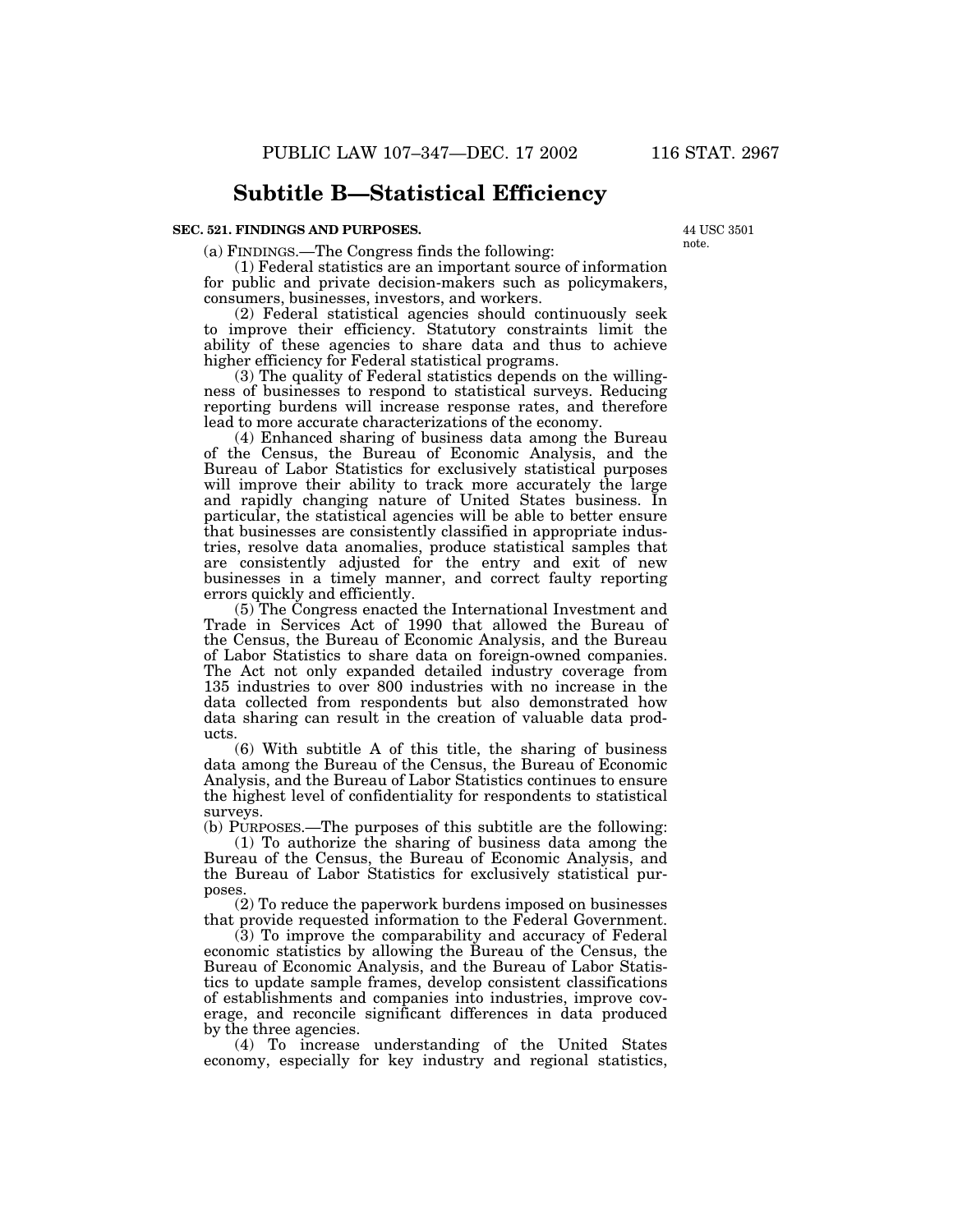#### **SEC. 521. FINDINGS AND PURPOSES.**

(a) FINDINGS.—The Congress finds the following:

(1) Federal statistics are an important source of information for public and private decision-makers such as policymakers, consumers, businesses, investors, and workers.

(2) Federal statistical agencies should continuously seek to improve their efficiency. Statutory constraints limit the ability of these agencies to share data and thus to achieve higher efficiency for Federal statistical programs.

(3) The quality of Federal statistics depends on the willingness of businesses to respond to statistical surveys. Reducing reporting burdens will increase response rates, and therefore lead to more accurate characterizations of the economy.

(4) Enhanced sharing of business data among the Bureau of the Census, the Bureau of Economic Analysis, and the Bureau of Labor Statistics for exclusively statistical purposes will improve their ability to track more accurately the large and rapidly changing nature of United States business. In particular, the statistical agencies will be able to better ensure that businesses are consistently classified in appropriate industries, resolve data anomalies, produce statistical samples that are consistently adjusted for the entry and exit of new businesses in a timely manner, and correct faulty reporting errors quickly and efficiently.

(5) The Congress enacted the International Investment and Trade in Services Act of 1990 that allowed the Bureau of the Census, the Bureau of Economic Analysis, and the Bureau of Labor Statistics to share data on foreign-owned companies. The Act not only expanded detailed industry coverage from 135 industries to over 800 industries with no increase in the data collected from respondents but also demonstrated how data sharing can result in the creation of valuable data products.

(6) With subtitle A of this title, the sharing of business data among the Bureau of the Census, the Bureau of Economic Analysis, and the Bureau of Labor Statistics continues to ensure the highest level of confidentiality for respondents to statistical surveys.

(b) PURPOSES.—The purposes of this subtitle are the following:

(1) To authorize the sharing of business data among the Bureau of the Census, the Bureau of Economic Analysis, and the Bureau of Labor Statistics for exclusively statistical purposes.

(2) To reduce the paperwork burdens imposed on businesses that provide requested information to the Federal Government.

(3) To improve the comparability and accuracy of Federal economic statistics by allowing the Bureau of the Census, the Bureau of Economic Analysis, and the Bureau of Labor Statistics to update sample frames, develop consistent classifications of establishments and companies into industries, improve coverage, and reconcile significant differences in data produced by the three agencies.

(4) To increase understanding of the United States economy, especially for key industry and regional statistics,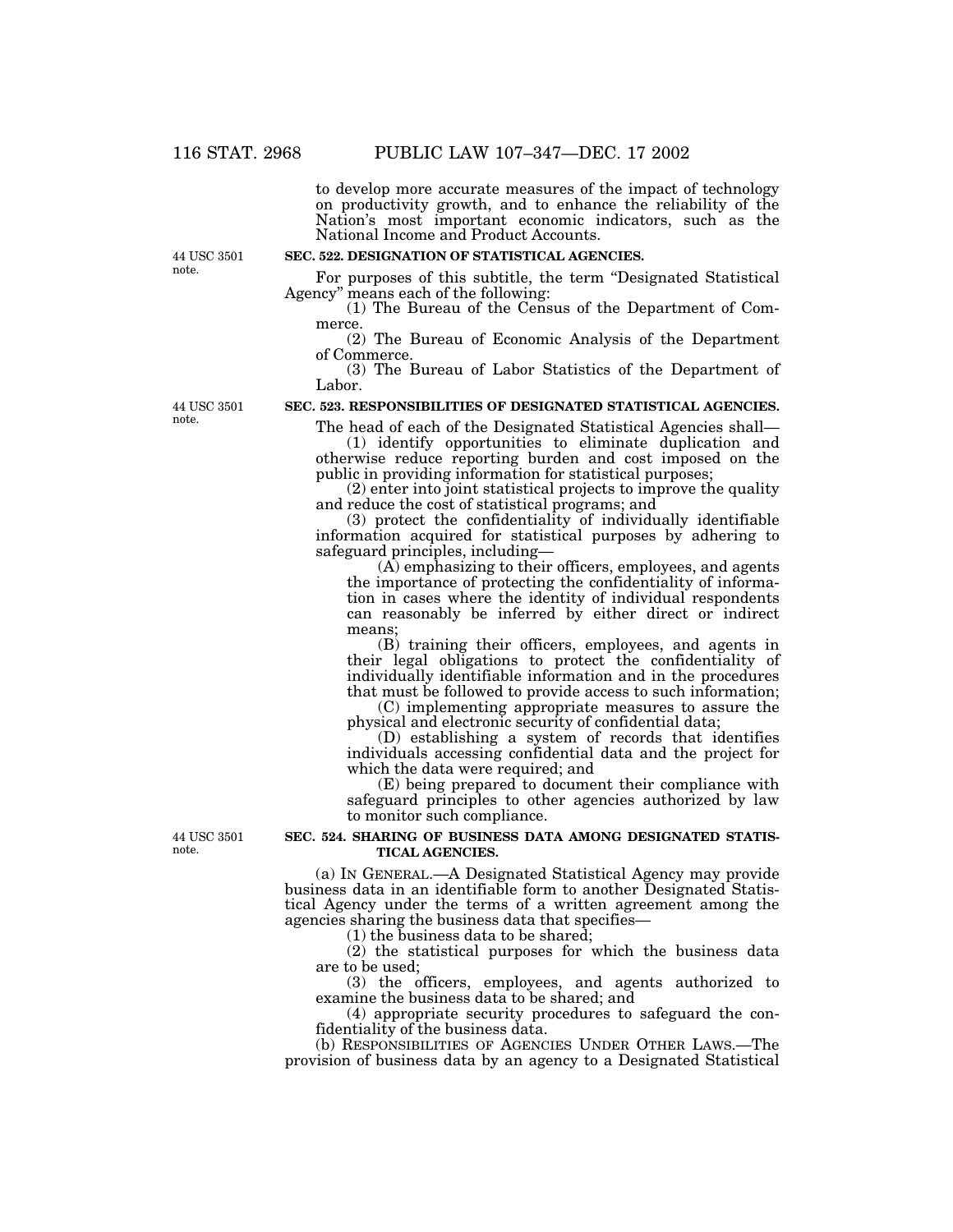to develop more accurate measures of the impact of technology on productivity growth, and to enhance the reliability of the Nation's most important economic indicators, such as the National Income and Product Accounts.

44 USC 3501 note.

# **SEC. 522. DESIGNATION OF STATISTICAL AGENCIES.**

For purposes of this subtitle, the term "Designated Statistical Agency'' means each of the following:

(1) The Bureau of the Census of the Department of Commerce.

(2) The Bureau of Economic Analysis of the Department of Commerce.

(3) The Bureau of Labor Statistics of the Department of Labor.

44 USC 3501 note.

# **SEC. 523. RESPONSIBILITIES OF DESIGNATED STATISTICAL AGENCIES.**

The head of each of the Designated Statistical Agencies shall— (1) identify opportunities to eliminate duplication and otherwise reduce reporting burden and cost imposed on the public in providing information for statistical purposes;

(2) enter into joint statistical projects to improve the quality and reduce the cost of statistical programs; and

(3) protect the confidentiality of individually identifiable information acquired for statistical purposes by adhering to safeguard principles, including—

(A) emphasizing to their officers, employees, and agents the importance of protecting the confidentiality of information in cases where the identity of individual respondents can reasonably be inferred by either direct or indirect means;

(B) training their officers, employees, and agents in their legal obligations to protect the confidentiality of individually identifiable information and in the procedures that must be followed to provide access to such information;

(C) implementing appropriate measures to assure the physical and electronic security of confidential data;

(D) establishing a system of records that identifies individuals accessing confidential data and the project for which the data were required; and

(E) being prepared to document their compliance with safeguard principles to other agencies authorized by law to monitor such compliance.

### **SEC. 524. SHARING OF BUSINESS DATA AMONG DESIGNATED STATIS-TICAL AGENCIES.**

(a) IN GENERAL.—A Designated Statistical Agency may provide business data in an identifiable form to another Designated Statistical Agency under the terms of a written agreement among the agencies sharing the business data that specifies—

(1) the business data to be shared;

(2) the statistical purposes for which the business data are to be used;

(3) the officers, employees, and agents authorized to examine the business data to be shared; and

(4) appropriate security procedures to safeguard the confidentiality of the business data.

(b) RESPONSIBILITIES OF AGENCIES UNDER OTHER LAWS.—The provision of business data by an agency to a Designated Statistical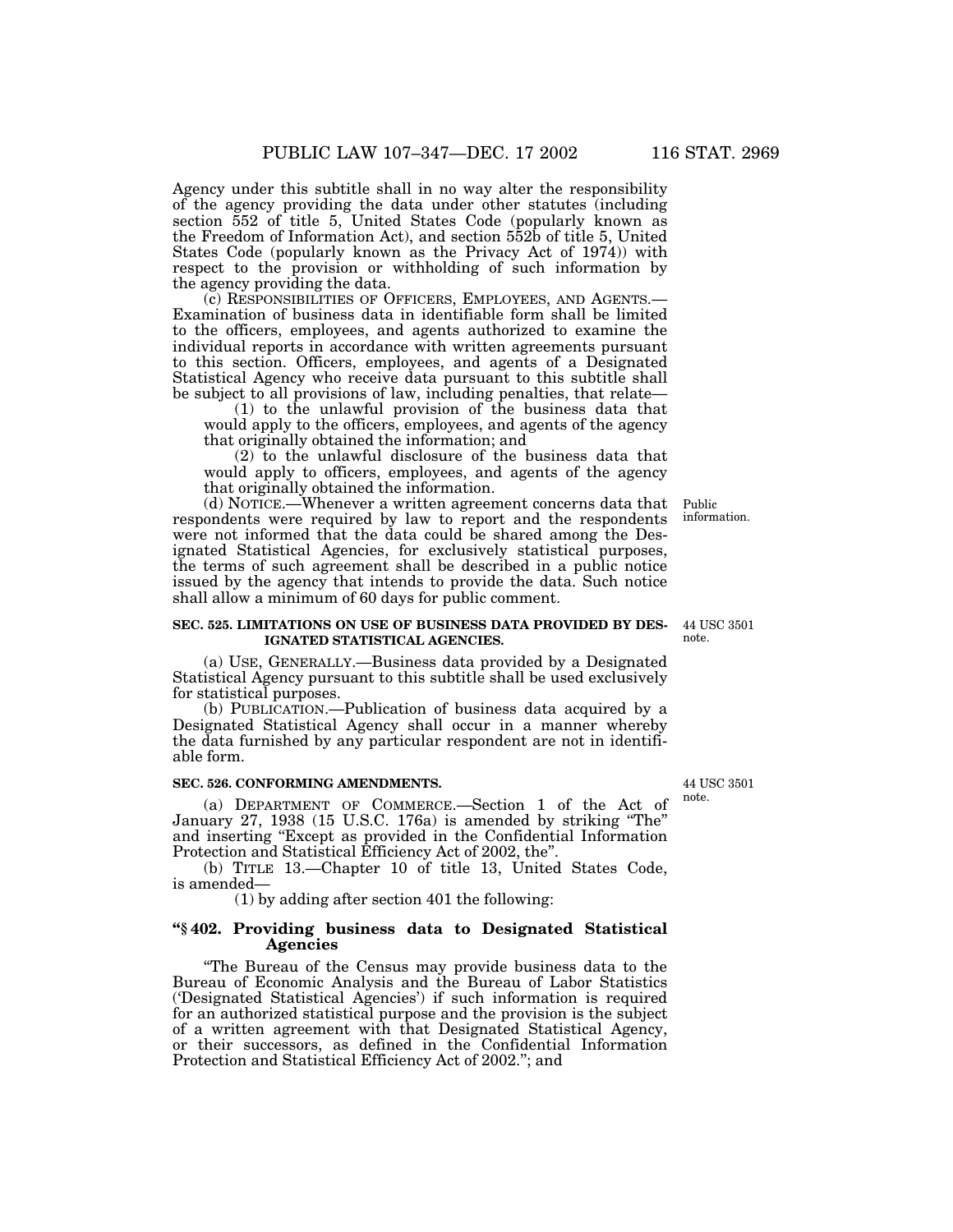Agency under this subtitle shall in no way alter the responsibility of the agency providing the data under other statutes (including section 552 of title 5, United States Code (popularly known as the Freedom of Information Act), and section 552b of title 5, United States Code (popularly known as the Privacy Act of 1974)) with respect to the provision or withholding of such information by the agency providing the data.

(c) RESPONSIBILITIES OF OFFICERS, EMPLOYEES, AND AGENTS.— Examination of business data in identifiable form shall be limited to the officers, employees, and agents authorized to examine the individual reports in accordance with written agreements pursuant to this section. Officers, employees, and agents of a Designated Statistical Agency who receive data pursuant to this subtitle shall be subject to all provisions of law, including penalties, that relate—

(1) to the unlawful provision of the business data that would apply to the officers, employees, and agents of the agency that originally obtained the information; and

(2) to the unlawful disclosure of the business data that would apply to officers, employees, and agents of the agency that originally obtained the information.

(d) NOTICE.—Whenever a written agreement concerns data that respondents were required by law to report and the respondents were not informed that the data could be shared among the Designated Statistical Agencies, for exclusively statistical purposes, the terms of such agreement shall be described in a public notice issued by the agency that intends to provide the data. Such notice shall allow a minimum of 60 days for public comment.

### **SEC. 525. LIMITATIONS ON USE OF BUSINESS DATA PROVIDED BY DES-IGNATED STATISTICAL AGENCIES.**

(a) USE, GENERALLY.—Business data provided by a Designated Statistical Agency pursuant to this subtitle shall be used exclusively for statistical purposes.

(b) PUBLICATION.—Publication of business data acquired by a Designated Statistical Agency shall occur in a manner whereby the data furnished by any particular respondent are not in identifiable form.

#### **SEC. 526. CONFORMING AMENDMENTS.**

(a) DEPARTMENT OF COMMERCE.—Section 1 of the Act of January 27, 1938 (15 U.S.C. 176a) is amended by striking ''The'' and inserting ''Except as provided in the Confidential Information Protection and Statistical Efficiency Act of 2002, the".

(b) TITLE 13.—Chapter 10 of title 13, United States Code, is amended—

(1) by adding after section 401 the following:

#### **''§ 402. Providing business data to Designated Statistical Agencies**

''The Bureau of the Census may provide business data to the Bureau of Economic Analysis and the Bureau of Labor Statistics ('Designated Statistical Agencies') if such information is required for an authorized statistical purpose and the provision is the subject of a written agreement with that Designated Statistical Agency, or their successors, as defined in the Confidential Information Protection and Statistical Efficiency Act of 2002.''; and

44 USC 3501 note.

information.

44 USC 3501 note.

Public